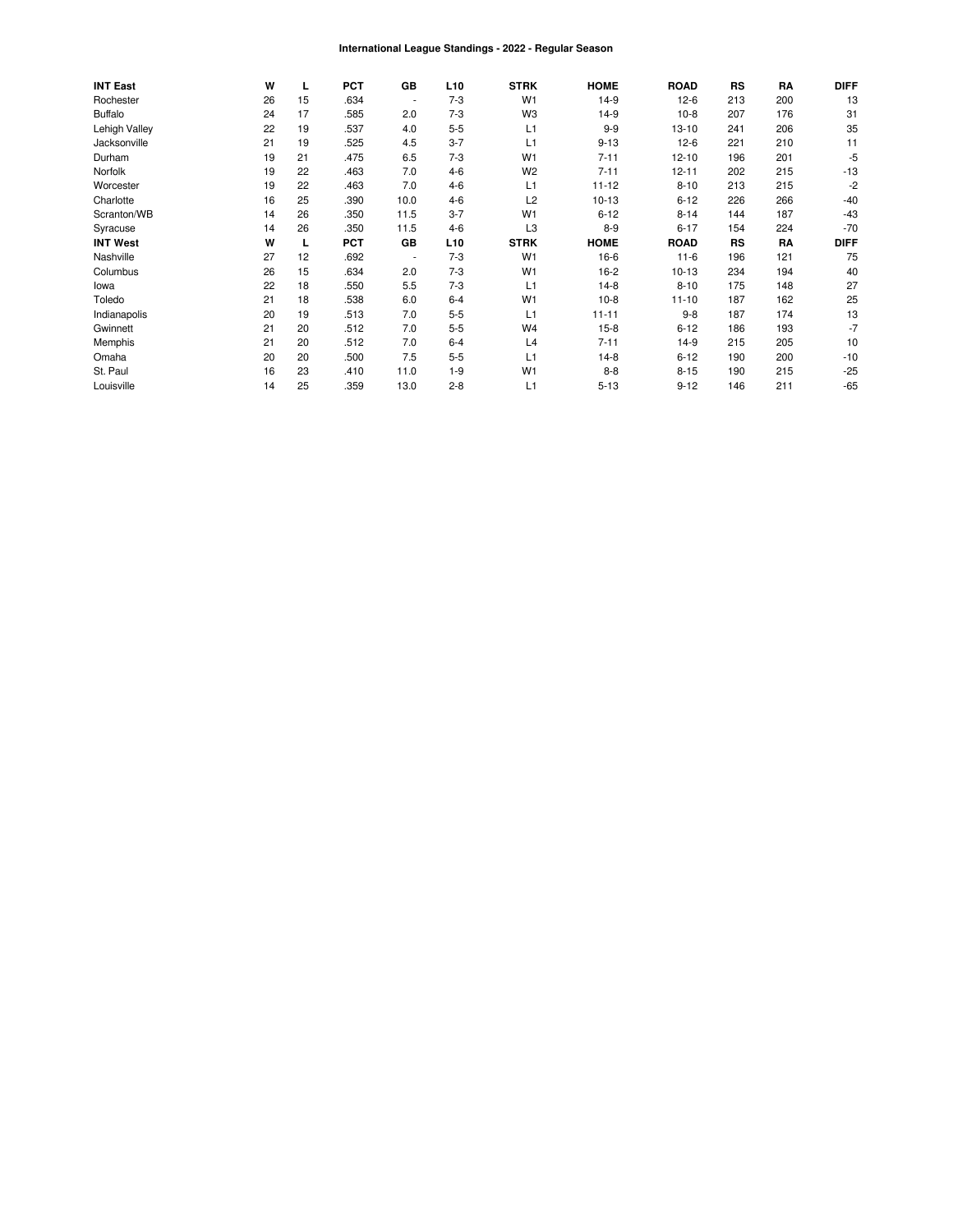#### International League Standings - 2022 - Regular Season

| <b>INT East</b> | W  | L  | <b>PCT</b> | GB                       | L <sub>10</sub> | <b>STRK</b>    | <b>HOME</b> | <b>ROAD</b> | RS        | RA  | <b>DIFF</b> |
|-----------------|----|----|------------|--------------------------|-----------------|----------------|-------------|-------------|-----------|-----|-------------|
| Rochester       | 26 | 15 | .634       | $\overline{\phantom{a}}$ | $7 - 3$         | W <sub>1</sub> | $14-9$      | $12-6$      | 213       | 200 | 13          |
| <b>Buffalo</b>  | 24 | 17 | .585       | 2.0                      | $7-3$           | W <sub>3</sub> | $14-9$      | $10-8$      | 207       | 176 | 31          |
| Lehigh Valley   | 22 | 19 | .537       | 4.0                      | $5 - 5$         | L1             | $9 - 9$     | $13 - 10$   | 241       | 206 | 35          |
| Jacksonville    | 21 | 19 | .525       | 4.5                      | $3 - 7$         | L1             | $9 - 13$    | $12-6$      | 221       | 210 | 11          |
| Durham          | 19 | 21 | .475       | 6.5                      | $7 - 3$         | W <sub>1</sub> | $7 - 11$    | $12 - 10$   | 196       | 201 | $-5$        |
| Norfolk         | 19 | 22 | .463       | 7.0                      | $4 - 6$         | W <sub>2</sub> | $7 - 11$    | $12 - 11$   | 202       | 215 | $-13$       |
| Worcester       | 19 | 22 | .463       | 7.0                      | $4 - 6$         | L1             | $11 - 12$   | $8 - 10$    | 213       | 215 | -2          |
| Charlotte       | 16 | 25 | .390       | 10.0                     | $4 - 6$         | L <sub>2</sub> | $10 - 13$   | $6 - 12$    | 226       | 266 | $-40$       |
| Scranton/WB     | 14 | 26 | .350       | 11.5                     | $3 - 7$         | W <sub>1</sub> | $6 - 12$    | $8 - 14$    | 144       | 187 | $-43$       |
| Syracuse        | 14 | 26 | .350       | 11.5                     | $4 - 6$         | L <sub>3</sub> | $8 - 9$     | $6 - 17$    | 154       | 224 | $-70$       |
| <b>INT West</b> | W  | L  | <b>PCT</b> | GB                       | L <sub>10</sub> | <b>STRK</b>    | <b>HOME</b> | <b>ROAD</b> | <b>RS</b> | RA  | <b>DIFF</b> |
| Nashville       | 27 | 12 | .692       | $\overline{\phantom{a}}$ | $7 - 3$         | W <sub>1</sub> | $16-6$      | $11 - 6$    | 196       | 121 | 75          |
| Columbus        | 26 | 15 | .634       | 2.0                      | $7 - 3$         | W <sub>1</sub> | $16-2$      | $10-13$     | 234       | 194 | 40          |
| lowa            | 22 | 18 | .550       | 5.5                      | $7 - 3$         | L1             | $14-8$      | $8 - 10$    | 175       | 148 | 27          |
| Toledo          | 21 | 18 | .538       | 6.0                      | $6 - 4$         | W <sub>1</sub> | $10-8$      | $11 - 10$   | 187       | 162 | 25          |
| Indianapolis    | 20 | 19 | .513       | 7.0                      | $5 - 5$         | L1             | $11 - 11$   | $9 - 8$     | 187       | 174 | 13          |
| Gwinnett        | 21 | 20 | .512       | 7.0                      | $5 - 5$         | W <sub>4</sub> | $15 - 8$    | $6 - 12$    | 186       | 193 | $-7$        |
| Memphis         | 21 | 20 | .512       | 7.0                      | $6 - 4$         | L4             | $7 - 11$    | $14-9$      | 215       | 205 | 10          |
| Omaha           | 20 | 20 | .500       | 7.5                      | $5 - 5$         | L1             | $14-8$      | $6 - 12$    | 190       | 200 | $-10$       |
| St. Paul        | 16 | 23 | .410       | 11.0                     | $1 - 9$         | W <sub>1</sub> | $8 - 8$     | $8 - 15$    | 190       | 215 | $-25$       |
| Louisville      | 14 | 25 | .359       | 13.0                     | $2 - 8$         | L1             | $5 - 13$    | $9 - 12$    | 146       | 211 | $-65$       |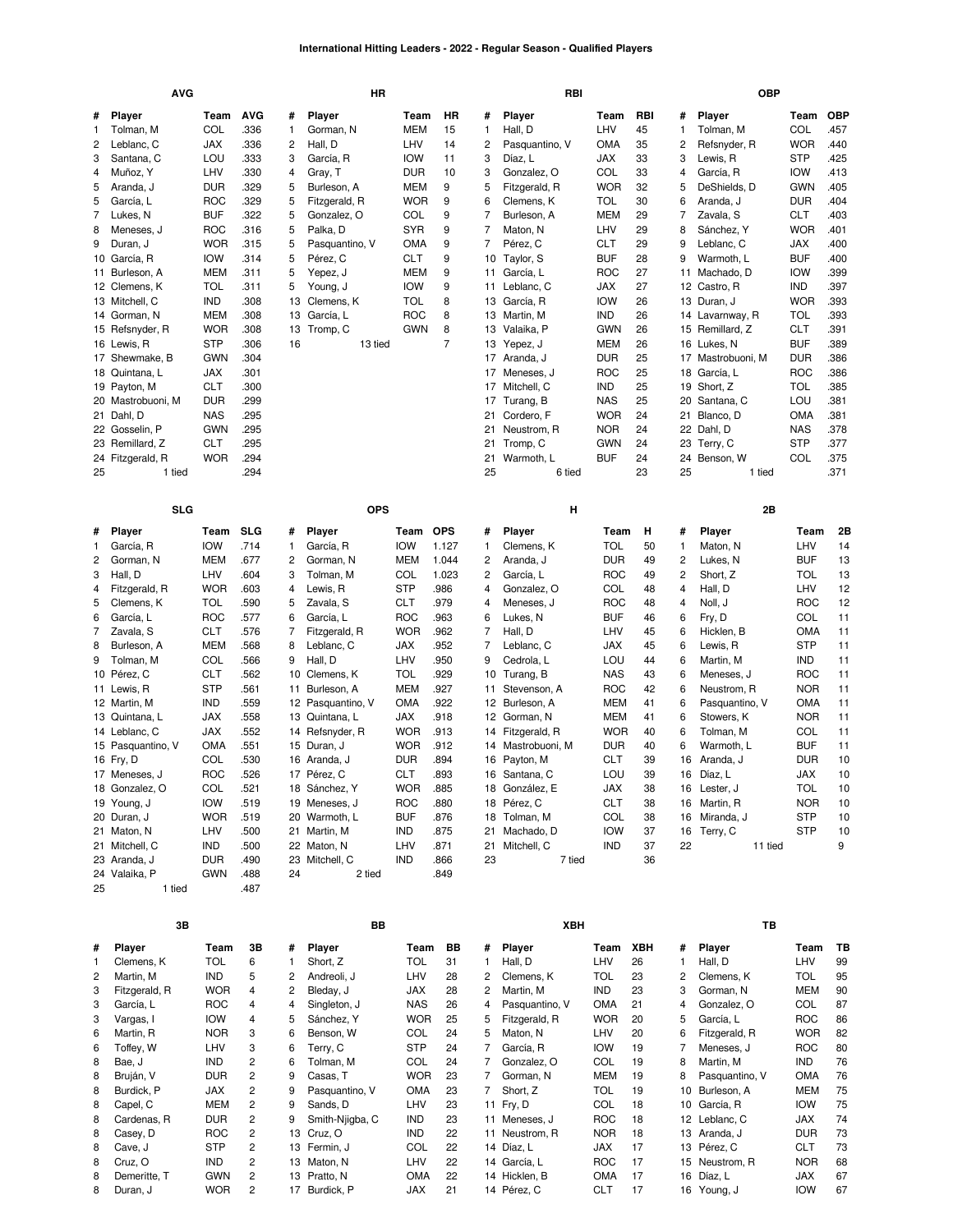### **International Hitting Leaders - 2022 - Regular Season - Qualified Players**

|        | <b>AVG</b>               |                   |              |        | HR                    |                   |                |        | RBI                       |                   |          |                | <b>OBP</b>              |                          |            |
|--------|--------------------------|-------------------|--------------|--------|-----------------------|-------------------|----------------|--------|---------------------------|-------------------|----------|----------------|-------------------------|--------------------------|------------|
| #      | <b>Player</b>            | Team              | <b>AVG</b>   | #      | <b>Player</b>         | Team              | HR             | #      | <b>Player</b>             | Team              | RBI      | #              | <b>Player</b>           | Team                     | <b>OBP</b> |
| 1      | Tolman, M                | COL               | .336         | 1      | Gorman, N             | MEM               | 15             | 1      | Hall, D                   | LHV               | 45       | 1              | Tolman, M               | COL                      | .457       |
| 2      | Leblanc, C               | JAX               | .336         | 2      | Hall, D               | LHV               | 14             | 2      | Pasquantino, V            | OMA               | 35       | 2              | Refsnyder, R            | <b>WOR</b>               | .440       |
| 3      | Santana, C               | LOU               | .333         | 3      | García, R             | <b>IOW</b>        | 11             | 3      | Díaz, L                   | JAX               | 33       | 3              | Lewis, R                | <b>STP</b>               | .425       |
| 4      | Muñoz, Y                 | LHV               | .330         | 4      | Gray, T               | <b>DUR</b>        | 10             | 3      | Gonzalez, O               | COL               | 33       | 4              | García, R               | <b>IOW</b>               | .413       |
| 5      | Aranda, J                | <b>DUR</b>        | .329         | 5      | Burleson, A           | MEM               | 9              | 5      | Fitzgerald, R             | <b>WOR</b>        | 32       | 5              | DeShields, D            | <b>GWN</b>               | .405       |
| 5      | García, L                | <b>ROC</b>        | .329         | 5      | Fitzgerald, R         | <b>WOR</b>        | 9              | 6      | Clemens, K                | <b>TOL</b>        | 30       | 6              | Aranda, J               | <b>DUR</b>               | .404       |
| 7      | Lukes, N                 | <b>BUF</b>        | .322         | 5      | Gonzalez, O           | COL               | 9              | 7      | Burleson, A               | <b>MEM</b>        | 29       | $\overline{7}$ | Zavala, S               | <b>CLT</b>               | .403       |
| 8      | Meneses, J               | <b>ROC</b>        | .316         | 5      | Palka, D              | <b>SYR</b>        | 9              | 7      | Maton, N                  | LHV               | 29       | 8              | Sánchez, Y              | <b>WOR</b>               | .401       |
| 9      | Duran, J                 | <b>WOR</b>        | .315         | 5      | Pasquantino, V        | <b>OMA</b>        | 9              | 7      | Pérez, C                  | CLT               | 29       | 9              | Leblanc, C              | JAX                      | .400       |
|        | 10 García, R             | <b>IOW</b>        | .314         | 5      | Pérez, C              | <b>CLT</b>        | 9              | 10     | Taylor, S                 | <b>BUF</b>        | 28       | 9              | Warmoth, L              | <b>BUF</b>               | .400       |
|        | 11 Burleson, A           | <b>MEM</b>        | .311         | 5      | Yepez, J              | MEM               | 9              | 11     | García, L                 | <b>ROC</b>        | 27       | 11             | Machado, D              | <b>IOW</b>               | .399       |
|        | 12 Clemens, K            | <b>TOL</b>        | .311         | 5      | Young, J              | <b>IOW</b>        | 9              | 11     | Leblanc, C                | JAX               | 27       |                | 12 Castro, R            | IND                      | .397       |
|        | 13 Mitchell, C           | <b>IND</b>        | .308         | 13     | Clemens, K            | <b>TOL</b>        | 8              | 13     | García, R                 | <b>IOW</b>        | 26       |                | 13 Duran, J             | <b>WOR</b>               | .393       |
|        | 14 Gorman, N             | <b>MEM</b>        | .308         | 13     | García, L             | <b>ROC</b>        | 8              | 13     | Martin, M                 | <b>IND</b>        | 26       |                | 14 Lavarnway, R         | <b>TOL</b>               | .393       |
|        | 15 Refsnyder, R          | <b>WOR</b>        | .308         | 13     | Tromp, C              | <b>GWN</b>        | 8              | 13     | Valaika, P                | <b>GWN</b>        | 26       |                | 15 Remillard, Z         | <b>CLT</b>               | .391       |
|        | 16 Lewis, R              | <b>STP</b>        | .306         | 16     | 13 tied               |                   | $\overline{7}$ | 13     | Yepez, J                  | <b>MEM</b>        | 26       |                | 16 Lukes, N             | <b>BUF</b>               | .389       |
|        | 17 Shewmake, B           | <b>GWN</b>        | .304         |        |                       |                   |                | 17     | Aranda, J                 | <b>DUR</b>        | 25       |                | 17 Mastrobuoni, M       | <b>DUR</b>               | .386       |
|        | 18 Quintana, L           | JAX               | .301         |        |                       |                   |                | 17     | Meneses, J                | <b>ROC</b>        | 25       | 18             | García, L               | <b>ROC</b>               | .386       |
|        | 19 Payton, M             | <b>CLT</b>        | .300         |        |                       |                   |                | 17     | Mitchell, C               | IND               | 25       |                | 19 Short, Z             | TOL                      | .385       |
|        | 20 Mastrobuoni, M        | <b>DUR</b>        | .299         |        |                       |                   |                | 17     | Turang, B                 | <b>NAS</b>        | 25       | 20             | Santana, C              | LOU                      | 381        |
|        | 21 Dahl, D               | <b>NAS</b>        | .295         |        |                       |                   |                | 21     | Cordero, F                | <b>WOR</b>        | 24       |                | 21 Blanco, D            | OMA                      | .381       |
|        | 22 Gosselin, P           | <b>GWN</b>        | .295         |        |                       |                   |                | 21     | Neustrom, R               | <b>NOR</b>        | 24       |                | 22 Dahl, D              | <b>NAS</b>               | .378       |
|        | 23 Remillard, Z          | <b>CLT</b>        | .295         |        |                       |                   |                | 21     | Tromp, C                  | <b>GWN</b>        | 24       |                | 23 Terry, C             | <b>STP</b>               | .377       |
|        | 24 Fitzgerald, R         | <b>WOR</b>        | .294         |        |                       |                   |                | 21     | Warmoth, L                | <b>BUF</b>        | 24       |                | 24 Benson, W            | COL                      | .375       |
| 25     | 1 tied                   |                   | .294         |        |                       |                   |                | 25     | 6 tied                    |                   | 23       | 25             | 1 tied                  |                          | .371       |
|        |                          |                   |              |        |                       |                   |                |        |                           |                   |          |                |                         |                          |            |
|        | <b>SLG</b>               |                   |              |        | <b>OPS</b>            |                   |                |        | н                         |                   |          |                | 2B                      |                          |            |
|        |                          |                   |              |        |                       |                   |                |        |                           |                   |          |                |                         |                          |            |
| #      | <b>Player</b>            | Team              | <b>SLG</b>   | #      | <b>Player</b>         | Team              | <b>OPS</b>     | #      | <b>Player</b>             | Team              | н        | #              | Player                  | Team                     | 2B         |
| 1      | García, R                | <b>IOW</b>        | .714         | 1      | García, R             | <b>IOW</b>        | 1.127          | 1      | Clemens, K                | <b>TOL</b>        | 50       | 1              | Maton, N                | LHV                      | 14         |
| 2      | Gorman, N                | MEM               | .677         | 2      | Gorman, N             | <b>MEM</b>        | 1.044          | 2      | Aranda, J                 | DUR               | 49       | $\overline{c}$ | Lukes, N                | <b>BUF</b>               | 13         |
| 3      | Hall, D                  | LHV               | .604         | 3      | Tolman, M             | COL               | 1.023          | 2      | García, L                 | <b>ROC</b>        | 49       | $\overline{c}$ | Short, Z                | <b>TOL</b>               | 13         |
| 4      | Fitzgerald, R            | <b>WOR</b>        | .603         | 4      | Lewis, R              | <b>STP</b>        | .986           | 4      | Gonzalez, O               | COL               | 48       | 4              | Hall, D                 | LHV                      | 12         |
| 5      | Clemens, K               | TOL               | .590         | 5      | Zavala, S             | <b>CLT</b>        | .979           | 4      | Meneses, J                | <b>ROC</b>        | 48       | 4              | Noll, J                 | <b>ROC</b>               | 12         |
| 6      | García, L                | <b>ROC</b>        | .577         | 6      | García, L             | <b>ROC</b>        | .963           | 6      | Lukes, N                  | <b>BUF</b>        | 46       | 6              | Fry, D                  | COL                      | 11         |
| 7      | Zavala, S                | <b>CLT</b>        | .576         | 7      | Fitzgerald, R         | <b>WOR</b>        | .962           | 7      | Hall, D                   | LHV               | 45       | 6              | Hicklen, B              | <b>OMA</b>               | 11         |
| 8<br>9 | Burleson, A              | <b>MEM</b><br>COL | .568<br>.566 | 8<br>9 | Leblanc, C            | <b>JAX</b><br>LHV | .952<br>.950   | 7<br>9 | Leblanc, C                | <b>JAX</b>        | 45<br>44 | 6<br>6         | Lewis, R                | <b>STP</b><br><b>IND</b> | 11         |
|        | Tolman, M<br>10 Pérez, C | <b>CLT</b>        | .562         | 10     | Hall, D<br>Clemens, K | <b>TOL</b>        | .929           | 10     | Cedrola, L                | LOU<br><b>NAS</b> | 43       | 6              | Martin, M<br>Meneses, J | <b>ROC</b>               | 11         |
|        | 11 Lewis, R              | <b>STP</b>        | .561         |        | 11 Burleson, A        | <b>MEM</b>        | .927           | 11     | Turang, B<br>Stevenson, A | <b>ROC</b>        | 42       | 6              | Neustrom, R             | <b>NOR</b>               | 11<br>11   |
|        | 12 Martin, M             | <b>IND</b>        | .559         |        | 12 Pasquantino, V     | <b>OMA</b>        | .922           | 12     | Burleson, A               | MEM               | 41       | 6              | Pasquantino, V          | <b>OMA</b>               | 11         |
|        | 13 Quintana, L           | <b>JAX</b>        | .558         |        | 13 Quintana, L        | <b>JAX</b>        | .918           | 12     | Gorman, N                 | MEM               | 41       | 6              | Stowers, K              | <b>NOR</b>               | 11         |
|        | 14 Leblanc, C            | JAX               | .552         |        | 14 Refsnyder, R       | <b>WOR</b>        | .913           | 14     | Fitzgerald, R             | <b>WOR</b>        | 40       | 6              | Tolman, M               | COL                      | 11         |
|        | 15 Pasquantino, V        | <b>OMA</b>        | .551         |        | 15 Duran, J           | <b>WOR</b>        | .912           | 14     | Mastrobuoni, M            | DUR               | 40       | 6              | Warmoth, L              | <b>BUF</b>               | 11         |
|        | 16 Fry, D                | COL               | .530         |        | 16 Aranda, J          | <b>DUR</b>        | .894           | 16     | Payton, M                 | <b>CLT</b>        | 39       | 16             | Aranda, J               | <b>DUR</b>               | 10         |
|        | 17 Meneses, J            | <b>ROC</b>        | .526         |        | 17 Pérez, C           | <b>CLT</b>        | .893           |        | 16 Santana, C             | LOU               | 39       | 16             | Díaz, L                 | <b>JAX</b>               | 10         |
|        | 18 Gonzalez, O           | COL               | .521         |        | 18 Sánchez, Y         | <b>WOR</b>        | .885           |        | 18 González, E            | JAX               | 38       |                | 16 Lester, J            | TOL                      | 10         |
|        | 19 Young, J              | <b>IOW</b>        | .519         |        | 19 Meneses, J         | <b>ROC</b>        | .880           |        | 18 Pérez, C               | <b>CLT</b>        | 38       |                | 16 Martin, R            | <b>NOR</b>               | 10         |
|        | 20 Duran, J              | <b>WOR</b>        | .519         |        | 20 Warmoth, L         | <b>BUF</b>        | .876           |        | 18 Tolman, M              | <b>COL</b>        | 38       |                | 16 Miranda, J           | <b>STP</b>               | 10         |
|        | 21 Maton, N              | LHV               | .500         |        | 21 Martin, M          | IND               | .875           |        | 21 Machado, D             | <b>IOW</b>        | 37       |                | 16 Terry, C             | <b>STP</b>               | 10         |
|        | 21 Mitchell, C           | IND               | .500         |        | 22 Maton, N           | LHV               | .871           |        | 21 Mitchell, C            | IND               | 37       | 22             | 11 tied                 |                          | 9          |
|        | 23 Aranda, J             | <b>DUR</b>        | .490         |        | 23 Mitchell, C        | IND               | .866           | 23     | 7 tied                    |                   | 36       |                |                         |                          |            |
|        | 24 Valaika, P            | GWN               | .488         | 24     | 2 tied                |                   | .849           |        |                           |                   |          |                |                         |                          |            |
| 25     | 1 tied                   |                   | .487         |        |                       |                   |                |        |                           |                   |          |                |                         |                          |            |
|        |                          |                   |              |        |                       |                   |                |        |                           |                   |          |                |                         |                          |            |
| #      | 3B<br>Player             | Team              | 3B           |        | BB<br># Player        |                   | Team BB        |        | XBH<br># Player           | Team XBH          |          |                | TВ<br># Player          | Team TB                  |            |

| # | <b>Player</b> | Team       | 3B             | #  | Player          | Team       | BB | #  | Player         | Team       | <b>XBH</b> | #  | Player         | Team       | тв |
|---|---------------|------------|----------------|----|-----------------|------------|----|----|----------------|------------|------------|----|----------------|------------|----|
|   | Clemens, K    | TOL        | 6              |    | Short, Z        | TOL        | 31 |    | Hall, D        | LHV        | 26         |    | Hall, D        | LHV        | 99 |
| 2 | Martin, M     | IND        | 5              |    | Andreoli, J     | LHV        | 28 |    | Clemens, K     | TOL        | 23         | 2  | Clemens, K     | TOL        | 95 |
| 3 | Fitzgerald, R | <b>WOR</b> | 4              |    | Bleday, J       | <b>JAX</b> | 28 |    | Martin, M      | <b>IND</b> | 23         | 3  | Gorman, N      | <b>MEM</b> | 90 |
| 3 | García, L     | <b>ROC</b> | 4              | 4  | Singleton, J    | <b>NAS</b> | 26 | 4  | Pasquantino, V | <b>OMA</b> | 21         | 4  | Gonzalez, O    | COL        | 87 |
| 3 | Vargas, I     | <b>IOW</b> | 4              | 5  | Sánchez, Y      | <b>WOR</b> | 25 | 5. | Fitzgerald, R  | <b>WOR</b> | 20         | 5  | García, L      | <b>ROC</b> | 86 |
| 6 | Martin, R     | <b>NOR</b> | 3              | 6  | Benson, W       | COL        | 24 | 5. | Maton, N       | LHV        | 20         | 6  | Fitzgerald, R  | <b>WOR</b> | 82 |
| 6 | Toffey, W     | LHV        | 3              | 6  | Terry, C        | <b>STP</b> | 24 |    | García, R      | <b>IOW</b> | 19         |    | Meneses, J     | <b>ROC</b> | 80 |
| 8 | Bae, J        | <b>IND</b> | 2              | 6  | Tolman. M       | COL        | 24 |    | Gonzalez, O    | COL        | 19         | 8  | Martin, M      | <b>IND</b> | 76 |
| 8 | Bruján, V     | <b>DUR</b> | 2              | 9  | Casas, T        | <b>WOR</b> | 23 |    | Gorman, N      | <b>MEM</b> | 19         | 8  | Pasquantino, V | <b>OMA</b> | 76 |
| 8 | Burdick, P    | <b>JAX</b> | 2              | 9  | Pasquantino, V  | <b>OMA</b> | 23 | 7  | Short, Z       | TOL        | 19         | 10 | Burleson, A    | <b>MEM</b> | 75 |
| 8 | Capel, C      | <b>MEM</b> | 2              | 9  | Sands, D        | LHV        | 23 |    | 11 Fry, D      | COL        | 18         |    | 10 García, R   | <b>IOW</b> | 75 |
| 8 | Cardenas, R   | <b>DUR</b> | 2              | 9  | Smith-Njigba, C | <b>IND</b> | 23 | 11 | Meneses. J     | <b>ROC</b> | 18         |    | 12 Leblanc, C  | <b>JAX</b> | 74 |
| 8 | Casey, D      | <b>ROC</b> | $\overline{2}$ |    | 13 Cruz, O      | <b>IND</b> | 22 |    | 11 Neustrom, R | <b>NOR</b> | 18         |    | 13 Aranda, J   | <b>DUR</b> | 73 |
| 8 | Cave. J       | <b>STP</b> | 2              |    | 13 Fermin, J    | COL        | 22 |    | 14 Díaz, L     | <b>JAX</b> | 17         |    | 13 Pérez. C    | <b>CLT</b> | 73 |
| 8 | Cruz, O       | <b>IND</b> | 2              |    | 13 Maton, N     | LHV        | 22 |    | 14 García, L   | <b>ROC</b> | 17         | 15 | Neustrom, R    | <b>NOR</b> | 68 |
| 8 | Demeritte, T  | <b>GWN</b> | 2              |    | 13 Pratto, N    | <b>OMA</b> | 22 |    | 14 Hicklen, B  | <b>OMA</b> | 17         |    | 16 Díaz, L     | <b>JAX</b> | 67 |
| 8 | Duran, J      | <b>WOR</b> | 2              | 17 | Burdick, P      | <b>JAX</b> | 21 |    | 14 Pérez, C    | <b>CLT</b> | 17         |    | 16 Young, J    | <b>IOW</b> | 67 |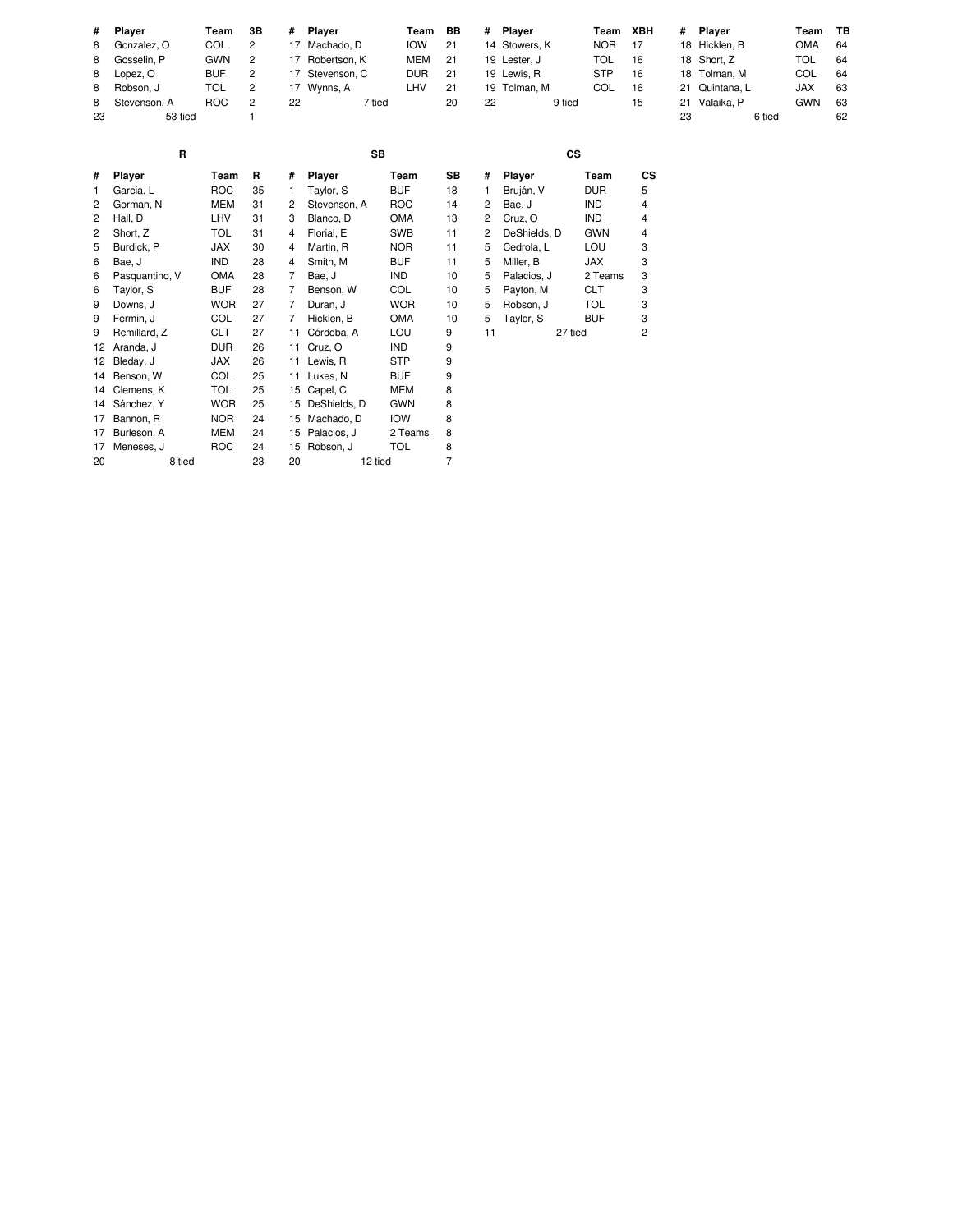|         | Team                                                                                    | 3В             | #  |        | Team                                                                         | BB | #  |        |                                                                        |    | #        | Player | Team                                                                            | TB |
|---------|-----------------------------------------------------------------------------------------|----------------|----|--------|------------------------------------------------------------------------------|----|----|--------|------------------------------------------------------------------------|----|----------|--------|---------------------------------------------------------------------------------|----|
|         | COL                                                                                     | 2              |    |        | <b>IOW</b>                                                                   | 21 |    |        | <b>NOR</b>                                                             | 17 |          |        | <b>OMA</b>                                                                      | 64 |
|         | <b>GWN</b>                                                                              | $\overline{2}$ |    |        | MEM                                                                          | 21 |    |        | TOL                                                                    | 16 |          |        | TOL                                                                             | 64 |
|         | <b>BUF</b>                                                                              | 2              |    |        | <b>DUR</b>                                                                   | 21 |    |        | <b>STP</b>                                                             | 16 |          |        | COL                                                                             | 64 |
|         | TOL                                                                                     | 2              |    |        | LHV                                                                          | 21 |    |        | <b>COL</b>                                                             | 16 |          |        | <b>JAX</b>                                                                      | 63 |
|         | <b>ROC</b>                                                                              | 2              | 22 | 7 tied |                                                                              | 20 | 22 | 9 tied |                                                                        | 15 |          |        | <b>GWN</b>                                                                      | 63 |
| 53 tied |                                                                                         |                |    |        |                                                                              |    |    |        |                                                                        |    | 23       | 6 tied |                                                                                 | 62 |
| R       |                                                                                         |                |    | SВ     |                                                                              |    |    | СS     |                                                                        |    |          |        |                                                                                 |    |
|         | # Plaver<br>8 Gonzalez, O<br>8 Gosselin, P<br>8 Lopez, O<br>Robson, J<br>8 Stevenson, A |                |    |        | Player<br>17 Machado, D<br>17 Robertson, K<br>17 Stevenson, C<br>17 Wynns, A |    |    |        | Player<br>14 Stowers, K<br>19 Lester, J<br>19 Lewis, R<br>19 Tolman, M |    | Team XBH |        | 18 Hicklen, B<br>18 Short, Z<br>18 Tolman, M<br>21 Quintana, L<br>21 Valaika, P |    |

| #  | Player         | Team       | R  | #  | <b>Player</b> | Team       | SB | #  | Player       | Team       | <b>CS</b> |
|----|----------------|------------|----|----|---------------|------------|----|----|--------------|------------|-----------|
| 1  | García, L      | <b>ROC</b> | 35 | 1. | Taylor, S     | BUF        | 18 | 1  | Bruján, V    | DUR        | 5         |
| 2  | Gorman, N      | MEM        | 31 | 2  | Stevenson, A  | <b>ROC</b> | 14 | 2  | Bae, J       | IND        | 4         |
| 2  | Hall, D        | LHV        | 31 | 3  | Blanco, D     | OMA        | 13 | 2  | Cruz, O      | <b>IND</b> | 4         |
| 2  | Short, Z       | TOL        | 31 | 4  | Florial, E    | <b>SWB</b> | 11 | 2  | DeShields, D | <b>GWN</b> | 4         |
| 5  | Burdick, P     | JAX        | 30 | 4  | Martin, R     | <b>NOR</b> | 11 | 5  | Cedrola, L   | LOU        | 3         |
| 6  | Bae, J         | <b>IND</b> | 28 | 4  | Smith, M      | <b>BUF</b> | 11 | 5  | Miller, B    | <b>JAX</b> | 3         |
| 6  | Pasquantino, V | OMA        | 28 | 7  | Bae, J        | IND        | 10 | 5  | Palacios, J  | 2 Teams    | 3         |
| 6  | Taylor, S      | <b>BUF</b> | 28 | 7  | Benson, W     | COL        | 10 | 5  | Payton, M    | <b>CLT</b> | 3         |
| 9  | Downs, J       | <b>WOR</b> | 27 | 7  | Duran, J      | <b>WOR</b> | 10 | 5  | Robson, J    | <b>TOL</b> | 3         |
| 9  | Fermin, J      | <b>COL</b> | 27 | 7  | Hicklen, B    | <b>OMA</b> | 10 | 5  | Taylor, S    | <b>BUF</b> | 3         |
| 9  | Remillard, Z   | CLT        | 27 | 11 | Córdoba, A    | LOU        | 9  | 11 | 27 tied      |            | 2         |
| 12 | Aranda, J      | <b>DUR</b> | 26 | 11 | Cruz, O       | <b>IND</b> | 9  |    |              |            |           |
| 12 | Bleday, J      | JAX        | 26 | 11 | Lewis, R      | STP        | 9  |    |              |            |           |
| 14 | Benson, W      | COL        | 25 | 11 | Lukes, N      | BUF        | 9  |    |              |            |           |
| 14 | Clemens, K     | TOL        | 25 | 15 | Capel, C      | <b>MEM</b> | 8  |    |              |            |           |
| 14 | Sánchez, Y     | <b>WOR</b> | 25 | 15 | DeShields, D  | <b>GWN</b> | 8  |    |              |            |           |
| 17 | Bannon, R      | <b>NOR</b> | 24 | 15 | Machado, D    | <b>IOW</b> | 8  |    |              |            |           |
| 17 | Burleson, A    | MEM        | 24 | 15 | Palacios, J   | 2 Teams    | 8  |    |              |            |           |
| 17 | Meneses, J     | <b>ROC</b> | 24 | 15 | Robson, J     | TOL        | 8  |    |              |            |           |
| 20 | 8 tied         |            | 23 | 20 | 12 tied       |            | 7  |    |              |            |           |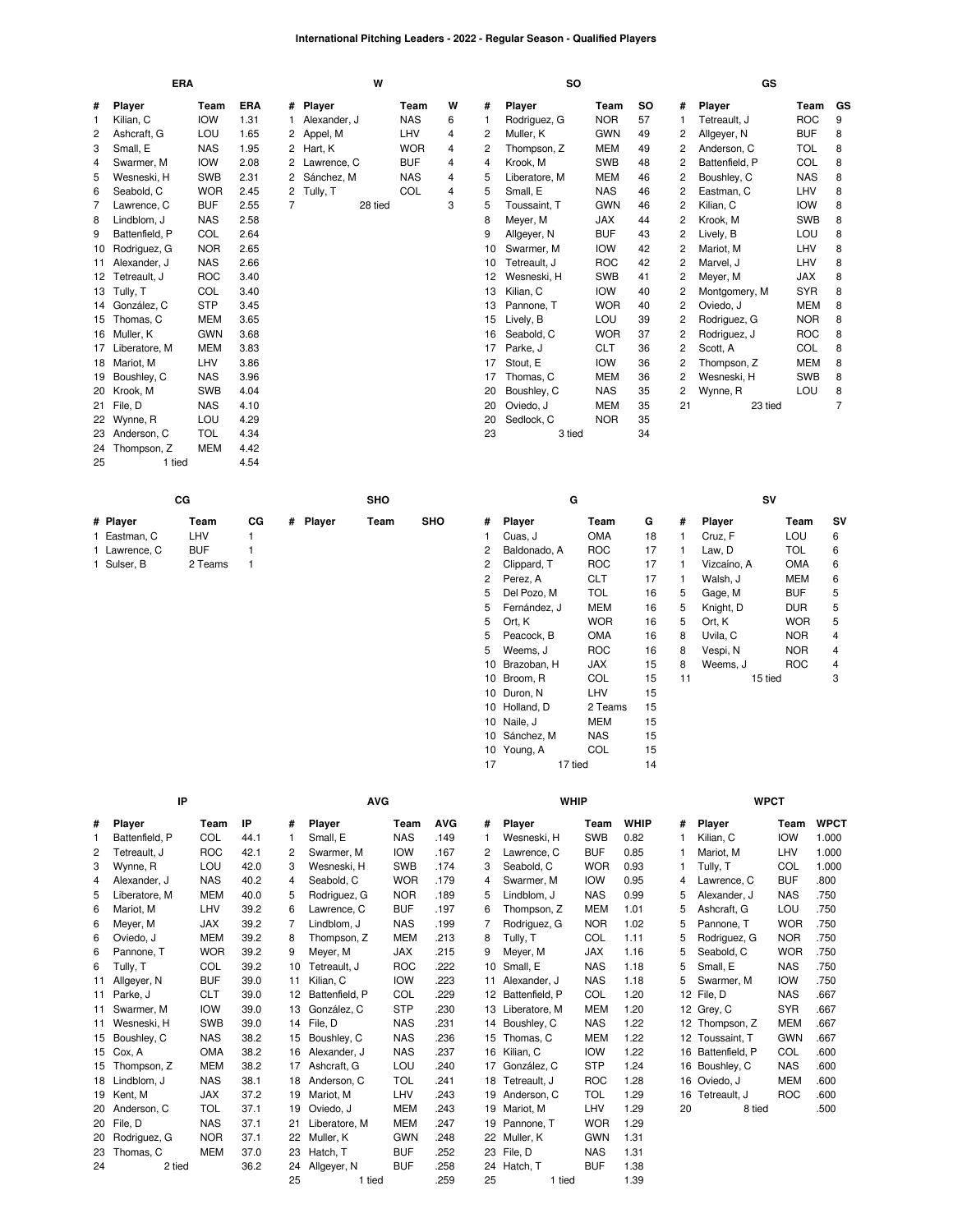### **International Pitching Leaders - 2022 - Regular Season - Qualified Players**

|    | <b>ERA</b>       |            |      |              | W             |            |   |    | <b>SO</b>     |            |           |                | GS             |            |    |
|----|------------------|------------|------|--------------|---------------|------------|---|----|---------------|------------|-----------|----------------|----------------|------------|----|
| #  | <b>Player</b>    | Team       | ERA  | #            | <b>Player</b> | Team       | W | #  | <b>Player</b> | Team       | <b>SO</b> | #              | Player         | Team       | GS |
| -1 | Kilian, C        | <b>IOW</b> | 1.31 |              | Alexander, J  | <b>NAS</b> | 6 |    | Rodriguez, G  | <b>NOR</b> | 57        |                | Tetreault, J   | ROC        | 9  |
| 2  | Ashcraft, G      | LOU        | 1.65 | 2            | Appel, M      | LHV        | 4 | 2  | Muller, K     | <b>GWN</b> | 49        | 2              | Allgever, N    | <b>BUF</b> | 8  |
| 3  | Small, E         | <b>NAS</b> | 1.95 |              | Hart, K       | <b>WOR</b> | 4 | 2  | Thompson, Z   | <b>MEM</b> | 49        | 2              | Anderson, C    | <b>TOL</b> | 8  |
| 4  | Swarmer, M       | <b>IOW</b> | 2.08 | 2            | Lawrence, C   | <b>BUF</b> | 4 | 4  | Krook, M      | <b>SWB</b> | 48        | 2              | Battenfield, P | COL        | 8  |
| 5  | Wesneski, H      | <b>SWB</b> | 2.31 | $\mathbf{2}$ | Sánchez, M    | <b>NAS</b> | 4 | 5  | Liberatore, M | <b>MEM</b> | 46        | 2              | Boushley, C    | <b>NAS</b> | 8  |
| 6  | Seabold, C       | <b>WOR</b> | 2.45 | 2            | Tully, T      | COL        | 4 | 5  | Small, E      | <b>NAS</b> | 46        | 2              | Eastman, C     | LHV        | 8  |
| 7  | Lawrence, C      | <b>BUF</b> | 2.55 | 7            | 28 tied       |            | 3 | 5  | Toussaint, T  | <b>GWN</b> | 46        | 2              | Kilian, C      | <b>IOW</b> | 8  |
| 8  | Lindblom, J      | <b>NAS</b> | 2.58 |              |               |            |   | 8  | Meyer, M      | <b>JAX</b> | 44        | 2              | Krook, M       | <b>SWB</b> | 8  |
| 9  | Battenfield. P   | COL        | 2.64 |              |               |            |   | 9  | Allgever, N   | <b>BUF</b> | 43        | 2              | Lively, B      | LOU        | 8  |
| 10 | Rodriguez, G     | <b>NOR</b> | 2.65 |              |               |            |   | 10 | Swarmer, M    | <b>IOW</b> | 42        | 2              | Mariot. M      | LHV        | 8  |
|    | 11 Alexander, J  | <b>NAS</b> | 2.66 |              |               |            |   | 10 | Tetreault. J  | <b>ROC</b> | 42        | 2              | Marvel. J      | LHV        | 8  |
|    | 12 Tetreault, J  | <b>ROC</b> | 3.40 |              |               |            |   | 12 | Wesneski, H   | <b>SWB</b> | 41        | 2              | Meyer, M       | <b>JAX</b> | 8  |
|    | 13 Tully, T      | COL        | 3.40 |              |               |            |   | 13 | Kilian, C     | <b>IOW</b> | 40        | 2              | Montgomery, M  | <b>SYR</b> | 8  |
|    | 14 González, C   | <b>STP</b> | 3.45 |              |               |            |   | 13 | Pannone, T    | <b>WOR</b> | 40        | 2              | Oviedo, J      | MEM        | 8  |
| 15 | Thomas, C        | <b>MEM</b> | 3.65 |              |               |            |   | 15 | Lively, B     | LOU        | 39        | 2              | Rodriguez, G   | <b>NOR</b> | 8  |
|    | 16 Muller, K     | <b>GWN</b> | 3.68 |              |               |            |   | 16 | Seabold, C    | <b>WOR</b> | 37        | 2              | Rodriguez, J   | <b>ROC</b> | 8  |
|    | 17 Liberatore, M | <b>MEM</b> | 3.83 |              |               |            |   | 17 | Parke, J      | <b>CLT</b> | 36        | 2              | Scott, A       | COL        | 8  |
|    | 18 Mariot, M     | LHV        | 3.86 |              |               |            |   | 17 | Stout, E      | <b>IOW</b> | 36        | 2              | Thompson, Z    | <b>MEM</b> | 8  |
| 19 | Boushley, C      | <b>NAS</b> | 3.96 |              |               |            |   | 17 | Thomas, C     | <b>MEM</b> | 36        | 2              | Wesneski, H    | <b>SWB</b> | 8  |
|    | 20 Krook, M      | <b>SWB</b> | 4.04 |              |               |            |   | 20 | Boushley, C   | <b>NAS</b> | 35        | $\overline{c}$ | Wynne, R       | LOU        | 8  |
|    | 21 File, D       | <b>NAS</b> | 4.10 |              |               |            |   | 20 | Oviedo, J     | <b>MEM</b> | 35        | 21             | 23 tied        |            | 7  |
| 22 | Wynne, R         | LOU        | 4.29 |              |               |            |   | 20 | Sedlock, C    | <b>NOR</b> | 35        |                |                |            |    |
|    | 23 Anderson, C   | <b>TOL</b> | 4.34 |              |               |            |   | 23 | 3 tied        |            | 34        |                |                |            |    |
|    | 24 Thompson, Z   | <b>MEM</b> | 4.42 |              |               |            |   |    |               |            |           |                |                |            |    |
| 25 | 1 tied           |            | 4.54 |              |               |            |   |    |               |            |           |                |                |            |    |

|             |         |    |  | SHO      |            |   |               |            |    |   |               |            |           |
|-------------|---------|----|--|----------|------------|---|---------------|------------|----|---|---------------|------------|-----------|
| # Player    | Team    | СG |  | Team     | <b>SHO</b> | # | <b>Plaver</b> | Team       | G  | # | <b>Plaver</b> | Team       | <b>SV</b> |
| Eastman, C  | LHV     |    |  |          |            |   | Cuas. J       | OMA        | 18 |   | Cruz. F       | LOU        | 6         |
| Lawrence, C | BUF     |    |  |          |            |   | Baldonado, A  | <b>ROC</b> |    |   | ∟aw. D        | <b>TOL</b> |           |
| Sulser, B   | 2 Teams |    |  |          |            |   | Clippard, T   | <b>ROC</b> |    |   | Vizcaíno. A   | <b>AMC</b> | 6         |
|             |         |    |  |          |            |   | Perez, A      | CLT        |    |   | Walsh. J      | MEM        | 6         |
|             |         | СG |  | # Plaver |            |   |               |            | G  |   |               |            | s٧        |

| 1  | Cuas, J      | <b>OMA</b> | 18 | 1  | Cruz, F     | LOU        | 6              |
|----|--------------|------------|----|----|-------------|------------|----------------|
| 2  | Baldonado. A | ROC        | 17 | 1  | Law. D      | <b>TOL</b> | 6              |
| 2  | Clippard, T  | <b>ROC</b> | 17 | 1  | Vizcaíno, A | OMA        | 6              |
| 2  | Perez, A     | CLT        | 17 | 1  | Walsh, J    | MEM        | 6              |
| 5  | Del Pozo, M  | <b>TOL</b> | 16 | 5  | Gage, M     | <b>BUF</b> | 5              |
| 5  | Fernández, J | MEM        | 16 | 5  | Knight, D   | <b>DUR</b> | 5              |
| 5  | Ort, K       | <b>WOR</b> | 16 | 5  | Ort, K      | <b>WOR</b> | 5              |
| 5  | Peacock. B   | OMA        | 16 | 8  | Uvila, C    | <b>NOR</b> | $\overline{4}$ |
| 5  | Weems, J     | <b>ROC</b> | 16 | 8  | Vespi, N    | <b>NOR</b> | 4              |
| 10 | Brazoban, H  | JAX        | 15 | 8  | Weems, J    | <b>ROC</b> | 4              |
| 10 | Broom. R     | <b>COL</b> | 15 | 11 | 15 tied     |            | 3              |
| 10 | Duron, N     | LHV        | 15 |    |             |            |                |
| 10 | Holland, D   | 2 Teams    | 15 |    |             |            |                |
| 10 | Naile, J     | MEM        | 15 |    |             |            |                |
| 10 | Sánchez, M   | NAS        | 15 |    |             |            |                |
| 10 | Young, A     | <b>COL</b> | 15 |    |             |            |                |
| 17 | 17 tied      |            | 14 |    |             |            |                |

|    | IP              |            |      |    | <b>AVG</b>     |            |            |    |                | <b>WHIP</b> |             |    | <b>WPCT</b>       |            |             |
|----|-----------------|------------|------|----|----------------|------------|------------|----|----------------|-------------|-------------|----|-------------------|------------|-------------|
| #  | Player          | Team       | IP   | #  | Player         | Team       | <b>AVG</b> | #  | Player         | Team        | <b>WHIP</b> | #  | Player            | Team       | <b>WPCT</b> |
| 1  | Battenfield, P  | COL        | 44.1 |    | Small, E       | <b>NAS</b> | .149       |    | Wesneski, H    | <b>SWB</b>  | 0.82        |    | Kilian, C         | <b>IOW</b> | 1.000       |
| 2  | Tetreault, J    | <b>ROC</b> | 42.1 | 2  | Swarmer, M     | <b>IOW</b> | .167       | 2  | Lawrence, C    | <b>BUF</b>  | 0.85        |    | Mariot, M         | LHV        | 1.000       |
| 3  | Wynne, R        | LOU        | 42.0 | 3  | Wesneski, H    | <b>SWB</b> | .174       | 3  | Seabold, C     | <b>WOR</b>  | 0.93        |    | Tully, T          | COL        | 1.000       |
| 4  | Alexander, J    | <b>NAS</b> | 40.2 | 4  | Seabold, C     | <b>WOR</b> | .179       | 4  | Swarmer, M     | <b>IOW</b>  | 0.95        | 4  | Lawrence, C       | <b>BUF</b> | .800        |
| 5  | Liberatore, M   | <b>MEM</b> | 40.0 | 5  | Rodriguez, G   | <b>NOR</b> | .189       | 5  | Lindblom. J    | <b>NAS</b>  | 0.99        | 5  | Alexander, J      | <b>NAS</b> | .750        |
| 6  | Mariot, M       | LHV        | 39.2 | 6  | Lawrence, C    | <b>BUF</b> | .197       | 6  | Thompson, Z    | <b>MEM</b>  | 1.01        | 5  | Ashcraft, G       | LOU        | .750        |
| 6  | Meyer, M        | <b>JAX</b> | 39.2 |    | Lindblom. J    | <b>NAS</b> | .199       | 7  | Rodriguez, G   | <b>NOR</b>  | 1.02        | 5  | Pannone. T        | <b>WOR</b> | .750        |
| 6  | Oviedo, J       | <b>MEM</b> | 39.2 | 8  | Thompson, Z    | <b>MEM</b> | .213       | 8  | Tully, T       | COL         | 1.11        | 5  | Rodriguez, G      | <b>NOR</b> | .750        |
| 6  | Pannone. T      | <b>WOR</b> | 39.2 | 9  | Meyer, M       | <b>JAX</b> | .215       | 9  | Meyer, M       | <b>JAX</b>  | 1.16        | 5  | Seabold, C        | <b>WOR</b> | .750        |
| 6  | Tully, T        | COL        | 39.2 | 10 | Tetreault. J   | <b>ROC</b> | .222       | 10 | Small, E       | <b>NAS</b>  | 1.18        | 5  | Small, E          | <b>NAS</b> | .750        |
| 11 | Allgeyer, N     | <b>BUF</b> | 39.0 | 11 | Kilian, C      | <b>IOW</b> | .223       | 11 | Alexander, J   | <b>NAS</b>  | 1.18        | 5  | Swarmer, M        | <b>IOW</b> | .750        |
|    | 11 Parke, J     | <b>CLT</b> | 39.0 | 12 | Battenfield, P | COL        | .229       | 12 | Battenfield, P | COL         | 1.20        |    | 12 File, D        | <b>NAS</b> | .667        |
| 11 | Swarmer, M      | <b>IOW</b> | 39.0 | 13 | González, C    | <b>STP</b> | .230       | 13 | Liberatore, M  | <b>MEM</b>  | 1.20        |    | 12 Grey, C        | <b>SYR</b> | .667        |
| 11 | Wesneski, H     | <b>SWB</b> | 39.0 | 14 | File, D        | <b>NAS</b> | .231       |    | 14 Boushley, C | <b>NAS</b>  | 1.22        |    | 12 Thompson, Z    | <b>MEM</b> | .667        |
| 15 | Boushley, C     | <b>NAS</b> | 38.2 | 15 | Boushley, C    | <b>NAS</b> | .236       |    | 15 Thomas, C   | <b>MEM</b>  | 1.22        |    | 12 Toussaint, T   | <b>GWN</b> | .667        |
| 15 | Cox, A          | <b>OMA</b> | 38.2 | 16 | Alexander, J   | <b>NAS</b> | .237       | 16 | Kilian, C      | <b>IOW</b>  | 1.22        |    | 16 Battenfield, P | COL        | .600        |
| 15 | Thompson, Z     | <b>MEM</b> | 38.2 | 17 | Ashcraft, G    | LOU        | .240       | 17 | González, C    | <b>STP</b>  | 1.24        |    | 16 Boushley, C    | <b>NAS</b> | .600        |
| 18 | Lindblom, J     | <b>NAS</b> | 38.1 | 18 | Anderson, C    | <b>TOL</b> | .241       | 18 | Tetreault, J   | <b>ROC</b>  | 1.28        |    | 16 Oviedo, J      | <b>MEM</b> | .600        |
| 19 | Kent, M         | <b>JAX</b> | 37.2 | 19 | Mariot, M      | LHV        | .243       |    | 19 Anderson, C | <b>TOL</b>  | 1.29        |    | 16 Tetreault, J   | <b>ROC</b> | .600        |
| 20 | Anderson, C     | TOL        | 37.1 | 19 | Oviedo, J      | <b>MEM</b> | .243       | 19 | Mariot, M      | LHV         | 1.29        | 20 | 8 tied            |            | .500        |
|    | 20 File, D      | <b>NAS</b> | 37.1 | 21 | Liberatore, M  | <b>MEM</b> | .247       | 19 | Pannone, T     | <b>WOR</b>  | 1.29        |    |                   |            |             |
|    | 20 Rodriguez, G | <b>NOR</b> | 37.1 | 22 | Muller, K      | <b>GWN</b> | .248       | 22 | Muller, K      | <b>GWN</b>  | 1.31        |    |                   |            |             |
| 23 | Thomas, C       | <b>MEM</b> | 37.0 | 23 | Hatch, T       | <b>BUF</b> | .252       | 23 | File, D        | <b>NAS</b>  | 1.31        |    |                   |            |             |
| 24 | 2 tied          |            | 36.2 | 24 | Allgeyer, N    | <b>BUF</b> | .258       | 24 | Hatch, T       | <b>BUF</b>  | 1.38        |    |                   |            |             |
|    |                 |            |      | 25 | 1 tied         |            | .259       | 25 | 1 tied         |             | 1.39        |    |                   |            |             |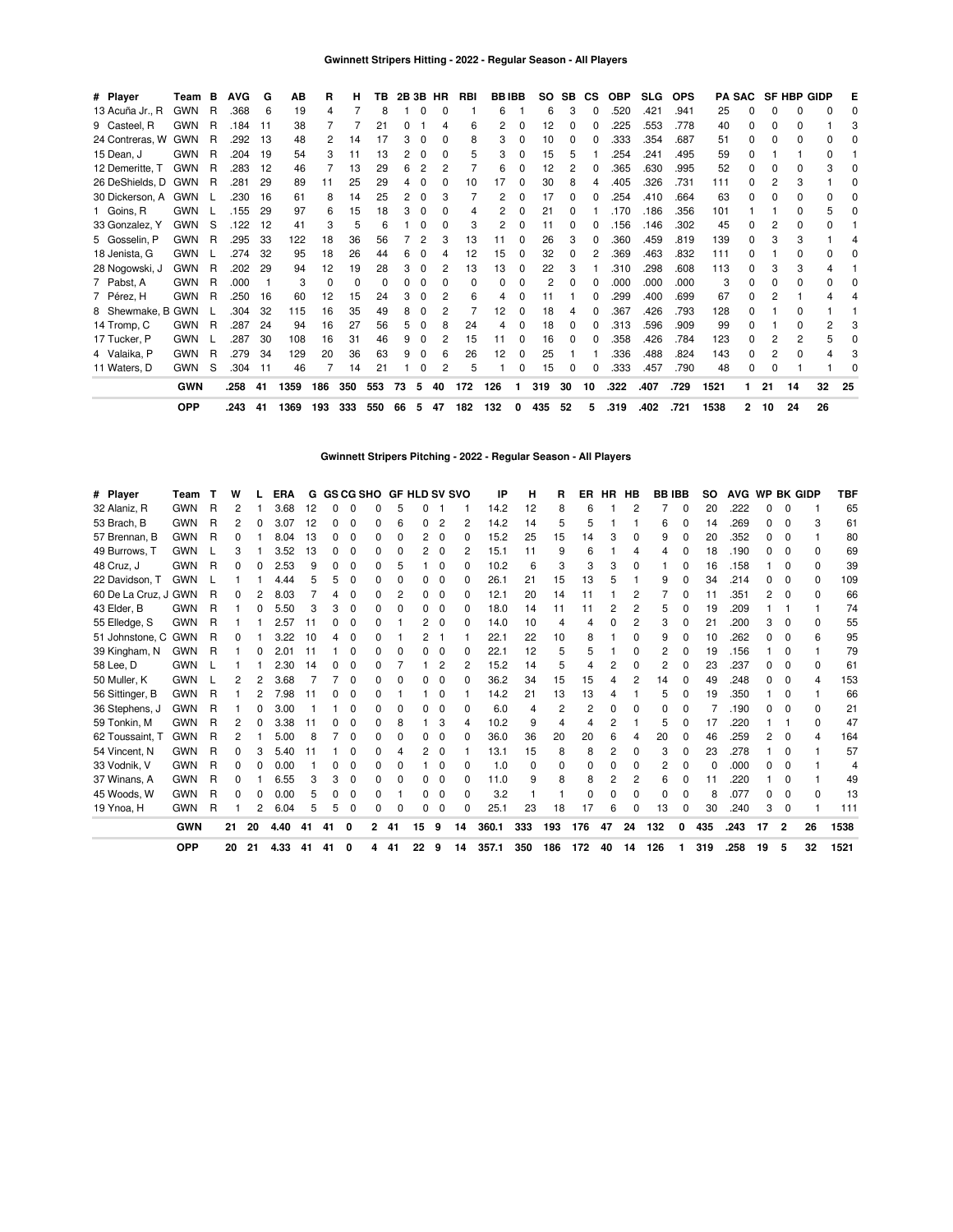| # Player            | Team       | B  | <b>AVG</b> | G   | AВ   | R        | н   | ΤВ  |    | 2B 3B | HR           | RBI          |     | <b>BBIBB</b> | so             | SB           | <b>CS</b> | <b>OBP</b> | <b>SLG</b> | <b>OPS</b> |      | <b>PA SAC</b> |    | <b>SF HBP GIDP</b> |    | Е  |
|---------------------|------------|----|------------|-----|------|----------|-----|-----|----|-------|--------------|--------------|-----|--------------|----------------|--------------|-----------|------------|------------|------------|------|---------------|----|--------------------|----|----|
| 13 Acuña Jr., R     | <b>GWN</b> | R  | .368       | 6   | 19   | 4        |     | 8   |    |       | 0            |              | 6   |              | 6              | 3            | 0         | .520       | .421       | .941       | 25   | O             | 0  | O.                 |    |    |
| 9 Casteel, R        | <b>GWN</b> | R  | .184       | 11  | 38   |          |     | 21  |    |       |              | հ            | 2   |              | 12             |              |           | 225        | .553       | .778       | 40   | <sup>0</sup>  | ŋ  |                    |    |    |
| 24 Contreras, W GWN |            | R  | .292       | -13 | 48   | 2        | 14  | 17  |    |       | 0            | 8            | 3   | 0            | 10             |              | o         | .333       | .354       | .687       | 51   | 0             | 0  |                    |    |    |
| 15 Dean, J          | <b>GWN</b> | R  | .204       | 19  | 54   | 3        | 11  | 13  |    | n     | <sup>0</sup> | 5            | 3   | 0            | 15             | h            |           | .254       | .241       | .495       | 59   | $\Omega$      |    |                    | ŋ  |    |
| 12 Demeritte, T     | <b>GWN</b> | R  | .283       | 12  | 46   |          | 13  | 29  |    |       |              |              | 6   | ი            | 12             |              | 0         | .365       | .630       | .995       | 52   | <sup>0</sup>  | o  |                    | 3  |    |
| 26 DeShields, D GWN |            | -R | .281       | 29  | 89   | 11       | 25  | 29  |    |       |              | 10           |     |              | 30             |              | 4         | .405       | .326       | .731       | 111  | o             |    |                    |    |    |
| 30 Dickerson, A     | <b>GWN</b> |    | .230       | 16  | 61   | 8        | 14  | 25  |    |       | 3            |              | 2   |              | 17             |              | n         | .254       | .410       | .664       | 63   | <sup>0</sup>  | ŋ  | 0                  |    |    |
| 1 Goins, R          | <b>GWN</b> |    | .155       | 29  | 97   | 6        | 15  | 18  |    | O     | 0            | 4            | 2   | ი            | 21             |              |           | .170       | .186       | .356       | 101  |               |    | O.                 | 5  |    |
| 33 Gonzalez, Y      | <b>GWN</b> | -S | .122       | 12  | 41   |          | 5   | 6   |    |       | O            |              | 2   |              | 11             |              |           | .156       | .146       | .302       | 45   |               |    |                    |    |    |
| 5 Gosselin, P       | <b>GWN</b> | R  | .295       | 33  | 122  | 18       | 36  | 56  |    |       | 3            | 13           | 11  |              | 26             | 3            | 0         | 360        | .459       | .819       | 139  | 0             | 3  |                    |    |    |
| 18 Jenista, G       | <b>GWN</b> |    | .274       | 32  | 95   | 18       | 26  | 44  |    |       |              | 12           | 15  | 0            | 32             | <sup>0</sup> | 2         | .369       | .463       | .832       | 111  | 0             |    | O.                 |    |    |
| 28 Nogowski, J      | <b>GWN</b> | R  | .202       | 29  | 94   | 12       | 19  | 28  |    | O     |              | 13           | 13  | o            | 22             |              |           | .310       | .298       | .608       | 113  | <sup>0</sup>  |    |                    |    |    |
| 7 Pabst, A          | <b>GWN</b> | R  | .000       |     | 3    | $\Omega$ | 0   | O   |    |       | 0            | <sup>0</sup> | 0   |              | $\overline{c}$ |              |           | .000       | .000       | .000       | 3    | 0             | 0  |                    |    |    |
| 7 Pérez, H          | <b>GWN</b> | R  | .250       | 16  | 60   | 12       | 15  | 24  |    |       | 2            | 6            | 4   | 0            | 11             |              | o         | .299       | .400       | .699       | 67   | O             |    |                    |    |    |
| 8 Shewmake, B GWN   |            |    | .304       | 32  | 115  | 16       | 35  | 49  |    | n     | 2            |              | 12  | <sup>0</sup> | 18             |              | 0         | .367       | .426       | .793       | 128  | <sup>0</sup>  |    | 0                  |    |    |
| 14 Tromp, C         | <b>GWN</b> | R  | .287       | 24  | 94   | 16       | 27  | 56  |    |       | 8            | 24           | 4   |              | 18             |              | o         | .313       | .596       | .909       | 99   | <sup>0</sup>  |    |                    | 2  |    |
| 17 Tucker, P        | <b>GWN</b> |    | .287       | 30  | 108  | 16       | 31  | 46  |    |       | 2            | 15           | 11  | 0            | 16             |              | 0         | .358       | .426       | .784       | 123  | 0             |    |                    |    |    |
| 4 Valaika, P        | <b>GWN</b> | R  | .279       | 34  | 129  | 20       | 36  | 63  | q  |       | 6            | 26           | 12  | ŋ            | 25             |              |           | .336       | .488       | .824       | 143  | $\Omega$      |    | 0                  |    |    |
| 11 Waters, D        | <b>GWN</b> | S  | .304       | 11  | 46   |          | 14  | 21  |    | O     | 2            | 5            |     | n            | 15             | <sup>0</sup> | 0         | .333       | .457       | .790       | 48   | $\Omega$      | ŋ  |                    |    |    |
|                     | <b>GWN</b> |    | .258       | 41  | 1359 | 186      | 350 | 553 | 73 | 5     | 40           | 172          | 126 |              | 319            | 30           | 10        | .322       | .407       | .729       | 1521 |               | 21 | 14                 | 32 | 25 |
|                     | <b>OPP</b> |    | .243       | 41  | 1369 | 193      | 333 | 550 | 66 | 5     | 47           | 182          | 132 | 0            | 435            | 52           | 5         | .319       | .402       | .721       | 1538 | 2             | 10 | 24                 | 26 |    |

**Gwinnett Stripers Pitching - 2022 - Regular Season - All Players**

| # Player             | Team       |   | w  |    | ERA  | G  | <b>GS CG SHO</b> |   |              |          | <b>GF HLD SV SVO</b> |          |    | ΙP    | н        | R              | ER  | HR.      | HB             | <b>BB IBB</b> |              | so       | <b>AVG</b> | WP BK GIDP |              |          | TBF  |
|----------------------|------------|---|----|----|------|----|------------------|---|--------------|----------|----------------------|----------|----|-------|----------|----------------|-----|----------|----------------|---------------|--------------|----------|------------|------------|--------------|----------|------|
| 32 Alaniz. R         | <b>GWN</b> | R | 2  |    | 3.68 | 12 | O                |   |              | 5        | 0                    |          |    | 14.2  | 12       | 8              | 6   |          | 2              |               | 0            | 20       | .222       | 0          | 0            |          | 65   |
| 53 Brach. B          | <b>GWN</b> | R | 2  |    | 3.07 | 12 |                  |   |              | 6        | 0                    | 2        | 2  | 14.2  | 14       | 5              | 5   |          |                | 6             |              | 14       | .269       | n          |              | 3        | 61   |
| 57 Brennan, B        | <b>GWN</b> | R | 0  |    | 8.04 | 13 | n                | O |              | 0        | 2                    | $\Omega$ | 0  | 15.2  | 25       | 15             | 14  | 3        | $\Omega$       | 9             | 0            | 20       | .352       | U          | <sup>0</sup> |          | 80   |
| 49 Burrows, T        | <b>GWN</b> |   | 3  |    | 3.52 | 13 | ŋ                | 0 |              | 0        | 2                    | 0        | 2  | 15.1  | 11       | 9              | 6   |          | 4              | 4             | 0            | 18       | .190       | n          | n            | $\Omega$ | 69   |
| 48 Cruz. J           | <b>GWN</b> | R | 0  |    | 2.53 | 9  |                  | O |              | 5        |                      | 0        | 0  | 10.2  | 6        | 3              | 3   | 3        | 0              |               | 0            | 16       | .158       |            | <sup>0</sup> | $\Omega$ | 39   |
| 22 Davidson, T       | <b>GWN</b> |   |    |    | 4.44 | 5  | 5                |   |              | 0        | 0                    | 0        | 0  | 26.1  | 21       | 15             | 13  |          |                | 9             |              | 34       | .214       | n          | <sup>0</sup> | 0        | 109  |
| 60 De La Cruz. J GWN |            | R | 0  |    | 8.03 |    |                  |   |              | 2        | 0                    | 0        | 0  | 12.1  | 20       | 14             | 11  |          | 2              |               | 0            | 11       | .351       | 2          | $\Omega$     | 0        | 66   |
| 43 Elder, B          | <b>GWN</b> | R |    |    | 5.50 | 3  | 3                |   |              | 0        | 0                    | 0        | 0  | 18.0  | 14       | 11             | 11  |          | 2              | 5             |              | 19       | .209       |            |              |          | 74   |
| 55 Elledge, S        | <b>GWN</b> | R |    |    | 2.57 | 11 |                  | O |              |          | 2                    | $\Omega$ | 0  | 14.0  | 10       | 4              | 4   | 0        | $\overline{c}$ | 3             | 0            | 21       | .200       | 3          |              | $\Omega$ | 55   |
| 51 Johnstone, C      | <b>GWN</b> | R | 0  |    | 3.22 | 10 |                  | O |              |          | 2                    |          |    | 22.1  | 22       | 10             | 8   |          | 0              | 9             | 0            | 10       | .262       | n.         | <sup>0</sup> | 6        | 95   |
| 39 Kingham, N        | <b>GWN</b> | R |    |    | 2.01 | 11 |                  |   |              | O        | o                    | 0        | o  | 22.1  | 12       | 5              | 5   |          | 0              | 2             | 0            | 19       | .156       |            | <sup>0</sup> |          | 79   |
| 58 Lee, D            | <b>GWN</b> |   |    |    | 2.30 | 14 | 0                | O |              |          |                      | 2        | 2  | 15.2  | 14       | 5              | 4   | 2        | 0              | 2             |              | 23       | .237       | ი          | <sup>0</sup> | 0        | 61   |
| 50 Muller, K         | <b>GWN</b> |   | 2  |    | 3.68 |    |                  | O |              | $\Omega$ | 0                    | 0        | 0  | 36.2  | 34       | 15             | 15  | 4        | 2              | 14            | 0            | 49       | .248       | n          | 0            | 4        | 153  |
| 56 Sittinger, B      | <b>GWN</b> | R |    |    | 7.98 |    |                  |   |              |          |                      | 0        |    | 14.2  | 21       | 13             | 13  | 4        |                | 5             | 0            | 19       | .350       |            | <sup>0</sup> |          | 66   |
| 36 Stephens, J       | <b>GWN</b> | R |    |    | 3.00 |    |                  | ŋ |              | 0        | U                    | 0        | 0  | 6.0   | 4        | $\overline{2}$ | 2   |          | ŋ              | 0             |              |          | 190        | n          | <sup>0</sup> | $\Omega$ | 21   |
| 59 Tonkin, M         | <b>GWN</b> | R | 2  |    | 3.38 | 11 | n                | O |              | 8        |                      | 3        | 4  | 10.2  | 9        | 4              | 4   | 2        |                | 5             |              | 17       | .220       |            |              | $\Omega$ | 47   |
| 62 Toussaint, T      | <b>GWN</b> | R | 2  |    | 5.00 | 8  |                  | O |              | 0        | U                    | $\Omega$ | 0  | 36.0  | 36       | 20             | 20  | 6        | 4              | 20            | <sup>0</sup> | 46       | .259       | 2          | <sup>0</sup> | 4        | 164  |
| 54 Vincent, N        | <b>GWN</b> | R | 0  |    | 5.40 | 11 |                  |   |              | 4        | 2                    | $\Omega$ |    | 13.1  | 15       | 8              | 8   | 2        | $\Omega$       | 3             | 0            | 23       | .278       |            | <sup>0</sup> |          | 57   |
| 33 Vodnik. V         | <b>GWN</b> | R | 0  |    | 0.00 |    | 0                | 0 |              | 0        |                      | 0        | 0  | 1.0   | $\Omega$ | $\Omega$       | 0   | $\Omega$ | 0              | 2             | 0            | $\Omega$ | .000       | n          | 0            |          | 4    |
| 37 Winans, A         | <b>GWN</b> | R | 0  |    | 6.55 | 3  | 3                | O |              | 0        | o                    | 0        | 0  | 11.0  | 9        | 8              | 8   | 2        | 2              | 6             | 0            | 11       | .220       |            | <sup>0</sup> |          | 49   |
| 45 Woods, W          | <b>GWN</b> | R | O  |    | 0.00 | 5  | O                | O |              |          | 0                    | $\Omega$ | 0  | 3.2   |          |                | 0   | 0        | 0              | 0             |              | 8        | .077       | n          | 0            | $\Omega$ | 13   |
| 19 Ynoa, H           | <b>GWN</b> | R |    | 2  | 6.04 | 5  | 5                | U | <sup>n</sup> | $\Omega$ | 0                    | $\Omega$ | 0  | 25.1  | 23       | 18             | 17  | 6        | $\Omega$       | 13            | <sup>0</sup> | 30       | .240       | 3          | $\Omega$     |          | 111  |
|                      | <b>GWN</b> |   | 21 | 20 | 4.40 | 41 | 41               | 0 | 2            | 41       | 15                   | 9        | 14 | 360.1 | 333      | 193            | 176 | 47       | 24             | 132           | 0            | 435      | .243       | 17         | $\mathbf{2}$ | 26       | 1538 |
|                      | <b>OPP</b> |   | 20 | 21 | 4.33 | 41 | 41               | 0 | 4            | 41       | 22                   | 9        | 14 | 357.1 | 350      | 186            | 172 | 40       | 14             | 126           |              | 319      | .258       | 19         | 5            | 32       | 1521 |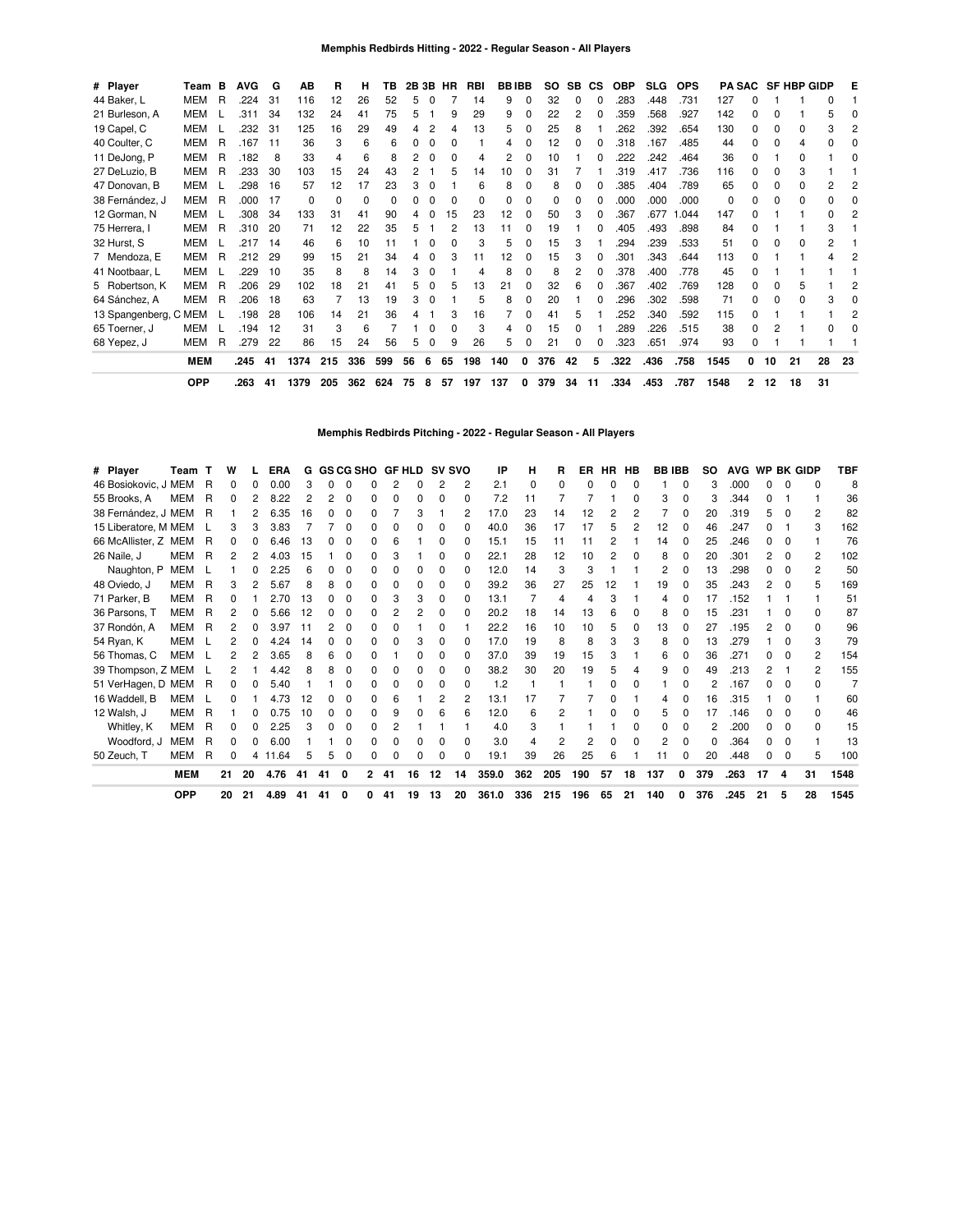| # Player              | Team       | в | <b>AVG</b> | G   | AВ       | R   | н        | ΤВ  |    | 2B 3B    | HR           | RBI | <b>BBIBB</b> |   | SO. | <b>SB</b> | СS | <b>OBP</b> | <b>SLG</b> | <b>OPS</b> |      |              |              | PA SAC SF HBP GIDP |    | Е  |
|-----------------------|------------|---|------------|-----|----------|-----|----------|-----|----|----------|--------------|-----|--------------|---|-----|-----------|----|------------|------------|------------|------|--------------|--------------|--------------------|----|----|
| 44 Baker, L           | <b>MEM</b> | R | .224       | -31 | 116      | 12  | 26       | 52  | 5  | 0        |              | 14  | 9            | 0 | 32  | 0         | ŋ  | .283       | .448       | .731       | 127  | O            |              |                    |    |    |
| 21 Burleson, A        | MEM        |   | .311       | 34  | 132      | 24  | 41       | 75  | 5  |          | 9            | 29  | 9            | 0 | 22  | 2         | 0  | 359        | .568       | .927       | 142  | O            |              |                    | 5  |    |
| 19 Capel, C           | MEM        |   | .232       | 31  | 125      | 16  | 29       | 49  | 4  |          |              | 13  | 5            | 0 | 25  | 8         |    | 262        | .392       | .654       | 130  | O            | 0            |                    | 3  |    |
| 40 Coulter, C         | <b>MEM</b> | R | .167       | -11 | 36       | 3   | 6        | 6   | ŋ  | $\Omega$ | <sup>0</sup> |     | 4            | 0 | 12  | O         | ŋ  | .318       | 167        | .485       | 44   | n            | <sup>0</sup> | 4                  |    |    |
| 11 DeJong, P          | MEM        | R | .182       | 8   | 33       | 4   | 6        | я   |    | 0        |              |     |              |   | 10  |           |    | .222       | .242       | .464       | 36   | O            |              |                    |    |    |
| 27 DeLuzio, B         | MEM        | R | .233       | 30  | 103      | 15  | 24       | 43  |    |          | 5            | 14  | 10           | 0 | 31  |           |    | .319       | .417       | .736       | 116  | 0            | O            | 3                  |    |    |
| 47 Donovan, B         | MEM        |   | .298       | 16  | 57       | 12  | 17       | 23  | 3  | 0        |              | 6   | 8            | 0 | 8   |           |    | .385       | .404       | .789       | 65   | O            |              | ŋ                  | 2  |    |
| 38 Fernández, J       | MEM        | R | .000       | 17  | $\Omega$ | 0   | $\Omega$ | 0   | 0  | 0        |              | 0   | O            | 0 | 0   |           | ŋ  | .000       | .000       | .000       | 0    |              | O            | <sup>0</sup>       | 0  |    |
| 12 Gorman, N          | MEM        |   | .308       | 34  | 133      | 31  | 41       | 90  | 4  | 0        | 15           | 23  | 12           | 0 | 50  | 3         | 0  | .367       | .677       | .044       | 147  | O            |              |                    | 0  |    |
| 75 Herrera, I         | MEM        | R | .310       | 20  | 71       | 12  | 22       | 35  | 5  |          |              | 13  | 11           | 0 | 19  |           |    | .405       | .493       | .898       | 84   |              |              |                    | 3  |    |
| 32 Hurst, S           | MEM        |   | .217       | 14  | 46       | 6   | 10       | 11  |    | 0        |              | 3   | 5            | 0 | 15  |           |    | 294        | .239       | .533       | 51   | O            | O            | $\Omega$           | 2  |    |
| 7 Mendoza, E          | MEM        | R | .212       | 29  | 99       | 15  | 21       | 34  | 4  | 0        |              | 11  | 12           | 0 | 15  |           | 0  | .301       | .343       | .644       | 113  | O            |              |                    |    |    |
| 41 Nootbaar, L        | MEM        |   | .229       | 10  | 35       | 8   | 8        | 14  | 3  | 0        |              |     | 8            | 0 | 8   | 2         | 0  | .378       | .400       | .778       | 45   | O            |              |                    |    |    |
| 5 Robertson, K        | MEM        | R | .206       | 29  | 102      | 18  | 21       | 41  | 5  | 0        |              | 13  | 21           | 0 | 32  | 6         | n  | .367       | .402       | .769       | 128  | O            | O            | 5                  |    |    |
| 64 Sánchez, A         | <b>MEM</b> | R | .206       | 18  | 63       |     | 13       | 19  | 3  | $\Omega$ |              | 5   | 8            | 0 | 20  |           | ŋ  | .296       | .302       | .598       | 71   | n            | O            | <sup>0</sup>       | 3  |    |
| 13 Spangenberg, C MEM |            |   | .198       | 28  | 106      | 14  | 21       | 36  | 4  |          | 3            | 16  |              | 0 | 41  | 5         |    | 252        | .340       | .592       | 115  | O            |              |                    |    |    |
| 65 Toerner, J         | MEM        |   | .194       | 12  | 31       | 3   | 6        |     |    | $\Omega$ |              | 3   | 4            | 0 | 15  |           |    | .289       | .226       | .515       | 38   | <sup>0</sup> |              |                    | 0  |    |
| 68 Yepez, J           | MEM        | R | .279       | 22  | 86       | 15  | 24       | 56  | 5  | 0        | 9            | 26  | 5            | 0 | 21  |           | n  | .323       | .651       | .974       | 93   | O            |              |                    |    |    |
|                       | <b>MEM</b> |   | .245       | 41  | 1374     | 215 | 336      | 599 | 56 | 6        | 65           | 198 | 140          | 0 | 376 | 42        | 5  | .322       | .436       | .758       | 1545 | 0            | 10           | 21                 | 28 | 23 |
|                       | <b>OPP</b> |   | .263       | 41  | 1379     | 205 | 362      | 624 | 75 | 8        | 57           | 197 | 137          | 0 | 379 | 34        | 11 | .334       | .453       | .787       | 1548 | 2            | 12           | 18                 | 31 |    |

**Memphis Redbirds Pitching - 2022 - Regular Season - All Players**

| # Player             | Team       |   | w  |    | ERA   | G  |    |              | <b>GS CG SHO</b> |    | <b>GF HLD</b> |          | <b>SV SVO</b> | IP    | н   | R            | ER  | HR HB |          | <b>BB IBB</b> |              | so  | <b>AVG</b> |    |              | WP BK GIDP   | TBF  |
|----------------------|------------|---|----|----|-------|----|----|--------------|------------------|----|---------------|----------|---------------|-------|-----|--------------|-----|-------|----------|---------------|--------------|-----|------------|----|--------------|--------------|------|
| 46 Bosiokovic, J MEM |            | R | 0  | 0  | 0.00  | з  | n  | O            | n                |    | 0             | 2        | 2             | 2.1   | 0   | <sup>0</sup> | O   |       | 0        |               | <sup>0</sup> | 3   | .000       | n. | <sup>n</sup> | <sup>0</sup> | 8    |
| 55 Brooks, A         | <b>MEM</b> | R | 0  |    | 8.22  | 2  |    | O            |                  |    | 0             | $\Omega$ | <sup>0</sup>  | 7.2   | 11  |              |     |       | 0        | 3             | <sup>0</sup> | З   | .344       |    |              |              | 36   |
| 38 Fernández, J MEM  |            | R |    |    | 6.35  | 16 |    | C            |                  |    | 3             |          | 2             | 17.0  | 23  | 14           | 12  |       | 2        |               |              | 20  | .319       | 5  |              | 2            | 82   |
| 15 Liberatore, M MEM |            |   |    | 3  | 3.83  |    |    | O            |                  |    |               | O        | O             | 40.0  | 36  | 17           | 17  | 5     | 2        | 12            |              | 46  | .247       |    |              | з            | 162  |
| 66 McAllister, Z MEM |            | R |    | 0  | 6.46  | 13 |    | 0            |                  | 6  |               | $\Omega$ | 0             | 15.1  | 15  | 11           | 11  |       |          | 14            | 0            | 25  | .246       | 0  |              |              | 76   |
| 26 Naile, J          | MEM        | R |    | 2  | 4.03  | 15 |    | 0            | O                |    |               | $\Omega$ | O             | 22.1  | 28  | 12           | 10  |       | $\Omega$ | 8             |              | 20  | .301       | 2  | 0            | 2            | 102  |
| Naughton, P          | MEM        |   |    | n  | 2.25  | 6  |    | <sup>0</sup> | n                | n  | 0             | $\Omega$ | O             | 12.0  | 14  | 3            | 3   |       |          | 2             |              | 13  | .298       | n. |              | 2            | 50   |
| 48 Oviedo, J         | MEM        | R | 3  | 2  | 5.67  | 8  | 8  | 0            | n                | n  | 0             | 0        | <sup>0</sup>  | 39.2  | 36  | 27           | 25  | 12    |          | 19            | 0            | 35  | .243       | 2  | <sup>0</sup> | 5            | 169  |
| 71 Parker, B         | MEM        | R |    |    | 2.70  | 13 |    | O            |                  |    | 3             | $\Omega$ | O             | 13.1  |     | 4            | 4   |       |          | 4             | 0            | 17  | 152        |    |              |              | 51   |
| 36 Parsons, T        | MEM        | R |    | 0  | 5.66  | 12 |    | O            | n                |    | 2             | $\Omega$ | O             | 20.2  | 18  | 14           | 13  |       | o        | 8             |              | 15  | .231       |    |              | ŋ            | 87   |
| 37 Rondón, A         | MEM        | R | 2  | 0  | 3.97  | 11 |    | $\Omega$     | O                |    |               | O        |               | 22.2  | 16  | 10           | 10  | 5     | 0        | 13            |              | 27  | .195       | 2  |              | <sup>0</sup> | 96   |
| 54 Ryan, K           | MEM        |   |    | 0  | 4.24  | 14 |    | 0            | O                |    | 3             | $\Omega$ | 0             | 17.0  | 19  | 8            | 8   | 3     | 3        | 8             | 0            | 13  | .279       |    |              | 3            | 79   |
| 56 Thomas, C         | <b>MEM</b> |   | 2  | 2  | 3.65  | 8  | հ  | O            | n                |    | 0             | $\Omega$ | ŋ             | 37.0  | 39  | 19           | 15  | 3     |          | 6             | <sup>0</sup> | 36  | .271       | n  |              | 2            | 154  |
| 39 Thompson, Z MEM   |            |   | 2  |    | 4.42  | 8  | 8  | O            | n                |    | 0             | $\Omega$ | O             | 38.2  | 30  | 20           | 19  |       | 4        | 9             |              | 49  | .213       | 2  |              | 2            | 155  |
| 51 VerHagen, D MEM   |            | R | 0  | 0  | 5.40  |    |    | O            | n                | O  | 0             | $\Omega$ | O             | 1.2   |     |              |     |       | 0        |               | 0            |     | .167       | n. | $\Omega$     | <sup>0</sup> |      |
| 16 Waddell, B        | MEM        |   |    |    | 4.73  | 12 |    | O            | n                | 6  |               | 2        | 2             | 13.1  | 17  |              |     |       |          | 4             |              | 16  | .315       |    |              |              | 60   |
| 12 Walsh, J          | MEM        | R |    | 0  | 0.75  | 10 |    | O            | n                | 9  | 0             | 6        | 6             | 12.0  | 6   | 2            |     |       | ŋ        | 5.            |              | 17  | .146       |    |              | <sup>0</sup> | 46   |
| Whitley, K           | MEM        | R |    | 0  | 2.25  | 3  |    | 0            | O                |    |               |          |               | 4.0   | 3   |              |     |       | 0        |               |              | 2   | .200       | 0  | 0            | <sup>0</sup> | 15   |
| Woodford, J          | <b>MEM</b> | R |    | 0  | 6.00  |    |    | O            | O                |    |               | O        | O             | 3.0   | 4   | 2            | 2   |       | 0        |               | 0            | 0   | .364       | n. | <sup>0</sup> |              | 13   |
| 50 Zeuch, T          | MEM        | R | 0  | 4  | 11.64 | 5  | 5  | 0            | O                | O  | 0             | 0        | 0             | 19.1  | 39  | 26           | 25  | 6     |          | 11            | $\Omega$     | 20  | .448       | 0  | $\Omega$     | 5            | 100  |
|                      | <b>MEM</b> |   | 21 | 20 | 4.76  | 41 | 41 | 0            | 2                | 41 | 16            | 12       | 14            | 359.0 | 362 | 205          | 190 | 57    | 18       | 137           | 0            | 379 | .263       | 17 | 4            | 31           | 1548 |
|                      | <b>OPP</b> |   | 20 | 21 | 4.89  | 41 | 41 | 0            | 0                | 41 | 19            | 13       | 20            | 361.0 | 336 | 215          | 196 | 65    | 21       | 140           | 0            | 376 | .245       | 21 | 5            | 28           | 1545 |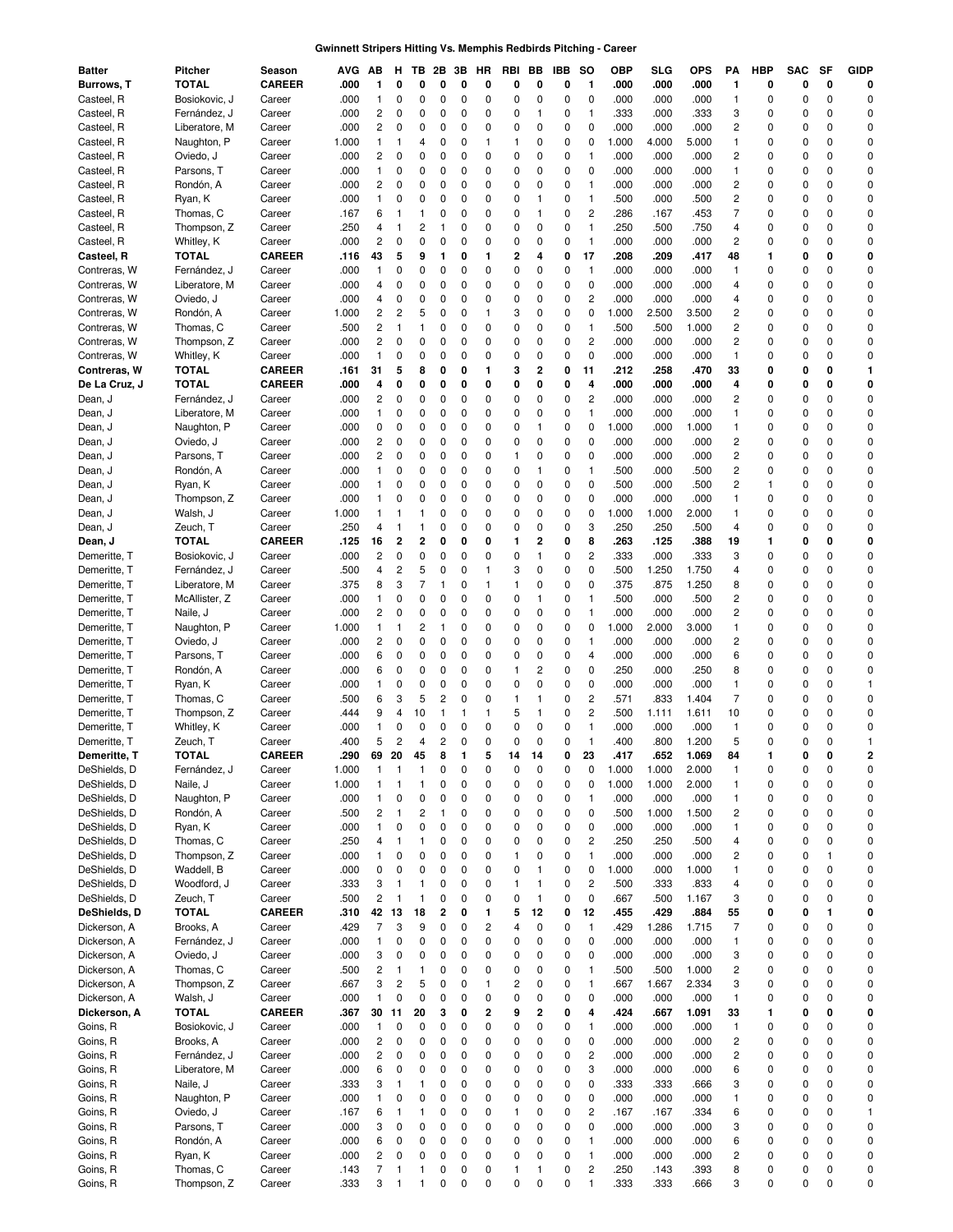### **Gwinnett Stripers Hitting Vs. Memphis Redbirds Pitching - Career**

| Batter        | <b>Pitcher</b> | Season        | AVG   | АB                      | н              | тв                      | 2Β             | зв | HR | RBI          | BВ             | IBB | so                      | ОВР   | SLG   | <b>OPS</b> | PA                      | <b>HBP</b>  | SAC | SF           | <b>GIDP</b>    |
|---------------|----------------|---------------|-------|-------------------------|----------------|-------------------------|----------------|----|----|--------------|----------------|-----|-------------------------|-------|-------|------------|-------------------------|-------------|-----|--------------|----------------|
| Burrows, T    | TOTAL          | <b>CAREER</b> | .000  | 1                       | 0              | 0                       | 0              | 0  | 0  | 0            | 0              | 0   | 1                       | .000  | .000  | .000       | 1                       | 0           | 0   | 0            | 0              |
| Casteel, R    | Bosiokovic, J  | Career        | .000  | 1                       | 0              | 0                       | 0              | 0  | 0  | $\mathbf 0$  | 0              | 0   | $\mathbf 0$             | .000  | .000  | .000       | $\mathbf{1}$            | $\mathbf 0$ | 0   | $\mathbf 0$  | $\mathbf 0$    |
| Casteel, R    | Fernández, J   | Career        | .000  | 2                       | 0              | 0                       | 0              | 0  | 0  | 0            | 1              | 0   | $\mathbf{1}$            | .333  | .000  | .333       | 3                       | 0           | 0   | 0            | 0              |
| Casteel, R    | Liberatore, M  | Career        | .000  | 2                       | 0              | 0                       | 0              | 0  | 0  | 0            | 0              | 0   | $\mathbf 0$             | .000  | .000  | .000       | $\overline{\mathbf{c}}$ | 0           | 0   | $\mathbf 0$  | 0              |
| Casteel, R    | Naughton, P    | Career        | 1.000 | 1                       | $\mathbf{1}$   | 4                       | 0              | 0  | 1  | $\mathbf{1}$ | 0              | 0   | 0                       | 1.000 | 4.000 | 5.000      | $\mathbf{1}$            | 0           | 0   | $\mathbf 0$  | $\mathbf 0$    |
| Casteel, R    | Oviedo, J      | Career        | .000  | 2                       | 0              | 0                       | 0              | 0  | 0  | 0            | 0              | 0   | $\mathbf{1}$            | .000  | .000  | .000       | 2                       | 0           | 0   | 0            | 0              |
| Casteel, R    | Parsons, T     | Career        | .000  | 1                       | 0              | 0                       | 0              | 0  | 0  | $\mathbf 0$  | 0              | 0   | 0                       | .000  | .000  | .000       | $\mathbf{1}$            | 0           | 0   | $\mathbf 0$  | $\mathbf 0$    |
| Casteel, R    | Rondón, A      | Career        | .000  | 2                       | 0              | 0                       | 0              | 0  | 0  | 0            | 0              | 0   | $\mathbf{1}$            | .000  | .000  | .000       | 2                       | 0           | 0   | $\mathbf 0$  | 0              |
| Casteel, R    | Ryan, K        | Career        | .000  | 1                       | 0              | 0                       | 0              | 0  | 0  | 0            | 1              | 0   | $\mathbf{1}$            | .500  | .000  | .500       | $\overline{c}$          | 0           | 0   | $\mathbf 0$  | $\mathbf 0$    |
| Casteel, R    | Thomas, C      | Career        | .167  | 6                       | 1              |                         | 0              | 0  | 0  | $\mathbf 0$  | $\mathbf{1}$   | 0   | $\overline{c}$          | .286  | .167  | .453       | $\overline{7}$          | $\mathbf 0$ | 0   | 0            | $\mathbf 0$    |
| Casteel, R    | Thompson, Z    | Career        | .250  | 4                       | $\mathbf{1}$   | $\overline{c}$          | 1              | 0  | 0  | $\mathbf 0$  | 0              | 0   | $\mathbf{1}$            | .250  | .500  | .750       | 4                       | 0           | 0   | $\mathbf 0$  | $\mathbf 0$    |
| Casteel, R    | Whitley, K     | Career        | .000  | $\overline{c}$          | 0              | $\mathbf 0$             | 0              | 0  | 0  | 0            | 0              | 0   | $\mathbf{1}$            | .000  | .000  | .000       | $\overline{c}$          | 0           | 0   | $\mathbf 0$  | $\mathbf 0$    |
| Casteel, R    | <b>TOTAL</b>   | <b>CAREER</b> | .116  | 43                      | 5              | 9                       | 1              | 0  | 1  | 2            | 4              | 0   | 17                      | .208  | .209  | .417       | 48                      | 1           | 0   | 0            | 0              |
| Contreras, W  | Fernández, J   |               | .000  | 1                       | 0              | 0                       | 0              | 0  | 0  | 0            | 0              | 0   | $\mathbf{1}$            | .000  | .000  | .000       | $\mathbf{1}$            | 0           | 0   | $\mathbf 0$  | 0              |
| Contreras, W  |                | Career        | .000  | 4                       | 0              | 0                       | 0              | 0  | 0  | 0            | 0              | 0   | 0                       | .000  | .000  |            | 4                       | 0           | 0   | $\mathbf 0$  | 0              |
|               | Liberatore, M  | Career        |       |                         |                |                         |                |    |    |              |                |     |                         |       |       | .000       |                         |             |     |              | 0              |
| Contreras, W  | Oviedo, J      | Career        | .000  | 4                       | 0              | 0                       | 0              | 0  | 0  | 0            | 0              | 0   | 2                       | .000  | .000  | .000       | 4                       | 0           | 0   | $\mathbf 0$  |                |
| Contreras, W  | Rondón, A      | Career        | 1.000 | 2                       | $\overline{c}$ | 5                       | 0              | 0  | 1  | 3            | 0              | 0   | 0                       | 1.000 | 2.500 | 3.500      | 2                       | 0           | 0   | $\mathbf 0$  | 0              |
| Contreras, W  | Thomas, C      | Career        | .500  | 2                       | $\mathbf{1}$   | 1                       | 0              | 0  | 0  | 0            | 0              | 0   | $\mathbf{1}$            | .500  | .500  | 1.000      | $\overline{\mathbf{c}}$ | 0           | 0   | 0            | $\mathbf 0$    |
| Contreras, W  | Thompson, Z    | Career        | .000  | $\overline{c}$          | 0              | 0                       | 0              | 0  | 0  | 0            | 0              | 0   | $\overline{c}$          | .000  | .000  | .000       | $\overline{\mathbf{c}}$ | 0           | 0   | $\mathbf 0$  | 0              |
| Contreras, W  | Whitley, K     | Career        | .000  | 1                       | 0              | 0                       | 0              | 0  | 0  | 0            | 0              | 0   | 0                       | .000  | .000  | .000       | $\mathbf{1}$            | 0           | 0   | $\mathbf 0$  | $\mathbf 0$    |
| Contreras, W  | TOTAL          | <b>CAREER</b> | .161  | 31                      | 5              | 8                       | 0              | 0  | 1  | 3            | $\overline{2}$ | 0   | 11                      | .212  | .258  | .470       | 33                      | 0           | 0   | 0            | $\mathbf{1}$   |
| De La Cruz, J | <b>TOTAL</b>   | <b>CAREER</b> | .000  | 4                       | 0              | 0                       | 0              | 0  | 0  | 0            | 0              | 0   | 4                       | .000  | .000  | .000       | 4                       | 0           | 0   | 0            | 0              |
| Dean, J       | Fernández, J   | Career        | .000  | 2                       | 0              | 0                       | 0              | 0  | 0  | 0            | 0              | 0   | $\overline{c}$          | .000  | .000  | .000       | 2                       | 0           | 0   | 0            | 0              |
| Dean, J       | Liberatore, M  | Career        | .000  | 1                       | 0              | 0                       | 0              | 0  | 0  | 0            | 0              | 0   | $\mathbf{1}$            | .000  | .000  | .000       | 1                       | 0           | 0   | $\mathbf 0$  | $\mathbf 0$    |
| Dean, J       | Naughton, P    | Career        | .000  | 0                       | 0              | 0                       | 0              | 0  | 0  | 0            | $\mathbf{1}$   | 0   | 0                       | 1.000 | .000  | 1.000      | $\mathbf{1}$            | 0           | 0   | $\mathbf 0$  | 0              |
| Dean, J       | Oviedo, J      | Career        | .000  | 2                       | 0              | 0                       | 0              | 0  | 0  | 0            | 0              | 0   | 0                       | .000  | .000  | .000       | $\overline{c}$          | 0           | 0   | $\mathbf 0$  | $\mathbf 0$    |
| Dean, J       | Parsons, T     | Career        | .000  | $\overline{2}$          | 0              | 0                       | 0              | 0  | 0  | $\mathbf{1}$ | 0              | 0   | 0                       | .000  | .000  | .000       | $\overline{c}$          | $\mathbf 0$ | 0   | $\mathbf 0$  | $\mathbf 0$    |
| Dean, J       | Rondón, A      | Career        | .000  | 1                       | 0              | 0                       | 0              | 0  | 0  | 0            | 1              | 0   | 1                       | .500  | .000  | .500       | $\overline{c}$          | 0           | 0   | $\mathbf 0$  | $\mathbf 0$    |
| Dean, J       | Ryan, K        | Career        | .000  | 1                       | 0              | 0                       | 0              | 0  | 0  | 0            | 0              | 0   | 0                       | .500  | .000  | .500       | $\overline{\mathbf{c}}$ | -1          | 0   | $\mathbf 0$  | $\mathbf 0$    |
| Dean, J       | Thompson, Z    | Career        | .000  | 1                       | 0              | 0                       | 0              | 0  | 0  | 0            | 0              | 0   | 0                       | .000  | .000  | .000       | $\mathbf{1}$            | 0           | 0   | $\mathbf 0$  | 0              |
| Dean, J       | Walsh, J       | Career        | 1.000 | 1                       | -1             |                         | 0              | 0  | 0  | 0            | 0              | 0   | 0                       | 1.000 | 1.000 | 2.000      | $\mathbf{1}$            | 0           | 0   | $\mathbf 0$  | 0              |
| Dean, J       | Zeuch, T       | Career        | .250  | 4                       | 1              | 1                       | 0              | 0  | 0  | 0            | 0              | 0   | 3                       | .250  | .250  | .500       | 4                       | 0           | 0   | $\mathbf 0$  | 0              |
| Dean, J       | TOTAL          | <b>CAREER</b> | .125  | 16                      | $\overline{2}$ | $\overline{2}$          | 0              | 0  | 0  | 1            | $\overline{2}$ | 0   | 8                       | .263  | .125  | .388       | 19                      | 1           | 0   | 0            | 0              |
| Demeritte, T  | Bosiokovic, J  | Career        | .000  | 2                       | 0              | $\mathbf 0$             | 0              | 0  | 0  | 0            | $\mathbf{1}$   | 0   | 2                       | .333  | .000  | .333       | 3                       | 0           | 0   | $\mathbf 0$  | 0              |
| Demeritte, T  | Fernández, J   | Career        | .500  | 4                       | $\overline{c}$ | 5                       | 0              | 0  | 1  | 3            | 0              | 0   | 0                       | .500  | 1.250 | 1.750      | 4                       | 0           | 0   | 0            | $\mathbf 0$    |
| Demeritte, T  | Liberatore, M  | Career        | .375  | 8                       | 3              | $\overline{7}$          | 1              | 0  | 1  | $\mathbf{1}$ | 0              | 0   | $\pmb{0}$               | .375  | .875  | 1.250      | 8                       | 0           | 0   | $\mathbf 0$  | 0              |
| Demeritte, T  | McAllister, Z  | Career        | .000  | 1                       | 0              | 0                       | 0              | 0  | 0  | 0            | $\mathbf{1}$   | 0   | $\mathbf{1}$            | .500  | .000  | .500       | $\overline{c}$          | 0           | 0   | $\mathbf 0$  | 0              |
| Demeritte, T  | Naile, J       | Career        | .000  | 2                       | 0              | 0                       | 0              | 0  | 0  | 0            | 0              | 0   | $\mathbf{1}$            | .000  | .000  | .000       | $\overline{\mathbf{c}}$ | 0           | 0   | $\mathbf 0$  | 0              |
| Demeritte, T  | Naughton, P    | Career        | 1.000 | 1                       | $\mathbf{1}$   | 2                       | 1              | 0  | 0  | 0            | 0              | 0   | 0                       | 1.000 | 2.000 | 3.000      | $\mathbf{1}$            | 0           | 0   | $\mathbf 0$  | $\mathbf 0$    |
| Demeritte, T  | Oviedo, J      | Career        | .000  | 2                       | 0              | 0                       | 0              | 0  | 0  | 0            | 0              | 0   | 1                       | .000  | .000  | .000       | 2                       | 0           | 0   | 0            | $\mathbf 0$    |
| Demeritte, T  | Parsons, T     | Career        | .000  | 6                       | 0              | 0                       | 0              | 0  | 0  | 0            | 0              | 0   | 4                       | .000  | .000  | .000       | 6                       | 0           | 0   | $\mathbf 0$  | $\mathbf 0$    |
| Demeritte, T  | Rondón, A      | Career        | .000  | 6                       | 0              | 0                       | 0              | 0  | 0  | $\mathbf{1}$ | 2              | 0   | 0                       | .250  | .000  | .250       | 8                       | 0           | 0   | 0            | 0              |
| Demeritte, T  | Ryan, K        | Career        | .000  | 1                       | 0              | 0                       | 0              | 0  | 0  | 0            | 0              | 0   | 0                       | .000  | .000  | .000       | $\mathbf{1}$            | 0           | 0   | $\mathbf 0$  | $\mathbf{1}$   |
|               |                |               |       | 6                       |                | 5                       | $\overline{c}$ | 0  | 0  | $\mathbf{1}$ | 1              | 0   | $\overline{c}$          | .571  |       |            | $\overline{7}$          | $\mathbf 0$ | 0   | 0            | $\mathbf 0$    |
| Demeritte, T  | Thomas, C      | Career        | .500  |                         | 3              |                         |                |    |    |              |                |     |                         |       | .833  | 1.404      |                         |             |     |              | $\mathbf 0$    |
| Demeritte, T  | Thompson, Z    | Career        | .444  | 9                       | 4              | 10                      | 1              | 1  | 1  | 5            | 1              | 0   | $\overline{c}$          | .500  | 1.111 | 1.611      | 10                      | 0           | 0   | $\mathbf 0$  |                |
| Demeritte, T  | Whitley, K     | Career        | .000  | $\mathbf{1}$            | 0              | $\Omega$                | 0              | 0  | 0  | $\mathbf 0$  | 0              | 0   | $\mathbf{1}$            | .000  | .000  | .000       | $\mathbf{1}$            | 0           | 0   | $\Omega$     | 0              |
| Demeritte, T  | Zeuch, T       | Career        | .400  | 5                       | 2              | $\overline{4}$          | 2              | 0  | 0  | 0            | 0              | 0   | $\mathbf{1}$            | .400  | .800  | 1.200      | 5                       | C           | 0   | $\mathbf 0$  | -1             |
| Demeritte, T  | <b>TOTAL</b>   | CAREER        | .290  | 69                      | 20             | 45                      | 8              | 1  | 5  | 14           | 14             | 0   | 23                      | 417   | .652  | 1.069      | 84                      | 1           | 0   | $\mathbf{0}$ | $\overline{2}$ |
| DeShields, D  | Fernández, J   | Career        | 1.000 | 1                       | 1              | 1                       | 0              | 0  | 0  | 0            | 0              | 0   | 0                       | 1.000 | 1.000 | 2.000      | $\mathbf{1}$            | 0           | 0   | 0            | 0              |
| DeShields, D  | Naile, J       | Career        | 1.000 | 1                       | 1              | 1                       | 0              | 0  | 0  | 0            | 0              | 0   | 0                       | 1.000 | 1.000 | 2.000      | $\mathbf{1}$            | 0           | 0   | 0            | 0              |
| DeShields, D  | Naughton, P    | Career        | .000  | 1                       | 0              | 0                       | 0              | 0  | 0  | 0            | 0              | 0   | $\mathbf{1}$            | .000  | .000  | .000       | $\mathbf{1}$            | 0           | 0   | 0            | 0              |
| DeShields, D  | Rondón. A      | Career        | .500  | 2                       | $\mathbf{1}$   | $\overline{\mathbf{c}}$ | 1              | 0  | 0  | 0            | 0              | 0   | 0                       | .500  | 1.000 | 1.500      | $\sqrt{2}$              | 0           | 0   | $\mathbf 0$  | 0              |
| DeShields, D  | Ryan, K        | Career        | .000  | 1                       | 0              | 0                       | 0              | 0  | 0  | 0            | 0              | 0   | 0                       | .000  | .000  | .000       | $\mathbf{1}$            | 0           | 0   | 0            | 0              |
| DeShields, D  | Thomas, C      | Career        | .250  | 4                       | $\mathbf{1}$   | 1                       | 0              | 0  | 0  | 0            | 0              | 0   | $\overline{\mathbf{c}}$ | .250  | .250  | .500       | 4                       | 0           | 0   | 0            | 0              |
| DeShields, D  | Thompson, Z    | Career        | .000  | 1                       | 0              | 0                       | 0              | 0  | 0  | $\mathbf{1}$ | 0              | 0   | $\mathbf{1}$            | .000  | .000  | .000       | $\overline{c}$          | 0           | 0   | $\mathbf{1}$ | 0              |
| DeShields, D  | Waddell, B     | Career        | .000  | 0                       | 0              | 0                       | 0              | 0  | 0  | 0            | $\mathbf{1}$   | 0   | 0                       | 1.000 | .000  | 1.000      | $\mathbf{1}$            | 0           | 0   | 0            | 0              |
| DeShields, D  | Woodford, J    | Career        | .333  | 3                       | $\overline{1}$ | 1                       | 0              | 0  | 0  | $\mathbf{1}$ | $\mathbf{1}$   | 0   | $\overline{\mathbf{c}}$ | .500  | .333  | .833       | $\overline{4}$          | 0           | 0   | 0            | 0              |
| DeShields, D  | Zeuch, T       | Career        | .500  | 2                       | $\mathbf{1}$   | 1                       | 0              | 0  | 0  | 0            | $\mathbf{1}$   | 0   | 0                       | .667  | .500  | 1.167      | 3                       | 0           | 0   | 0            | 0              |
| DeShields, D  | TOTAL          | <b>CAREER</b> | .310  | 42                      | 13             | 18                      | 2              | 0  | 1  | 5            | 12             | 0   | 12                      | .455  | .429  | .884       | 55                      | 0           | 0   | 1            | 0              |
| Dickerson, A  | Brooks, A      | Career        | .429  | 7                       | 3              | 9                       | 0              | 0  | 2  | 4            | 0              | 0   | 1                       | .429  | 1.286 | 1.715      | 7                       | 0           | 0   | 0            | 0              |
| Dickerson, A  | Fernández, J   | Career        | .000  | $\mathbf{1}$            | 0              | 0                       | 0              | 0  | 0  | 0            | 0              | 0   | 0                       | .000  | .000  | .000       | $\mathbf{1}$            | 0           | 0   | $\mathbf{0}$ | 0              |
| Dickerson, A  | Oviedo, J      | Career        | .000  | 3                       | 0              | 0                       | 0              | 0  | 0  | 0            | 0              | 0   | 0                       | .000  | .000  | .000       | 3                       | 0           | 0   | 0            | 0              |
| Dickerson, A  | Thomas, C      | Career        | .500  | $\overline{\mathbf{c}}$ | $\mathbf{1}$   | 1                       | 0              | 0  | 0  | 0            | 0              | 0   | $\mathbf{1}$            | .500  | .500  | 1.000      | $\overline{c}$          | 0           | 0   | $\mathbf{0}$ | 0              |
| Dickerson, A  | Thompson, Z    | Career        | .667  | 3                       | $\overline{c}$ | 5                       | 0              | 0  | 1  | 2            | 0              | 0   | $\mathbf{1}$            | .667  | 1.667 | 2.334      | 3                       | 0           | 0   | 0            | 0              |
| Dickerson, A  | Walsh, J       | Career        | .000  | 1                       | 0              | 0                       | 0              | 0  | 0  | 0            | 0              | 0   | 0                       | .000  | .000  | .000       | $\mathbf{1}$            | 0           | 0   | 0            | 0              |
| Dickerson, A  | <b>TOTAL</b>   | <b>CAREER</b> | .367  | 30                      | 11             | 20                      | 3              | 0  | 2  | 9            | $\overline{2}$ | 0   | 4                       | .424  | .667  | 1.091      | 33                      | 1           | 0   | 0            | 0              |
| Goins, R      | Bosiokovic, J  | Career        | .000  | 1                       | 0              | 0                       | 0              | 0  | 0  | 0            | 0              | 0   | $\mathbf{1}$            | .000  | .000  | .000       | $\mathbf{1}$            | 0           | 0   | 0            | 0              |
| Goins, R      | Brooks, A      | Career        | .000  | 2                       | 0              | 0                       | 0              | 0  | 0  | 0            | 0              | 0   | 0                       | .000  | .000  | .000       | $\overline{c}$          | 0           | 0   | 0            | 0              |
| Goins, R      | Fernández, J   | Career        | .000  | $\overline{\mathbf{c}}$ | 0              | 0                       | 0              | 0  | 0  | 0            | 0              | 0   | $\overline{\mathbf{c}}$ | .000  | .000  | .000       | $\overline{c}$          | 0           | 0   | $\mathbf 0$  | 0              |
| Goins, R      | Liberatore, M  | Career        | .000  | 6                       | 0              | 0                       | 0              | 0  | 0  | 0            | 0              | 0   | 3                       | .000  | .000  | .000       | 6                       | 0           | 0   | 0            | 0              |
|               |                |               |       |                         | $\mathbf{1}$   | 1                       | 0              | 0  | 0  | 0            | 0              |     | 0                       | .333  |       |            | 3                       | 0           | 0   | 0            | 0              |
| Goins, R      | Naile, J       | Career        | .333  | 3                       |                |                         | 0              |    | 0  |              |                | 0   | $\pmb{0}$               |       | .333  | .666       |                         |             |     | 0            | 0              |
| Goins, R      | Naughton, P    | Career        | .000  | 1                       | 0              | 0                       |                | 0  |    | 0            | 0              | 0   |                         | .000  | .000  | .000       | $\mathbf{1}$            | 0           | 0   |              |                |
| Goins, R      | Oviedo, J      | Career        | .167  | 6                       | $\mathbf{1}$   | 1                       | 0              | 0  | 0  | $\mathbf{1}$ | 0              | 0   | $\overline{\mathbf{c}}$ | .167  | .167  | .334       | 6                       | 0           | 0   | 0            | $\mathbf{1}$   |
| Goins, R      | Parsons, T     | Career        | .000  | 3                       | 0              | 0                       | 0              | 0  | 0  | 0            | 0              | 0   | $\pmb{0}$               | .000  | .000  | .000       | 3                       | 0           | 0   | 0            | 0              |
| Goins, R      | Rondón, A      | Career        | .000  | 6                       | 0              | 0                       | 0              | 0  | 0  | 0            | 0              | 0   | $\mathbf{1}$            | .000  | .000  | .000       | 6                       | 0           | 0   | 0            | 0              |
| Goins, R      | Ryan, K        | Career        | .000  | $\overline{c}$          | 0              | 0                       | 0              | 0  | 0  | 0            | 0              | 0   | $\mathbf{1}$            | .000  | .000  | .000       | $\overline{c}$          | 0           | 0   | 0            | 0              |
| Goins, R      | Thomas, C      | Career        | .143  | 7                       | $\mathbf{1}$   | 1                       | 0              | 0  | 0  | $\mathbf{1}$ | $\mathbf{1}$   | 0   | $\overline{\mathbf{c}}$ | .250  | .143  | .393       | 8                       | 0           | 0   | 0            | 0              |
| Goins, R      | Thompson, Z    | Career        | .333  | 3                       | $\mathbf{1}$   |                         | 0              | 0  | 0  | $\pmb{0}$    | 0              | 0   | $\mathbf{1}$            | .333  | .333  | .666       | 3                       | 0           | 0   | 0            | 0              |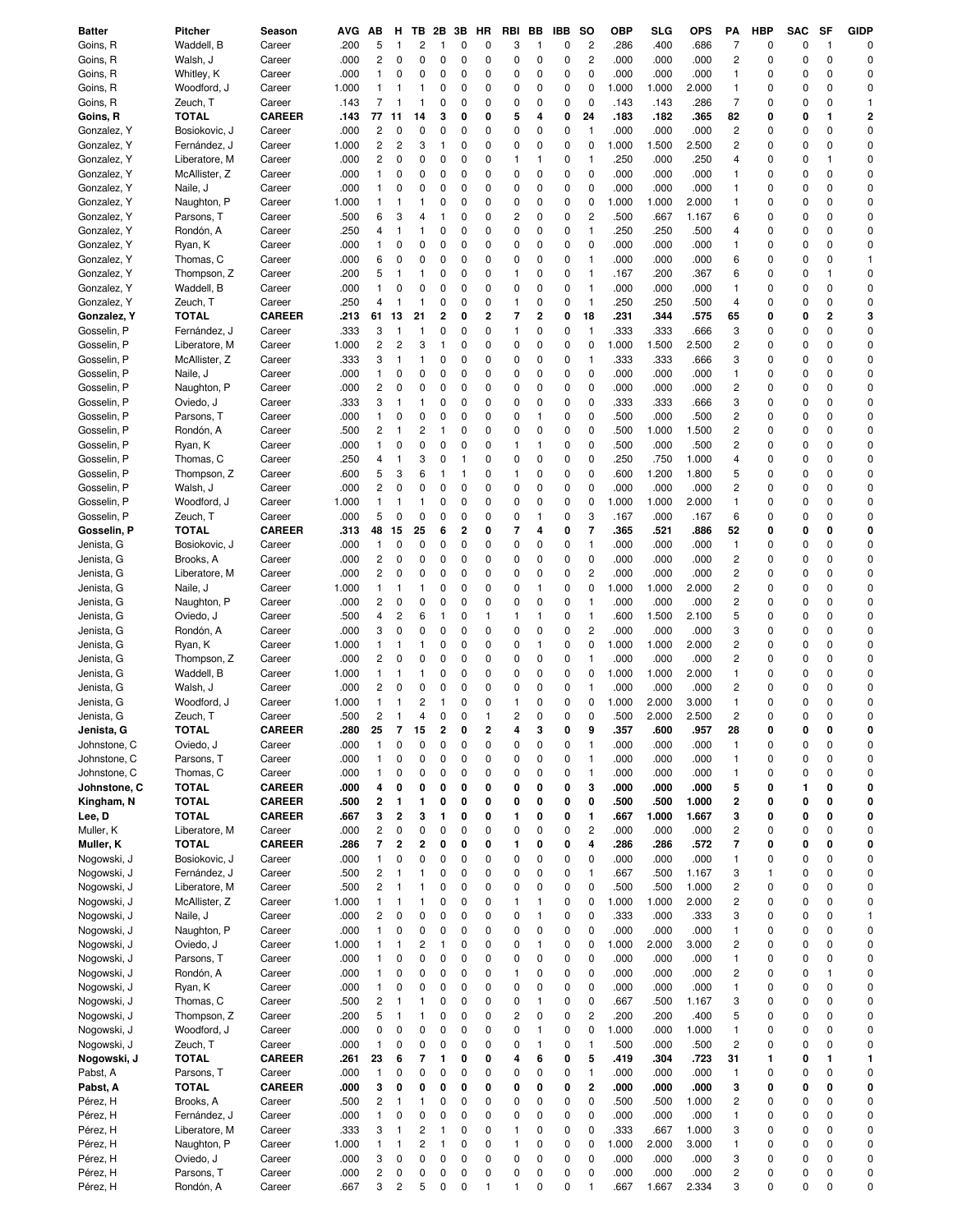| Batter       | Pitcher       | Season        | AVG          | АB                      | н              | тв                  | 2Β     | 3В          | HR     | RBI          | ВB           | IBB    | so                            | ОВР          | SLG          | OPS           | PΑ                      | <b>HBP</b>   | SAC              | SF                      | <b>GIDP</b>    |
|--------------|---------------|---------------|--------------|-------------------------|----------------|---------------------|--------|-------------|--------|--------------|--------------|--------|-------------------------------|--------------|--------------|---------------|-------------------------|--------------|------------------|-------------------------|----------------|
| Goins, R     | Waddell, B    | Career        | .200         | 5                       | $\mathbf{1}$   | 2                   | 1      | 0           | 0      | 3            | 1            | 0      | $\overline{c}$                | .286         | .400         | .686          | 7                       | 0            | 0                | $\mathbf{1}$            | $\Omega$       |
| Goins, R     | Walsh, J      | Career        | .000         | 2                       | 0              | 0                   | 0      | 0           | 0      | 0            | 0            | 0      | $\overline{c}$                | .000         | .000         | .000          | $\overline{\mathbf{c}}$ | 0            | 0                | $\mathbf 0$             | 0              |
| Goins, R     | Whitley, K    | Career        | .000         | 1                       | 0              | 0                   | 0      | 0           | 0      | 0            | 0            | 0      | $\mathbf 0$                   | .000         | .000         | .000          | $\mathbf{1}$            | 0            | 0                | $\mathbf 0$             | 0              |
| Goins, R     | Woodford, J   | Career        | 1.000        | 1                       | 1              | 1                   | 0      | 0           | 0      | 0            | 0            | 0      | 0                             | 1.000        | 1.000        | 2.000         | $\mathbf{1}$            | 0            | 0                | 0                       | 0              |
| Goins, R     | Zeuch, T      | Career        | .143         | 7                       | 1              | 1                   | 0      | 0           | 0      | 0            | 0            | 0      | $\mathbf 0$                   | .143         | .143         | .286          | $\overline{7}$          | 0            | 0                | 0                       | $\mathbf{1}$   |
| Goins, R     | <b>TOTAL</b>  | <b>CAREER</b> | .143         | 77                      | 11             | 14                  | 3      | 0           | 0      | 5            | 4            | 0      | 24                            | .183         | .182         | .365          | 82                      | 0            | 0                | 1                       | $\overline{2}$ |
| Gonzalez, Y  | Bosiokovic, J | Career        | .000         | 2                       | 0              | 0                   | 0      | 0           | 0      | 0            | 0            | 0      | $\mathbf{1}$                  | .000         | .000         | .000          | 2                       | 0            | 0                | 0                       | 0              |
| Gonzalez, Y  | Fernández, J  | Career        | 1.000        | 2                       | 2              | 3                   | 1      | 0           | 0      | 0            | 0            | 0      | $\mathbf 0$                   | 1.000        | 1.500        | 2.500         | 2                       | 0            | 0                | 0                       | 0              |
| Gonzalez, Y  | Liberatore, M | Career        | .000         | 2                       | 0              | 0                   | 0      | 0           | 0      | 1            | 1            | 0      | 1                             | .250         | .000         | .250          | 4                       | 0            | 0                | 1                       | 0              |
| Gonzalez, Y  | McAllister, Z | Career        | .000         | 1                       | 0              | 0                   | 0      | 0           | 0      | 0            | 0            | 0      | $\mathbf 0$                   | .000         | .000         | .000          | 1                       | 0            | 0                | 0                       | 0              |
| Gonzalez, Y  | Naile, J      | Career        | .000         | 1                       | 0              | 0                   | 0      | 0           | 0      | 0            | 0            | 0      | $\mathbf 0$                   | .000         | .000         | .000          | $\mathbf{1}$            | 0            | 0                | 0                       | 0              |
| Gonzalez, Y  | Naughton, P   | Career        | 1.000        | 1                       | 1              | 1                   | 0      | 0           | 0      | 0            | 0            | 0      | $\mathbf 0$                   | 1.000        | 1.000        | 2.000         | $\mathbf{1}$            | 0            | 0                | 0                       | $\Omega$       |
| Gonzalez, Y  | Parsons, T    | Career        | .500         | 6                       | 3              | 4                   | 1      | 0           | 0      | 2            | 0            | 0      | $\overline{c}$                | .500         | .667         | 1.167         | 6                       | 0            | 0                | 0                       | 0              |
| Gonzalez, Y  | Rondón, A     | Career        | .250         | 4                       | 1              | 1                   | 0      | 0           | 0      | 0            | 0            | 0      | $\mathbf{1}$                  | .250         | .250         | .500          | 4                       | $\mathbf 0$  | 0                | 0                       | 0              |
| Gonzalez, Y  | Ryan, K       | Career        | .000         | 1                       | 0              | 0                   | 0      | 0           | 0      | 0            | 0            | 0      | $\pmb{0}$                     | .000         | .000         | .000          | $\mathbf{1}$            | 0            | 0                | 0                       | 0              |
| Gonzalez, Y  | Thomas, C     | Career        | .000         | 6                       | 0              | 0                   | 0      | 0           | 0      | 0            | 0            | 0      | $\mathbf{1}$                  | .000         | .000         | .000          | 6                       | 0            | 0                | 0                       | -1             |
| Gonzalez, Y  | Thompson, Z   | Career        | .200         | 5                       | -1             | 1                   | 0      | 0           | 0      | $\mathbf{1}$ | 0            | 0      | $\mathbf{1}$                  | .167         | .200         | .367          | 6                       | 0            | 0                | 1                       | 0              |
| Gonzalez, Y  | Waddell, B    | Career        | .000         | 1                       | 0              | 0                   | 0      | 0           | 0      | 0            | 0            | 0      | $\mathbf{1}$                  | .000         | .000         | .000          | $\mathbf{1}$            | 0            | 0                | $\mathbf 0$             | 0              |
| Gonzalez, Y  | Zeuch, T      | Career        | .250         | 4                       | $\mathbf{1}$   | $\mathbf{1}$        | 0      | 0           | 0      | $\mathbf{1}$ | 0            | 0      | $\mathbf{1}$                  | .250         | .250         | .500          | 4                       | 0            | 0                | 0                       | 0              |
| Gonzalez, Y  | TOTAL         | <b>CAREER</b> | .213         | 61                      | 13             | 21                  | 2      | 0           | 2      | 7            | 2            | 0      | 18                            | .231         | .344         | .575          | 65                      | 0            | 0                | $\overline{\mathbf{c}}$ | 3              |
| Gosselin, P  | Fernández, J  | Career        | .333         | 3                       | 1              | $\mathbf{1}$        | 0      | 0           | 0      | $\mathbf{1}$ | 0            | 0      | $\mathbf{1}$                  | .333         | .333         | .666          | 3                       | 0            | 0                | 0                       | 0              |
| Gosselin, P  | Liberatore, M | Career        | 1.000        | 2                       | 2              | 3                   | 1      | 0           | 0      | 0            | 0            | 0      | $\pmb{0}$                     | 1.000        | 1.500        | 2.500         | 2                       | 0            | 0                | 0                       | 0              |
| Gosselin, P  | McAllister, Z | Career        | .333         | 3                       | -1             | 1                   | 0      | 0           | 0      | 0            | 0            | 0      | $\mathbf{1}$                  | .333         | .333         | .666          | 3                       | 0            | 0                | 0                       | 0              |
| Gosselin, P  | Naile, J      | Career        | .000         | 1                       | 0              | 0                   | 0      | 0           | 0      | 0            | 0            | 0      | $\mathbf 0$                   | .000         | .000         | .000          | $\mathbf{1}$            | 0            | 0                | 0                       | 0              |
| Gosselin, P  | Naughton, P   | Career        | .000         | 2                       | 0              | 0                   | 0      | 0           | 0      | 0            | 0            | 0      | $\mathbf 0$                   | .000         | .000         | .000          | 2                       | 0            | 0                | 0                       | 0              |
| Gosselin, P  | Oviedo, J     | Career        | .333         | 3                       | -1             | 1                   | 0      | 0           | 0      | 0            | 0            | 0      | $\mathbf 0$                   | .333         | .333         | .666          | 3                       | 0            | 0                | 0                       | 0              |
| Gosselin, P  | Parsons, T    | Career        | .000         | 1                       | 0              | 0                   | 0      | 0           | 0      | 0            | 1            | 0      | $\mathbf 0$                   | .500         | .000         | .500          | 2                       | 0            | 0                | 0                       | 0              |
| Gosselin, P  | Rondón, A     | Career        | .500         | 2                       | -1             | 2                   | 1      | 0           | 0      | 0            | 0            | 0      | $\pmb{0}$                     | .500         | 1.000        | 1.500         | 2                       | 0            | 0                | 0                       | 0              |
| Gosselin, P  | Ryan, K       | Career        | .000         | 1                       | 0              | 0                   | 0      | 0           | 0      | 1            | 1            | 0      | 0                             | .500         | .000         | .500          | 2                       | 0            | 0                | 0                       | $\Omega$       |
| Gosselin, P  | Thomas, C     | Career        | .250         | 4                       | -1             | 3                   | 0      | 1           | 0      | 0            | 0            | 0      | $\pmb{0}$                     | .250         | .750         | 1.000         | 4                       | 0            | 0                | 0                       | 0              |
| Gosselin, P  | Thompson, Z   | Career        | .600         | 5                       | 3              | 6                   | 1      | 1           | 0      | $\mathbf{1}$ | 0            | 0      | $\mathbf 0$                   | .600         | 1.200        | 1.800         | 5                       | 0            | 0                | 0                       | 0              |
| Gosselin, P  | Walsh, J      | Career        | .000         | 2                       | 0              | 0                   | 0      | 0           | 0      | 0            | 0            | 0      | $\mathbf 0$                   | .000         | .000         | .000          | 2                       | 0            | 0                | 0                       | 0              |
| Gosselin, P  | Woodford, J   | Career        | 1.000        | 1                       | 1              | 1                   | 0      | 0           | 0      | 0            | 0            | 0      | $\mathbf 0$                   | 1.000        | 1.000        | 2.000         | $\mathbf{1}$            | 0            | 0                | 0                       | 0              |
| Gosselin, P  | Zeuch, T      | Career        | .000         | 5                       | 0              | 0                   | 0      | 0           | 0      | 0            | 1            | 0      | 3                             | .167         | .000         | .167          | 6                       | 0            | 0                | 0                       | 0              |
| Gosselin, P  | <b>TOTAL</b>  | <b>CAREER</b> | .313         | 48                      | 15             | 25                  | 6      | 2           | 0      | 7            | 4            | 0      | $\overline{\mathbf{r}}$       | .365         | .521         | .886          | 52                      | 0            | 0                | 0                       | 0              |
| Jenista, G   | Bosiokovic, J | Career        | .000         | 1                       | 0              | 0                   | 0      | 0           | 0      | 0            | 0            | 0      | $\mathbf{1}$                  | .000         | .000         | .000          | $\mathbf{1}$            | 0            | 0                | 0                       | 0              |
| Jenista, G   | Brooks, A     | Career        | .000         | 2                       | 0              | 0                   | 0      | 0           | 0      | 0            | 0            | 0      | $\pmb{0}$                     | .000         | .000         | .000          | $\overline{\mathbf{c}}$ | 0            | 0                | 0                       | 0              |
| Jenista, G   | Liberatore, M | Career        | .000         | $\overline{c}$          | 0              | 0                   | 0      | 0           | 0      | 0            | 0            | 0      | $\overline{c}$                | .000         | .000         | .000          | $\overline{\mathbf{c}}$ | 0            | 0                | 0                       | 0              |
| Jenista, G   | Naile, J      | Career        | 1.000        | 1                       | -1             | 1                   | 0      | 0           | 0      | 0            | $\mathbf{1}$ | 0      | $\pmb{0}$                     | 1.000        | 1.000        | 2.000         | 2                       | 0            | 0                | 0                       | 0              |
| Jenista, G   | Naughton, P   | Career        | .000         | 2                       | 0              | 0                   | 0      | 0           | 0      | 0            | 0            | 0      | $\mathbf{1}$                  | .000         | .000         | .000          | 2                       | 0            | 0                | 0                       | 0              |
| Jenista, G   | Oviedo, J     | Career        | .500         | 4                       | 2              | 6                   | 1      | 0           | 1      | 1            | 1            | 0      | $\mathbf{1}$                  | .600         | 1.500        | 2.100         | 5                       | 0            | 0                | 0                       | 0              |
| Jenista, G   | Rondón, A     | Career        | .000         | 3                       | 0              | 0                   | 0      | 0           | 0      | 0            | 0            | 0      | $\overline{c}$                | .000         | .000         | .000          | 3                       | 0            | 0                | 0                       | 0              |
| Jenista, G   | Ryan, K       | Career        | 1.000        | $\mathbf{1}$            | -1             | 1                   | 0      | 0           | 0      | 0            | 1            | 0      | $\mathbf 0$                   | 1.000        | 1.000        | 2.000         | 2                       | 0            | 0                | 0                       | 0              |
| Jenista, G   | Thompson, Z   | Career        | .000         | 2                       | 0              | 0                   | 0      | 0           | 0      | 0            | 0            | 0      | $\mathbf{1}$                  | .000         | .000         | .000          | 2                       | 0            | 0                | 0                       | 0              |
| Jenista, G   | Waddell, B    | Career        | 1.000        | $\mathbf{1}$            | 1              | 1                   | 0      | 0           | 0      | 0            | 0            | 0      | $\mathbf 0$                   | 1.000        | 1.000        | 2.000         | $\mathbf{1}$            | $\Omega$     | 0                | 0                       | 0              |
| Jenista, G   | Walsh, J      | Career        | .000         | 2                       | 0              | 0                   | 0      | 0           | 0      | 0            | 0            | 0      | $\mathbf{1}$                  | .000         | .000         | .000          | $\overline{\mathbf{c}}$ | 0            | 0                | 0                       | 0              |
| Jenista, G   | Woodford, J   | Career        | 1.000        | 1                       | 1              | 2                   | 1      | 0           | 0      | $\mathbf{1}$ | 0            | 0      | 0                             | 1.000        | 2.000        | 3.000         | $\mathbf{1}$            | $\Omega$     | 0                | 0                       | 0              |
| Jenista, G   | Zeuch, T      | Career        | .500         | 2                       | $\mathbf{1}$   | 4                   | 0      | 0           | 1      | 2            | $\Omega$     | 0      | 0                             | .500         | 2.000        | 2.500         | 2                       | 0            | 0                | 0                       | $\Omega$       |
| Jenista, G   | TOTAL         | <b>CAREER</b> | .280         | 25                      | 7              | 15                  | 2      | 0           | 2      | 4            | 3            | 0      | 9                             | .357         | .600         | .957          | 28                      | 0            | 0                | 0                       | 0              |
| Johnstone, C | Oviedo, J     | Career        | .000         | 1                       | 0              | 0                   | 0      | 0           | 0      | 0            | 0            | 0      | $\mathbf{1}$                  | .000         | .000         | .000          | $\overline{1}$          | 0            | 0                | 0                       | 0              |
| Johnstone, C | Parsons, T    | Career        | .000         | 1                       | 0              | 0                   | 0      | 0           | 0      | 0            | 0            | 0      | $\mathbf{1}$                  | .000         | .000         | .000          | $\mathbf{1}$            | 0            | 0                | 0                       | 0              |
| Johnstone, C | Thomas, C     | Career        | .000         | $\mathbf{1}$            | 0              | 0                   | 0      | 0           | 0      | 0            | 0            | 0      | $\mathbf{1}$                  | .000         | .000         | .000          | $\mathbf{1}$            | 0            | $\mathbf 0$      | 0                       | 0              |
| Johnstone, C | <b>TOTAL</b>  | <b>CAREER</b> | .000         | 4                       | 0              | 0                   | 0      | 0           | 0      | 0            | 0            | 0      | 3                             | .000         | .000         | .000          | 5                       | 0            | 1                | 0                       | 0              |
| Kingham, N   | <b>TOTAL</b>  | <b>CAREER</b> | .500         | 2                       | 1              | 1                   | 0      | 0           | 0      | 0            | 0            | 0      | 0                             | .500         | .500         | 1.000         | 2                       | 0            | 0                | 0                       | 0              |
| Lee, D       | <b>TOTAL</b>  | <b>CAREER</b> | .667         | 3                       | $\overline{2}$ | 3                   | 1      | 0           | 0      | 1            | 0            | 0      | $\mathbf{1}$                  | .667         | 1.000        | 1.667         | 3                       | 0            | 0                | 0                       | 0              |
| Muller, K    | Liberatore, M | Career        | .000         | 2                       | 0              | 0                   | 0      | 0           | 0      | 0            | 0            | 0      | $\overline{c}$                | .000         | .000         | .000          | $\overline{\mathbf{c}}$ | 0            | 0                | 0                       | 0              |
| Muller, K    | <b>TOTAL</b>  | <b>CAREER</b> | .286         | 7                       | $\overline{2}$ | 2                   | 0      | 0           | 0      | 1            | 0            | 0      | 4                             | .286         | .286         | .572          | $\overline{\mathbf{7}}$ | 0            | 0                | 0                       | 0              |
| Nogowski, J  | Bosiokovic, J | Career        | .000         | 1                       | 0              | 0                   | 0      | 0           | 0      | 0            | 0            | 0      | $\mathbf 0$                   | .000         | .000         | .000          | $\mathbf{1}$            | 0            | 0                | 0                       | 0              |
| Nogowski, J  | Fernández, J  | Career        | .500         | $\overline{c}$          | -1             | 1                   | 0      | 0           | 0      | 0            | 0            | 0      | $\mathbf{1}$                  | .667         | .500         | 1.167         | 3                       | $\mathbf{1}$ | 0                | 0                       | 0              |
| Nogowski, J  | Liberatore, M | Career        | .500         | $\overline{\mathbf{c}}$ | 1              | 1                   | 0      | 0           | 0      | 0            | 0            | 0      | $\mathbf 0$                   | .500         | .500         | 1.000         | $\overline{\mathbf{c}}$ | 0            | 0                | 0                       | 0              |
| Nogowski, J  | McAllister, Z | Career        | 1.000        | $\mathbf{1}$            | 1              | 1                   | 0      | 0           | 0      | $\mathbf{1}$ | $\mathbf{1}$ | 0      | $\mathbf 0$                   | 1.000        | 1.000        | 2.000         | $\overline{c}$          | 0            | 0                | 0                       | 0              |
| Nogowski, J  | Naile, J      | Career        | .000         | $\overline{\mathbf{c}}$ | 0              | $\mathbf 0$         | 0      | 0           | 0      | 0            | $\mathbf{1}$ | 0      | $\pmb{0}$                     | .333         | .000         | .333          | 3                       | $\mathbf 0$  | 0                | 0                       | $\mathbf{1}$   |
| Nogowski, J  | Naughton, P   | Career        | .000         | 1                       | 0              | 0                   | 0      | $\mathbf 0$ | 0      | 0            | 0            | 0      | $\mathbf 0$                   | .000         | .000         | .000          | $\mathbf{1}$            | 0            | 0                | 0                       | 0              |
| Nogowski, J  | Oviedo, J     | Career        | 1.000        | 1                       | $\mathbf{1}$   | 2                   | 1      | 0           | 0      | 0            | 1            | 0      | $\mathbf 0$                   | 1.000        | 2.000        | 3.000         | $\overline{\mathbf{c}}$ | $\mathbf 0$  | 0                | 0                       | 0              |
| Nogowski, J  | Parsons, T    | Career        | .000         | 1                       | 0              | 0                   | 0      | 0           | 0      | 0            | 0            | 0      | $\mathbf 0$                   | .000         | .000         | .000          | $\mathbf{1}$            | $\mathbf 0$  | 0                | $\mathbf 0$             | 0              |
| Nogowski, J  | Rondón, A     | Career        | .000         | 1                       | 0              | 0                   | 0      | 0           | 0      | $\mathbf{1}$ | 0            | 0      | $\pmb{0}$                     | .000         | .000         | .000          | $\overline{c}$          | $\mathbf 0$  | 0                | 1                       | 0              |
|              |               |               | .000         | $\mathbf{1}$            | 0              | $\mathbf 0$         | 0      | 0           | 0      | 0            | 0            | 0      | $\mathbf 0$                   | .000         | .000         | .000          | $\mathbf{1}$            | 0            | 0                | 0                       | 0              |
| Nogowski, J  | Ryan, K       | Career        |              |                         | -1             |                     |        |             |        |              | $\mathbf{1}$ |        |                               |              |              |               |                         |              |                  |                         |                |
| Nogowski, J  | Thomas, C     | Career        | .500         | 2<br>5                  | 1              | 1                   | 0      | 0<br>0      | 0<br>0 | 0<br>2       | 0            | 0<br>0 | $\mathbf 0$<br>$\overline{c}$ | .667<br>.200 | .500<br>.200 | 1.167<br>.400 | 3                       | 0<br>0       | 0<br>$\mathbf 0$ | 0<br>0                  | 0<br>0         |
| Nogowski, J  | Thompson, Z   | Career        | .200<br>.000 | 0                       | 0              | 1<br>0              | 0<br>0 | 0           | 0      | 0            | $\mathbf{1}$ | 0      | $\mathbf 0$                   |              |              |               | 5                       | 0            | 0                | 0                       | 0              |
| Nogowski, J  | Woodford, J   | Career        |              |                         |                |                     |        |             |        |              |              |        |                               | 1.000        | .000         | 1.000         | $\mathbf{1}$            |              |                  |                         |                |
| Nogowski, J  | Zeuch, T      | Career        | .000         | $\mathbf{1}$            | 0              | 0<br>$\overline{7}$ | 0      | 0           | 0      | 0            | $\mathbf{1}$ | 0      | $\mathbf{1}$                  | .500         | .000         | .500          | $\overline{c}$          | 0            | 0                | $\mathbf 0$             | 0<br>1         |
| Nogowski, J  | <b>TOTAL</b>  | <b>CAREER</b> | .261         | 23                      | 6              |                     | 1      | 0           | 0      | 4            | 6            | 0      | 5                             | .419         | .304         | .723          | 31                      | 1            | 0                | 1                       |                |
| Pabst, A     | Parsons, T    | Career        | .000         | 1                       | 0              | 0                   | 0      | 0           | 0      | 0            | 0            | 0      | $\mathbf{1}$                  | .000         | .000         | .000          | $\mathbf{1}$            | 0            | 0                | 0                       | 0              |
| Pabst, A     | <b>TOTAL</b>  | <b>CAREER</b> | .000         | 3                       | 0              | 0                   | 0      | 0           | 0      | 0            | 0            | 0      | $\overline{2}$                | .000         | .000         | .000          | 3                       | 0            | 0                | 0                       | 0              |
| Pérez, H     | Brooks, A     | Career        | .500         | 2                       | 1              | 1                   | 0      | 0           | 0      | 0            | 0            | 0      | $\mathbf 0$                   | .500         | .500         | 1.000         | 2                       | 0            | 0                | 0                       | 0              |
| Pérez, H     | Fernández, J  | Career        | .000         | $\mathbf{1}$            | 0              | 0                   | 0      | 0           | 0      | 0            | 0            | 0      | $\mathbf 0$                   | .000         | .000         | .000          | $\mathbf{1}$            | 0            | 0                | 0                       | 0              |
| Pérez, H     | Liberatore, M | Career        | .333         | 3                       | -1             | 2                   | 1      | 0           | 0      | $\mathbf{1}$ | 0            | 0      | $\mathbf 0$                   | .333         | .667         | 1.000         | 3                       | 0            | 0                | 0                       | 0              |
| Pérez, H     | Naughton, P   | Career        | 1.000        | $\mathbf{1}$            | 1              | $\overline{c}$      | 1      | 0           | 0      | $\mathbf{1}$ | $\mathbf 0$  | 0      | $\mathbf 0$                   | 1.000        | 2.000        | 3.000         | $\mathbf{1}$            | 0            | 0                | 0                       | 0              |
| Pérez, H     | Oviedo, J     | Career        | .000         | 3                       | 0              | 0                   | 0      | 0           | 0      | 0            | 0            | 0      | $\mathbf 0$                   | .000         | .000         | .000          | 3                       | 0            | 0                | 0                       | 0              |
| Pérez, H     | Parsons, T    | Career        | .000         | $\overline{\mathbf{c}}$ | 0              | 0                   | 0      | 0           | 0      | 0            | $\mathbf 0$  | 0      | $\mathbf 0$                   | .000         | .000         | .000          | $\overline{\mathbf{c}}$ | 0            | 0                | 0                       | 0              |
| Pérez, H     | Rondón, A     | Career        | .667         | 3                       | $\overline{c}$ | 5                   | 0      | 0           | 1      | 1            | 0            | 0      | $\mathbf{1}$                  | .667         | 1.667        | 2.334         | 3                       | 0            | $\pmb{0}$        | 0                       | 0              |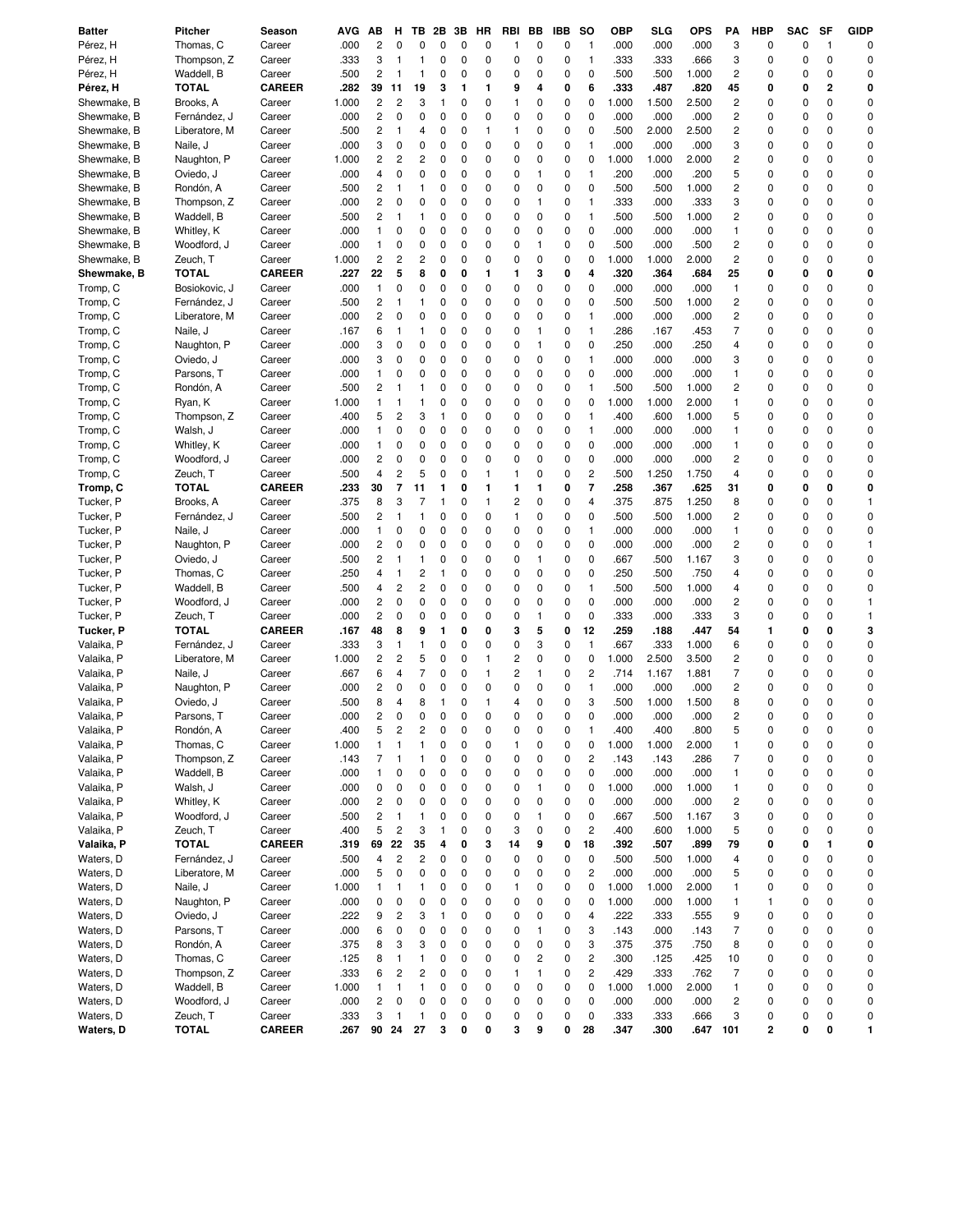| <b>Batter</b> | <b>Pitcher</b> | Season        | AVG   | AВ                      | н                       | тв             | 2B       | 3В          | HR | RBI          | BВ           | IBB | so             | <b>OBP</b> | SLG   | <b>OPS</b> | PA                       | HBP | <b>SAC</b> | SF           | <b>GIDP</b> |
|---------------|----------------|---------------|-------|-------------------------|-------------------------|----------------|----------|-------------|----|--------------|--------------|-----|----------------|------------|-------|------------|--------------------------|-----|------------|--------------|-------------|
| Pérez, H      | Thomas, C      | Career        | .000  | 2                       | 0                       | 0              | 0        | 0           | 0  | 1            | 0            | 0   | $\mathbf{1}$   | .000       | .000  | .000       | 3                        | 0   | 0          | $\mathbf{1}$ | $\Omega$    |
| Pérez, H      | Thompson, Z    | Career        | .333  | 3                       | -1                      | 1              | 0        | 0           | 0  | 0            | 0            | 0   | $\mathbf{1}$   | .333       | .333  | .666       | 3                        | 0   | 0          | 0            | $\Omega$    |
| Pérez, H      | Waddell, B     | Career        | .500  | 2                       | 1                       | 1              | 0        | 0           | 0  | 0            | 0            | 0   | $\mathbf 0$    | .500       | .500  | 1.000      | 2                        | 0   | 0          | 0            | $\Omega$    |
| Pérez, H      | <b>TOTAL</b>   | <b>CAREER</b> | .282  | 39                      | 11                      | 19             | 3        | 1           | 1  | 9            | 4            | 0   | 6              | .333       | .487  | .820       | 45                       | 0   | 0          | 2            | 0           |
| Shewmake, B   | Brooks, A      | Career        | 1.000 | 2                       | $\overline{c}$          | 3              | 1        | 0           | 0  | 1            | 0            | 0   | 0              | 1.000      | 1.500 | 2.500      | $\overline{c}$           | 0   | 0          | 0            | 0           |
| Shewmake, B   | Fernández, J   | Career        | .000  | 2                       | $\mathbf 0$             | 0              | 0        | 0           | 0  | 0            | $\mathbf 0$  | 0   | $\mathbf 0$    | .000       | .000  | .000       | 2                        | 0   | 0          | 0            | 0           |
| Shewmake, B   | Liberatore, M  | Career        | .500  | 2                       | -1                      | 4              | 0        | 0           | 1  | 1            | 0            | 0   | $\mathbf 0$    | .500       | 2.000 | 2.500      | $\overline{\mathbf{c}}$  | 0   | 0          | 0            | 0           |
| Shewmake, B   | Naile, J       | Career        | .000  | 3                       | 0                       | 0              | 0        | 0           | 0  | 0            | $\mathbf 0$  | 0   | $\mathbf{1}$   | .000       | .000  | .000       | 3                        | 0   | 0          | 0            | O           |
| Shewmake, B   | Naughton, P    | Career        | 1.000 | 2                       | $\overline{\mathbf{c}}$ | 2              | 0        | 0           | 0  | 0            | 0            | 0   | 0              | 1.000      | 1.000 | 2.000      | 2                        | 0   | 0          | 0            | $\Omega$    |
| Shewmake, B   | Oviedo, J      | Career        | .000  | 4                       | 0                       | 0              | 0        | 0           | 0  | 0            | $\mathbf{1}$ | 0   | $\mathbf{1}$   | .200       | .000  | .200       | 5                        | 0   | 0          | 0            | $\Omega$    |
| Shewmake, B   | Rondón, A      | Career        | .500  | 2                       | 1                       | 1              | 0        | 0           | 0  | 0            | 0            | 0   | $\pmb{0}$      | .500       | .500  | 1.000      | 2                        | 0   | 0          | 0            | 0           |
| Shewmake, B   | Thompson, Z    | Career        | .000  | 2                       | 0                       | 0              | 0        | 0           | 0  | 0            | 1            | 0   | $\mathbf{1}$   | .333       | .000  | .333       | 3                        | 0   | 0          | 0            | $\Omega$    |
| Shewmake, B   | Waddell, B     | Career        | .500  | 2                       | 1                       | 1              | 0        | 0           | 0  | 0            | 0            | 0   | $\mathbf{1}$   | .500       | .500  | 1.000      | 2                        | 0   | 0          | 0            | 0           |
| Shewmake, B   | Whitley, K     | Career        | .000  | $\mathbf{1}$            | 0                       | 0              | 0        | 0           | 0  | 0            | 0            | 0   | $\mathbf 0$    | .000       | .000  | .000       | $\mathbf{1}$             | 0   | 0          | 0            | $\mathbf 0$ |
| Shewmake, B   | Woodford, J    | Career        | .000  | 1                       | 0                       | 0              | 0        | 0           | 0  | 0            | 1            | 0   | $\mathbf 0$    | .500       | .000  | .500       | $\overline{\mathbf{c}}$  | 0   | 0          | 0            | $\mathbf 0$ |
| Shewmake, B   | Zeuch, T       | Career        | 1.000 | $\overline{\mathbf{c}}$ | 2                       | $\overline{c}$ | 0        | 0           | 0  | 0            | 0            | 0   | $\pmb{0}$      | 1.000      | 1.000 | 2.000      | $\overline{\mathbf{c}}$  | 0   | 0          | 0            | 0           |
| Shewmake, B   | TOTAL          | <b>CAREER</b> | .227  | 22                      | 5                       | 8              | 0        | 0           | 1  | 1            | 3            | 0   | 4              | .320       | .364  | .684       | 25                       | 0   | 0          | 0            | 0           |
| Tromp, C      | Bosiokovic, J  | Career        | .000  | 1                       | 0                       | 0              | 0        | 0           | 0  | 0            | 0            | 0   | 0              | .000       | .000  | .000       | $\mathbf{1}$             | 0   | 0          | 0            | 0           |
| Tromp, C      | Fernández, J   | Career        | .500  | 2                       | -1                      | 1              | 0        | 0           | 0  | 0            | 0            | 0   | $\pmb{0}$      | .500       | .500  | 1.000      | 2                        | 0   | 0          | 0            | $\mathbf 0$ |
| Tromp, C      | Liberatore, M  | Career        | .000  | 2                       | 0                       | 0              | 0        | 0           | 0  | 0            | 0            | 0   | $\mathbf{1}$   | .000       | .000  | .000       | 2                        | 0   | 0          | 0            | 0           |
| Tromp, C      | Naile, J       | Career        | .167  | 6                       | 1                       | 1              | 0        | 0           | 0  | 0            | 1            | 0   | $\mathbf{1}$   | .286       | .167  | .453       | $\overline{\phantom{a}}$ | 0   | 0          | 0            | 0           |
| Tromp, C      | Naughton, P    | Career        | .000  | 3                       | 0                       | 0              | 0        | 0           | 0  | 0            | $\mathbf{1}$ | 0   | $\pmb{0}$      | .250       | .000  | 250        | 4                        | 0   | 0          | 0            | 0           |
| Tromp, C      | Oviedo, J      | Career        | .000  | 3                       | 0                       | 0              | 0        | 0           | 0  | 0            | 0            | 0   | $\mathbf{1}$   | .000       | .000  | .000       | 3                        | 0   | 0          | 0            | $\mathbf 0$ |
| Tromp, C      | Parsons, T     | Career        | .000  | $\mathbf{1}$            | 0                       | 0              | 0        | 0           | 0  | 0            | 0            | 0   | $\pmb{0}$      | .000       | .000  | .000       | $\mathbf{1}$             | 0   | 0          | 0            | 0           |
| Tromp, C      | Rondón, A      | Career        | .500  | 2                       | 1                       | 1              | 0        | 0           | 0  | 0            | 0            | 0   | $\mathbf{1}$   | .500       | .500  | 1.000      | $\overline{c}$           | 0   | 0          | 0            | 0           |
| Tromp, C      | Ryan, K        | Career        | 1.000 | 1                       | -1                      | 1              | 0        | 0           | 0  | 0            | 0            | 0   | 0              | 1.000      | 1.000 | 2.000      | 1                        | 0   | 0          | 0            | $\Omega$    |
| Tromp, C      | Thompson, Z    | Career        | .400  | 5                       | $\overline{c}$          | 3              | 1        | 0           | 0  | 0            | 0            | 0   | $\mathbf{1}$   | .400       | .600  | 1.000      | 5                        | 0   | 0          | 0            | $\Omega$    |
|               |                |               |       |                         |                         |                |          |             |    |              |              |     |                |            |       |            |                          |     |            |              |             |
| Tromp, C      | Walsh, J       | Career        | .000  | 1                       | 0                       | 0              | 0        | 0           | 0  | 0            | 0            | 0   | $\mathbf{1}$   | .000       | .000  | .000       | 1                        | 0   | 0          | 0            | 0           |
| Tromp, C      | Whitley, K     | Career        | .000  | 1                       | 0                       | 0              | 0        | 0           | 0  | 0            | 0            | 0   | $\mathbf 0$    | .000       | .000  | .000       | $\mathbf{1}$             | 0   | 0          | 0            | $\Omega$    |
| Tromp, C      | Woodford, J    | Career        | .000  | 2                       | 0                       | 0              | 0        | 0           | 0  | 0            | 0            | 0   | $\pmb{0}$      | .000       | .000  | .000       | 2                        | 0   | 0          | 0            | $\mathbf 0$ |
| Tromp, C      | Zeuch, T       | Career        | .500  | 4                       | 2                       | 5              | 0        | 0           | 1  | $\mathbf{1}$ | 0            | 0   | $\overline{c}$ | .500       | 1.250 | 1.750      | 4                        | 0   | 0          | 0            | $\mathbf 0$ |
| Tromp, C      | <b>TOTAL</b>   | <b>CAREER</b> | .233  | 30                      | 7                       | 11             | 1        | 0           | 1  | 1            | 1            | 0   | $\bf 7$        | .258       | .367  | .625       | 31                       | 0   | 0          | 0            | 0           |
| Tucker, P     | Brooks, A      | Career        | .375  | 8                       | 3                       | 7              | 1        | 0           | 1  | 2            | 0            | 0   | $\overline{4}$ | .375       | .875  | 1.250      | 8                        | 0   | 0          | 0            | 1           |
| Tucker, P     | Fernández, J   | Career        | .500  | 2                       | $\mathbf{1}$            | 1              | 0        | 0           | 0  | $\mathbf{1}$ | 0            | 0   | $\pmb{0}$      | .500       | .500  | 1.000      | 2                        | 0   | 0          | 0            | $\mathbf 0$ |
| Tucker, P     | Naile, J       | Career        | .000  | 1                       | 0                       | 0              | 0        | 0           | 0  | 0            | 0            | 0   | $\mathbf{1}$   | .000       | .000  | .000       | $\mathbf{1}$             | 0   | 0          | 0            | $\mathbf 0$ |
| Tucker, P     | Naughton, P    | Career        | .000  | 2                       | 0                       | 0              | 0        | 0           | 0  | 0            | 0            | 0   | $\pmb{0}$      | .000       | .000  | .000       | 2                        | 0   | 0          | 0            | 1           |
| Tucker, P     | Oviedo, J      | Career        | .500  | 2                       | $\mathbf{1}$            | 1              | 0        | 0           | 0  | 0            | 1            | 0   | 0              | .667       | .500  | 1.167      | 3                        | 0   | 0          | 0            | 0           |
| Tucker, P     | Thomas, C      | Career        | .250  | 4                       | $\mathbf{1}$            | 2              |          | 0           | 0  | 0            | 0            | 0   | 0              | .250       | .500  | .750       | 4                        | 0   | 0          | 0            | 0           |
| Tucker, P     | Waddell, B     | Career        | .500  | 4                       | $\overline{\mathbf{c}}$ | 2              | 0        | 0           | 0  | 0            | 0            | 0   | $\mathbf{1}$   | .500       | .500  | 1.000      | 4                        | 0   | 0          | 0            | 0           |
| Tucker, P     | Woodford, J    | Career        | .000  | 2                       | 0                       | $\mathbf 0$    | 0        | 0           | 0  | 0            | 0            | 0   | $\mathbf 0$    | .000       | .000  | .000       | 2                        | 0   | 0          | 0            | 1           |
| Tucker, P     | Zeuch, T       | Career        | .000  | $\overline{\mathbf{c}}$ | 0                       | 0              | 0        | 0           | 0  | 0            | 1            | 0   | $\pmb{0}$      | .333       | .000  | .333       | 3                        | 0   | 0          | 0            | 1           |
| Tucker, P     | <b>TOTAL</b>   | <b>CAREER</b> | .167  | 48                      | 8                       | 9              | 1        | 0           | 0  | 3            | 5            | 0   | 12             | .259       | .188  | .447       | 54                       | 1   | 0          | 0            | 3           |
| Valaika, P    | Fernández, J   | Career        | .333  | 3                       | $\mathbf{1}$            | $\mathbf{1}$   | 0        | 0           | 0  | 0            | 3            | 0   | $\mathbf{1}$   | .667       | .333  | 1.000      | 6                        | 0   | 0          | 0            | O           |
| Valaika, P    | Liberatore, M  | Career        | 1.000 | 2                       | $\overline{c}$          | 5              | O        | 0           | 1  | 2            | 0            | 0   | $\mathbf 0$    | 1.000      | 2.500 | 3.500      | 2                        | 0   | 0          | 0            | $\Omega$    |
| Valaika, P    | Naile, J       | Career        | .667  | 6                       | 4                       | 7              | 0        | 0           | 1  | 2            | 1            | 0   | $\overline{c}$ | .714       | 1.167 | 1.881      | 7                        | 0   | 0          | 0            | 0           |
| Valaika, P    | Naughton, P    | Career        | .000  | 2                       | 0                       | 0              | 0        | 0           | 0  | 0            | 0            | 0   | $\mathbf{1}$   | .000       | .000  | .000       | 2                        | 0   | 0          | 0            | $\Omega$    |
| Valaika, P    | Oviedo, J      | Career        | .500  | 8                       | 4                       | 8              | 1        | 0           | 1  | 4            | 0            | 0   | 3              | .500       | 1.000 | 1.500      | 8                        | 0   | 0          | 0            | 0           |
| Valaika, P    | Parsons, T     | Career        | .000  | $\overline{2}$          | 0                       | $\Omega$       | $\Omega$ | $\mathbf 0$ | 0  | 0            | $\Omega$     | 0   | $\mathbf 0$    | .000       | .000  | .000       | 2                        | 0   | 0          | 0            | $\Omega$    |
| Valaika, P    | Rondón, A      | Career        | .400  | 5                       | $\overline{c}$          | 2              | 0        | 0           | 0  | 0            | 0            | 0   | $\mathbf{1}$   | .400       | .400  | .800       | 5                        | 0   | 0          | $\mathbf 0$  | 0           |
| Valaika, P    | Thomas, C      | Career        | 1.000 | 1                       | 1                       | 1              | 0        | 0           | 0  | $\mathbf{1}$ | 0            | 0   | $\pmb{0}$      | 1.000      | 1.000 | 2.000      | $\mathbf{1}$             | 0   | 0          | $\mathbf 0$  | 0           |
| Valaika, P    | Thompson, Z    | Career        | .143  | 7                       | $\mathbf{1}$            | 1              | 0        | 0           | 0  | 0            | 0            | 0   | $\overline{c}$ | .143       | .143  | .286       | 7                        | 0   | 0          | 0            | 0           |
| Valaika, P    | Waddell, B     | Career        | .000  | 1                       | 0                       | 0              | 0        | 0           | 0  | 0            | 0            | 0   | $\pmb{0}$      | .000       | .000  | .000       | $\mathbf{1}$             | 0   | 0          | $\mathbf 0$  | 0           |
| Valaika, P    | Walsh, J       | Career        | .000  | 0                       | 0                       | 0              | 0        | 0           | 0  | 0            | 1            | 0   | 0              | 1.000      | .000  | 1.000      | $\mathbf{1}$             | 0   | 0          | 0            | 0           |
| Valaika, P    | Whitley, K     | Career        | .000  | 2                       | 0                       | 0              | 0        | 0           | 0  | 0            | 0            | 0   | 0              | .000       | .000  | .000       | 2                        | 0   | 0          | 0            | 0           |
| Valaika, P    | Woodford, J    | Career        | .500  | $\overline{\mathbf{c}}$ | $\overline{1}$          | 1              | 0        | 0           | 0  | 0            | 1            | 0   | 0              | .667       | .500  | 1.167      | 3                        | 0   | 0          | 0            | 0           |
| Valaika, P    | Zeuch, T       | Career        | .400  | 5                       | $\overline{c}$          | 3              | 1        | 0           | 0  | 3            | 0            | 0   | $\overline{c}$ | .400       | .600  | 1.000      | 5                        | 0   | 0          | 0            | 0           |
| Valaika, P    | <b>TOTAL</b>   | <b>CAREER</b> | .319  | 69                      | 22                      | 35             | 4        | 0           | 3  | 14           | 9            | 0   | 18             | .392       | .507  | .899       | 79                       | 0   | 0          | 1            | 0           |
|               |                |               |       |                         | $\overline{\mathbf{c}}$ | 2              | 0        | 0           | 0  | 0            | 0            | 0   | $\pmb{0}$      | .500       |       |            |                          | 0   |            | 0            | 0           |
| Waters, D     | Fernández, J   | Career        | .500  | 4<br>5                  | 0                       | 0              | 0        |             |    |              | 0            |     | $\overline{c}$ | .000       | .500  | 1.000      | 4<br>5                   | 0   | 0<br>0     | 0            | $\mathbf 0$ |
| Waters, D     | Liberatore, M  | Career        | .000  |                         |                         |                |          | 0           | 0  | 0            |              | 0   |                |            | .000  | .000       |                          |     |            |              |             |
| Waters, D     | Naile, J       | Career        | 1.000 | 1                       | $\mathbf{1}$            | 1              | 0        | 0           | 0  | 1            | 0            | 0   | $\pmb{0}$      | 1.000      | 1.000 | 2.000      | $\mathbf{1}$             | 0   | 0          | 0            | 0           |
| Waters, D     | Naughton, P    | Career        | .000  | 0                       | 0                       | 0              | 0        | 0           | 0  | 0            | 0            | 0   | $\pmb{0}$      | 1.000      | .000  | 1.000      | $\mathbf{1}$             | 1   | 0          | 0            | 0           |
| Waters, D     | Oviedo, J      | Career        | .222  | 9                       | $\overline{\mathbf{c}}$ | 3              | 1        | 0           | 0  | 0            | 0            | 0   | 4              | .222       | .333  | .555       | 9                        | 0   | 0          | 0            | 0           |
| Waters, D     | Parsons, T     | Career        | .000  | 6                       | 0                       | 0              | 0        | 0           | 0  | 0            | 1            | 0   | 3              | .143       | .000  | .143       | 7                        | 0   | 0          | 0            | 0           |
| Waters, D     | Rondón, A      | Career        | .375  | 8                       | 3                       | 3              | 0        | 0           | 0  | 0            | 0            | 0   | 3              | .375       | .375  | .750       | 8                        | 0   | 0          | 0            | 0           |
| Waters, D     | Thomas, C      | Career        | .125  | 8                       | 1                       | 1              | 0        | 0           | 0  | 0            | 2            | 0   | $\overline{c}$ | .300       | .125  | .425       | 10                       | 0   | 0          | 0            | 0           |
| Waters, D     | Thompson, Z    | Career        | .333  | 6                       | $\overline{c}$          | 2              | 0        | 0           | 0  | 1            | 1            | 0   | $\overline{c}$ | .429       | .333  | .762       | 7                        | 0   | 0          | 0            | 0           |
| Waters, D     | Waddell, B     | Career        | 1.000 | 1                       | 1                       | 1              | 0        | 0           | 0  | 0            | 0            | 0   | $\pmb{0}$      | 1.000      | 1.000 | 2.000      | $\mathbf{1}$             | 0   | 0          | $\mathbf 0$  | $\mathbf 0$ |
| Waters, D     | Woodford, J    | Career        | .000  | $\overline{\mathbf{c}}$ | 0                       | 0              | 0        | 0           | 0  | 0            | 0            | 0   | $\pmb{0}$      | .000       | .000  | .000       | $\overline{\mathbf{c}}$  | 0   | 0          | 0            | 0           |
| Waters, D     | Zeuch, T       | Career        | .333  | 3                       | $\mathbf{1}$            | 1              | 0        | 0           | 0  | 0            | 0            | 0   | $\pmb{0}$      | .333       | .333  | .666       | 3                        | 0   | 0          | $\mathbf 0$  | 0           |
| Waters, D     | <b>TOTAL</b>   | <b>CAREER</b> | .267  | 90                      | 24                      | 27             | 3        | 0           | 0  | 3            | 9            | 0   | 28             | .347       | .300  | .647       | 101                      | 2   | 0          | 0            | 1           |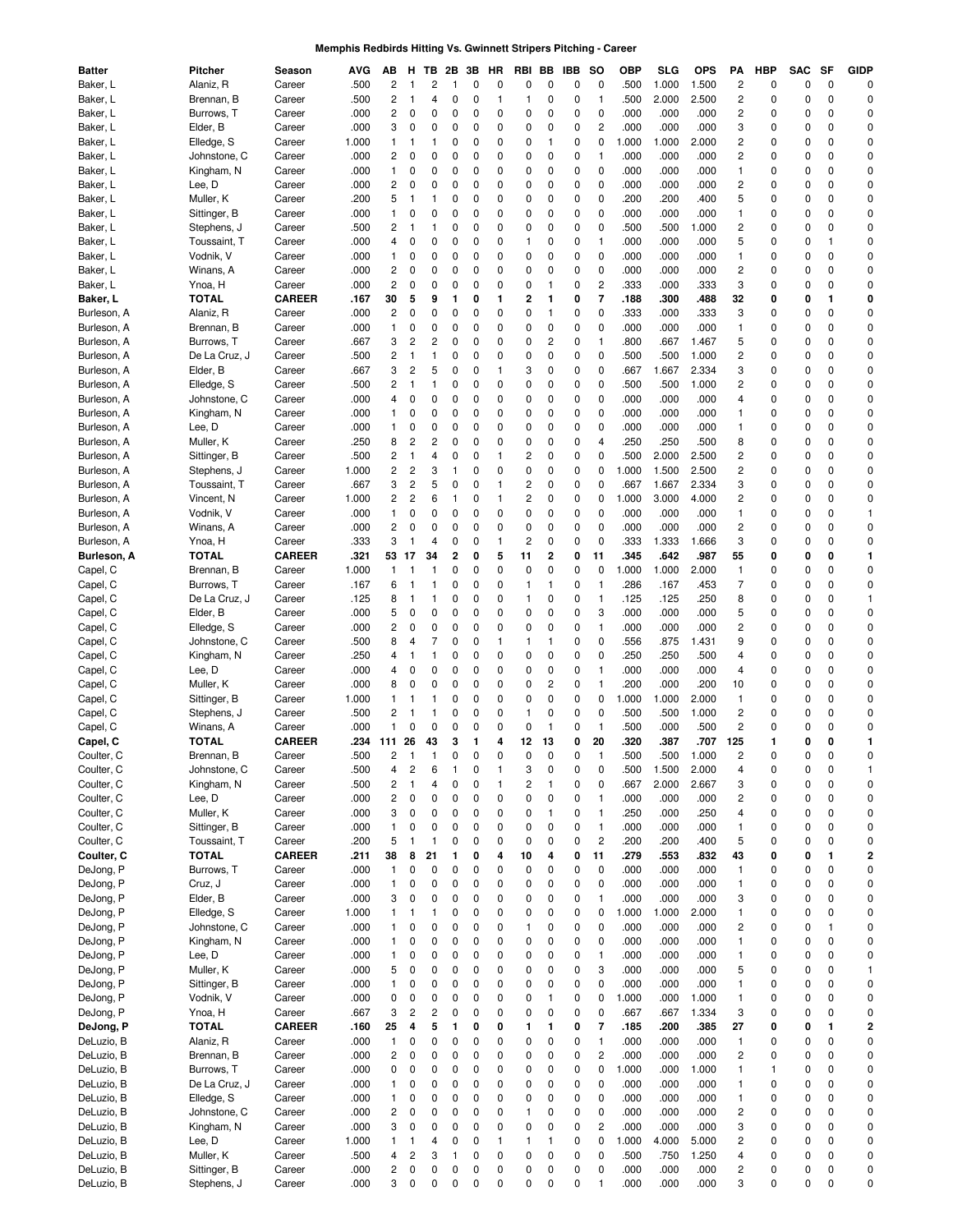# **Memphis Redbirds Hitting Vs. Gwinnett Stripers Pitching - Career**

| Batter      | Pitcher       | Season        | AVG   | ΑВ                      | н                       | ΤВ           | 2Β           | 3В | HR           | RBI                     | ВB           | IBB | so                      | ОВР   | SLG   | OPS   | ΡА                      | HBP         | <b>SAC</b> | SF           | GIDP                    |
|-------------|---------------|---------------|-------|-------------------------|-------------------------|--------------|--------------|----|--------------|-------------------------|--------------|-----|-------------------------|-------|-------|-------|-------------------------|-------------|------------|--------------|-------------------------|
| Baker, L    | Alaniz, R     | Career        | .500  | $\overline{c}$          | 1                       | 2            | 1            | 0  | 0            | 0                       | 0            | 0   | 0                       | .500  | 1.000 | 1.500 | 2                       | 0           | 0          | 0            | C                       |
| Baker, L    | Brennan, B    | Career        | .500  | $\overline{c}$          | 1                       | 4            | 0            | 0  | $\mathbf{1}$ | 1                       | 0            | 0   | 1                       | .500  | 2.000 | 2.500 | $\overline{\mathbf{c}}$ | 0           | 0          | 0            | 0                       |
| Baker, L    | Burrows, T    | Career        | .000  | 2                       | 0                       | 0            | 0            | 0  | 0            | 0                       | 0            | 0   | 0                       | .000  | .000  | .000  | 2                       | 0           | 0          | 0            | 0                       |
| Baker, L    | Elder, B      | Career        | .000  | 3                       | 0                       | 0            | 0            | 0  | 0            | 0                       | 0            | 0   | $\overline{\mathbf{c}}$ | .000  | .000  | .000  | 3                       | 0           | 0          | 0            | 0                       |
| Baker, L    | Elledge, S    | Career        | 1.000 | $\mathbf{1}$            | 1                       | 1            | 0            | 0  | 0            | 0                       | 1            | 0   | 0                       | 1.000 | 1.000 | 2.000 | 2                       | 0           | 0          | 0            | $\mathbf 0$             |
| Baker, L    | Johnstone, C  | Career        | .000  | $\overline{c}$          | 0                       | 0            | 0            | 0  | 0            | 0                       | 0            | 0   | 1                       | .000  | .000  | .000  | 2                       | 0           | 0          | 0            | 0                       |
| Baker, L    | Kingham, N    | Career        | .000  | $\mathbf{1}$            | 0                       | 0            | 0            | 0  | 0            | 0                       | 0            | 0   | 0                       | .000  | .000  | .000  | 1                       | 0           | 0          | 0            | 0                       |
| Baker, L    | Lee, D        | Career        | .000  | $\overline{c}$          | 0                       | 0            | 0            | 0  | 0            | 0                       | 0            | 0   | 0                       | .000  | .000  | .000  | $\overline{\mathbf{c}}$ | 0           | 0          | 0            | 0                       |
| Baker, L    | Muller, K     | Career        | .200  | 5                       | 1                       | $\mathbf{1}$ | 0            | 0  | 0            | 0                       | 0            | 0   | 0                       | .200  | .200  | .400  | 5                       | 0           | 0          | 0            | 0                       |
|             |               |               |       | $\mathbf{1}$            |                         | 0            | 0            | 0  | 0            | 0                       |              | 0   | 0                       | .000  |       | .000  | 1                       | 0           | 0          | 0            | 0                       |
| Baker, L    | Sittinger, B  | Career        | .000  |                         | 0                       |              |              |    |              |                         | 0            |     |                         |       | .000  |       |                         |             |            |              |                         |
| Baker, L    | Stephens, J   | Career        | .500  | $\overline{\mathbf{c}}$ | 1                       | $\mathbf{1}$ | 0            | 0  | 0            | 0                       | 0            | 0   | 0                       | .500  | .500  | 1.000 | 2                       | 0           | 0          | 0            | 0                       |
| Baker, L    | Toussaint, T  | Career        | .000  | 4                       | 0                       | 0            | 0            | 0  | 0            | $\mathbf{1}$            | 0            | 0   | 1                       | .000  | .000  | .000  | 5                       | 0           | 0          | $\mathbf{1}$ | 0                       |
| Baker, L    | Vodnik, V     | Career        | .000  | $\mathbf{1}$            | 0                       | 0            | 0            | 0  | 0            | 0                       | 0            | 0   | 0                       | .000  | .000  | .000  | 1                       | 0           | 0          | 0            | 0                       |
| Baker, L    | Winans, A     | Career        | .000  | $\overline{c}$          | 0                       | 0            | 0            | 0  | 0            | 0                       | 0            | 0   | 0                       | .000  | .000  | .000  | 2                       | 0           | 0          | 0            | $\mathbf 0$             |
| Baker, L    | Ynoa, H       | Career        | .000  | $\overline{c}$          | 0                       | 0            | 0            | 0  | 0            | 0                       | 1            | 0   | $\overline{\mathbf{c}}$ | .333  | .000  | .333  | 3                       | 0           | 0          | 0            | $\mathbf 0$             |
| Baker, L    | TOTAL         | <b>CAREER</b> | .167  | 30                      | 5                       | 9            | 1            | 0  | 1            | $\overline{2}$          | 1            | 0   | $\overline{7}$          | .188  | .300  | .488  | 32                      | 0           | 0          | 1            | 0                       |
| Burleson, A | Alaniz, R     | Career        | .000  | $\overline{c}$          | 0                       | 0            | 0            | 0  | 0            | 0                       | 1            | 0   | 0                       | .333  | .000  | .333  | 3                       | 0           | 0          | 0            | C                       |
| Burleson, A | Brennan, B    | Career        | .000  | $\mathbf{1}$            | 0                       | 0            | 0            | 0  | 0            | 0                       | 0            | 0   | 0                       | .000  | .000  | .000  | 1                       | 0           | 0          | 0            | $\mathbf 0$             |
| Burleson, A | Burrows, T    | Career        | .667  | 3                       | 2                       | 2            | 0            | 0  | 0            | 0                       | 2            | 0   | 1                       | .800  | .667  | 1.467 | 5                       | 0           | 0          | 0            | $\mathbf 0$             |
| Burleson, A | De La Cruz, J | Career        | .500  | 2                       | 1                       | 1            | 0            | 0  | 0            | 0                       | 0            | 0   | 0                       | .500  | .500  | 1.000 | 2                       | 0           | 0          | 0            | 0                       |
| Burleson, A | Elder, B      | Career        | .667  | 3                       | 2                       | 5            | 0            | 0  | 1            | 3                       | 0            | 0   | 0                       | .667  | 1.667 | 2.334 | 3                       | 0           | 0          | 0            | 0                       |
| Burleson, A | Elledge, S    | Career        | .500  | 2                       | 1                       | 1            | 0            | 0  | 0            | 0                       | 0            | 0   | 0                       | .500  | .500  | 1.000 | 2                       | 0           | 0          | 0            | 0                       |
| Burleson, A | Johnstone, C  | Career        | .000  | 4                       | 0                       | 0            | 0            | 0  | 0            | 0                       | 0            | 0   | 0                       | .000  | .000  | .000  | 4                       | 0           | 0          | 0            | 0                       |
| Burleson, A | Kingham, N    | Career        | .000  | $\mathbf{1}$            | 0                       | 0            | 0            | 0  | 0            | 0                       | 0            | 0   | 0                       | .000  | .000  | .000  | 1                       | 0           | 0          | 0            | 0                       |
| Burleson, A | Lee, D        | Career        | .000  | $\mathbf{1}$            | 0                       | 0            | 0            | 0  | 0            | 0                       | 0            | 0   | 0                       | .000  | .000  | .000  | 1                       | 0           | 0          | 0            | 0                       |
|             |               |               |       | 8                       |                         | 2            | 0            |    |              |                         |              |     | 4                       |       |       |       |                         |             |            |              | 0                       |
| Burleson, A | Muller, K     | Career        | .250  |                         | 2                       |              |              | 0  | 0            | 0                       | 0            | 0   |                         | .250  | .250  | .500  | 8                       | 0           | 0          | 0            |                         |
| Burleson, A | Sittinger, B  | Career        | .500  | $\overline{c}$          | $\mathbf{1}$            | 4            | 0            | 0  | $\mathbf{1}$ | 2                       | 0            | 0   | 0                       | .500  | 2.000 | 2.500 | $\overline{\mathbf{c}}$ | 0           | 0          | 0            | 0                       |
| Burleson, A | Stephens, J   | Career        | 1.000 | 2                       | 2                       | 3            | $\mathbf{1}$ | 0  | 0            | 0                       | 0            | 0   | 0                       | 1.000 | 1.500 | 2.500 | 2                       | 0           | 0          | 0            | 0                       |
| Burleson, A | Toussaint, T  | Career        | .667  | 3                       | 2                       | 5            | 0            | 0  | 1            | $\overline{c}$          | 0            | 0   | 0                       | .667  | 1.667 | 2.334 | 3                       | 0           | 0          | 0            | 0                       |
| Burleson, A | Vincent, N    | Career        | 1.000 | 2                       | 2                       | 6            | $\mathbf{1}$ | 0  | $\mathbf{1}$ | 2                       | 0            | 0   | 0                       | 1.000 | 3.000 | 4.000 | 2                       | 0           | 0          | 0            | 0                       |
| Burleson, A | Vodnik, V     | Career        | .000  | $\mathbf{1}$            | 0                       | 0            | 0            | 0  | 0            | 0                       | 0            | 0   | 0                       | .000  | .000  | .000  | 1                       | 0           | 0          | 0            | $\mathbf{1}$            |
| Burleson, A | Winans, A     | Career        | .000  | $\overline{c}$          | 0                       | 0            | 0            | 0  | 0            | 0                       | 0            | 0   | 0                       | .000  | .000  | .000  | 2                       | 0           | 0          | 0            | $\mathbf 0$             |
| Burleson, A | Ynoa, H       | Career        | .333  | 3                       | 1                       | 4            | 0            | 0  | $\mathbf{1}$ | $\overline{c}$          | 0            | 0   | 0                       | .333  | 1.333 | 1.666 | 3                       | 0           | 0          | 0            | $\mathbf 0$             |
| Burleson, A | TOTAL         | <b>CAREER</b> | .321  | 53                      | 17                      | 34           | 2            | 0  | 5            | 11                      | 2            | 0   | 11                      | .345  | .642  | .987  | 55                      | 0           | 0          | 0            | 1                       |
| Capel, C    | Brennan, B    | Career        | 1.000 | $\mathbf{1}$            | 1                       | 1            | 0            | 0  | 0            | 0                       | 0            | 0   | 0                       | 1.000 | 1.000 | 2.000 | 1                       | 0           | 0          | 0            | C                       |
| Capel, C    | Burrows, T    | Career        | .167  | 6                       | 1                       | 1            | 0            | 0  | 0            | 1                       | 1            | 0   | 1                       | .286  | .167  | .453  | 7                       | 0           | 0          | 0            | $\mathbf 0$             |
| Capel, C    | De La Cruz, J | Career        | .125  | 8                       | 1                       | 1            | 0            | 0  | 0            | 1                       | 0            | 0   | 1                       | .125  | .125  | .250  | 8                       | 0           | 0          | 0            | $\mathbf{1}$            |
| Capel, C    | Elder, B      | Career        | .000  | 5                       | 0                       | 0            | 0            | 0  | 0            | 0                       | 0            | 0   | 3                       | .000  | .000  | .000  | 5                       | 0           | 0          | 0            | 0                       |
| Capel, C    | Elledge, S    | Career        | .000  | $\overline{c}$          | 0                       | 0            | 0            | 0  | 0            | 0                       | 0            | 0   | 1                       | .000  | .000  | .000  | 2                       | 0           | 0          | 0            | $\mathbf 0$             |
| Capel, C    | Johnstone, C  | Career        | .500  | 8                       | 4                       | 7            | 0            | 0  | $\mathbf{1}$ | $\mathbf{1}$            | 1            | 0   | 0                       | .556  | .875  | 1.431 | 9                       | 0           | 0          | 0            | 0                       |
|             |               |               |       |                         |                         | 1            |              |    | 0            |                         |              |     | $\pmb{0}$               |       |       |       |                         |             |            |              | 0                       |
| Capel, C    | Kingham, N    | Career        | .250  | 4                       | 1                       |              | 0            | 0  |              | 0                       | 0            | 0   |                         | .250  | .250  | .500  | 4                       | 0           | 0          | 0            |                         |
| Capel, C    | Lee, D        | Career        | .000  | 4                       | 0                       | 0            | 0            | 0  | 0            | 0                       | 0            | 0   | 1                       | .000  | .000  | .000  | 4                       | 0           | 0          | 0            | 0                       |
| Capel, C    | Muller, K     | Career        | .000  | 8                       | 0                       | 0            | 0            | 0  | 0            | 0                       | 2            | 0   | 1                       | .200  | .000  | .200  | 10                      | 0           | 0          | 0            | 0                       |
| Capel, C    | Sittinger, B  | Career        | 1.000 | $\mathbf{1}$            | 1                       | 1            | 0            | 0  | 0            | 0                       | 0            | 0   | 0                       | 1.000 | 1.000 | 2.000 | 1                       | 0           | 0          | 0            | 0                       |
| Capel, C    | Stephens, J   | Career        | .500  | $\overline{c}$          | 1                       | $\mathbf{1}$ | 0            | 0  | 0            | $\mathbf{1}$            | 0            | 0   | 0                       | .500  | .500  | 1.000 | 2                       | 0           | 0          | 0            | 0                       |
| Capel, C    | Winans, A     | Career        | .000  | $\mathbf{1}$            | 0                       | 0            | 0            | 0  | 0            | 0                       | 1            | 0   | 1                       | .500  | .000  | .500  | $\overline{\mathbf{c}}$ | 0           | 0          | 0            | 0                       |
| Capel, C    | TOTAL         | <b>CAREER</b> | .234  | 111                     | 26                      | 43           | 3            | 1  | 4            | 12                      | 13           | 0   | 20                      | .320  | .387  | .707  | 125                     | 1           | 0          | 0            | 1                       |
| Coulter, C  | Brennan, B    | Career        | .500  | 2                       | 1                       | $\mathbf{1}$ | 0            | 0  | $\mathbf 0$  | 0                       | 0            | 0   | 1                       | .500  | .500  | 1.000 | 2                       | $\mathbf 0$ | 0          | 0            | 0                       |
| Coulter, C  | Johnstone, C  | Career        | .500  | 4                       | 2                       | 6            |              | 0  | 1            | 3                       | 0            | 0   | 0                       | .500  | 1.500 | 2.000 | 4                       | 0           | 0          | 0            | 1                       |
| Coulter, C  | Kingham, N    | Career        | .500  | $\overline{\mathbf{c}}$ | $\mathbf{1}$            | 4            | 0            | 0  | 1            | $\overline{\mathbf{c}}$ | $\mathbf{1}$ | 0   | 0                       | .667  | 2.000 | 2.667 | 3                       | 0           | 0          | 0            | 0                       |
| Coulter, C  | Lee, D        | Career        | .000  | $\overline{\mathbf{c}}$ | 0                       | 0            | 0            | 0  | $\mathbf 0$  | 0                       | 0            | 0   | 1                       | .000  | .000  | .000  | $\overline{\mathbf{c}}$ | 0           | 0          | 0            | 0                       |
| Coulter, C  | Muller, K     | Career        | .000  | 3                       | 0                       | 0            | 0            | 0  | $\mathbf 0$  | 0                       | $\mathbf{1}$ | 0   | 1                       | .250  | .000  | .250  | 4                       | 0           | 0          | 0            | $\mathbf 0$             |
| Coulter, C  | Sittinger, B  | Career        | .000  | $\mathbf{1}$            | $\pmb{0}$               | 0            | 0            | 0  | $\mathbf 0$  | 0                       | 0            | 0   | $\mathbf{1}$            | .000  | .000  | .000  | 1                       | 0           | 0          | 0            | $\mathbf 0$             |
| Coulter, C  | Toussaint, T  | Career        | .200  | 5                       | 1                       | $\mathbf{1}$ | 0            | 0  | $\mathbf 0$  | 0                       | 0            | 0   | $\overline{\mathbf{c}}$ | .200  | .200  | .400  | 5                       | 0           | 0          | 0            | $\mathbf 0$             |
| Coulter, C  | <b>TOTAL</b>  | <b>CAREER</b> | .211  | 38                      | 8                       | 21           | 1            | 0  | 4            | 10                      | 4            | 0   | 11                      | .279  | .553  | .832  | 43                      | 0           | 0          | 1            | 2                       |
| DeJong, P   | Burrows, T    | Career        | .000  | $\mathbf{1}$            | 0                       | 0            | 0            | 0  | 0            | 0                       | 0            | 0   | $\pmb{0}$               | .000  | .000  | .000  | 1                       | 0           | 0          | 0            | 0                       |
| DeJong, P   | Cruz, J       | Career        | .000  | $\mathbf{1}$            | 0                       | 0            | 0            | 0  | 0            | 0                       | 0            | 0   | $\pmb{0}$               | .000  | .000  | .000  | 1                       | 0           | 0          | 0            | 0                       |
| DeJong, P   | Elder, B      |               | .000  | 3                       | 0                       | 0            | 0            | 0  | 0            | 0                       | 0            | 0   | 1                       | .000  | .000  | .000  |                         | 0           | 0          | 0            | 0                       |
|             |               | Career        |       |                         |                         |              |              |    |              |                         |              |     |                         |       |       |       | 3                       |             |            |              |                         |
| DeJong, P   | Elledge, S    | Career        | 1.000 | $\mathbf{1}$            | 1                       | 1            | 0            | 0  | $\mathbf 0$  | 0                       | 0            | 0   | $\pmb{0}$               | 1.000 | 1.000 | 2.000 | $\mathbf{1}$            | 0           | 0          | 0            | 0                       |
| DeJong, P   | Johnstone, C  | Career        | .000  | $\mathbf{1}$            | 0                       | 0            | 0            | 0  | 0            | 1                       | 0            | 0   | $\pmb{0}$               | .000  | .000  | .000  | $\overline{\mathbf{c}}$ | 0           | 0          | $\mathbf{1}$ | 0                       |
| DeJong, P   | Kingham, N    | Career        | .000  | $\mathbf{1}$            | 0                       | 0            | 0            | 0  | $\mathbf 0$  | 0                       | 0            | 0   | $\pmb{0}$               | .000  | .000  | .000  | 1                       | 0           | 0          | 0            | $\mathbf 0$             |
| DeJong, P   | Lee, D        | Career        | .000  | $\mathbf{1}$            | 0                       | 0            | 0            | 0  | $\mathbf 0$  | 0                       | 0            | 0   | 1                       | .000  | .000  | .000  | 1                       | 0           | 0          | 0            | $\mathbf 0$             |
| DeJong, P   | Muller, K     | Career        | .000  | 5                       | 0                       | 0            | 0            | 0  | 0            | 0                       | 0            | 0   | 3                       | .000  | .000  | .000  | 5                       | 0           | 0          | 0            | 1                       |
| DeJong, P   | Sittinger, B  | Career        | .000  | $\mathbf{1}$            | 0                       | 0            | 0            | 0  | 0            | 0                       | 0            | 0   | $\mathbf 0$             | .000  | .000  | .000  | 1                       | 0           | 0          | 0            | $\mathbf 0$             |
| DeJong, P   | Vodnik, V     | Career        | .000  | $\pmb{0}$               | 0                       | 0            | 0            | 0  | $\mathbf 0$  | 0                       | 1            | 0   | $\mathbf 0$             | 1.000 | .000  | 1.000 | 1                       | 0           | 0          | 0            | $\mathbf 0$             |
| DeJong, P   | Ynoa, H       | Career        | .667  | 3                       | 2                       | 2            | 0            | 0  | 0            | 0                       | 0            | 0   | $\mathbf 0$             | .667  | .667  | 1.334 | 3                       | 0           | 0          | 0            | 0                       |
| DeJong, P   | <b>TOTAL</b>  | <b>CAREER</b> | .160  | 25                      | 4                       | 5            | 1            | 0  | 0            | 1                       | 1            | 0   | 7                       | .185  | .200  | .385  | 27                      | 0           | 0          | 1            | $\overline{\mathbf{c}}$ |
| DeLuzio, B  | Alaniz, R     | Career        | .000  | $\mathbf{1}$            | 0                       | 0            | 0            | 0  | $\mathbf 0$  | 0                       | 0            | 0   | 1                       | .000  | .000  | .000  | 1                       | 0           | 0          | 0            | 0                       |
| DeLuzio, B  | Brennan, B    | Career        | .000  | $\overline{c}$          | 0                       | 0            | 0            | 0  | 0            | 0                       | 0            | 0   | $\overline{\mathbf{c}}$ | .000  | .000  | .000  | $\overline{\mathbf{c}}$ | 0           | 0          | 0            | $\mathbf 0$             |
| DeLuzio, B  | Burrows, T    | Career        | .000  | $\pmb{0}$               | 0                       | 0            | 0            | 0  | $\mathbf 0$  | 0                       | 0            | 0   | $\pmb{0}$               | 1.000 | .000  | 1.000 | 1                       | 1           | 0          | 0            | $\mathbf 0$             |
| DeLuzio, B  | De La Cruz, J | Career        | .000  | $\mathbf{1}$            | 0                       | 0            | 0            | 0  | $\mathbf 0$  | 0                       | 0            | 0   | $\pmb{0}$               | .000  | .000  | .000  | 1                       | 0           | 0          | 0            | $\mathbf 0$             |
| DeLuzio, B  | Elledge, S    | Career        | .000  | $\mathbf{1}$            | 0                       | 0            | 0            | 0  | 0            | 0                       | 0            | 0   | $\pmb{0}$               | .000  | .000  | .000  | 1                       | 0           | 0          | 0            | 0                       |
|             |               |               |       |                         |                         | 0            |              | 0  |              | $\mathbf{1}$            |              | 0   | $\pmb{0}$               |       |       |       |                         |             | 0          | 0            | 0                       |
| DeLuzio, B  | Johnstone, C  | Career        | .000  | $\overline{\mathbf{c}}$ | 0                       |              | 0            |    | 0            |                         | 0            |     |                         | .000  | .000  | .000  | $\overline{\mathbf{c}}$ | 0           |            |              |                         |
| DeLuzio, B  | Kingham, N    | Career        | .000  | 3                       | 0                       | 0            | 0            | 0  | 0            | 0                       | 0            | 0   | $\overline{\mathbf{c}}$ | .000  | .000  | .000  | 3                       | 0           | 0          | 0            | 0                       |
| DeLuzio, B  | Lee, D        | Career        | 1.000 | $\mathbf{1}$            | 1                       | 4            | 0            | 0  | $\mathbf{1}$ | $\mathbf{1}$            | $\mathbf{1}$ | 0   | $\pmb{0}$               | 1.000 | 4.000 | 5.000 | $\overline{\mathbf{c}}$ | 0           | 0          | 0            | 0                       |
| DeLuzio, B  | Muller, K     | Career        | .500  | 4                       | $\overline{\mathbf{c}}$ | 3            | $\mathbf{1}$ | 0  | 0            | 0                       | 0            | 0   | $\pmb{0}$               | .500  | .750  | 1.250 | 4                       | 0           | 0          | 0            | 0                       |
| DeLuzio, B  | Sittinger, B  | Career        | .000  | $\overline{\mathbf{c}}$ | 0                       | $\pmb{0}$    | 0            | 0  | 0            | 0                       | 0            | 0   | $\pmb{0}$               | .000  | .000  | .000  | $\overline{\mathbf{c}}$ | 0           | 0          | $\pmb{0}$    | 0                       |
| DeLuzio, B  | Stephens, J   | Career        | .000  | 3                       | 0                       | 0            | 0            | 0  | 0            | 0                       | 0            | 0   | 1                       | .000  | .000  | .000  | 3                       | 0           | 0          | 0            | $\pmb{0}$               |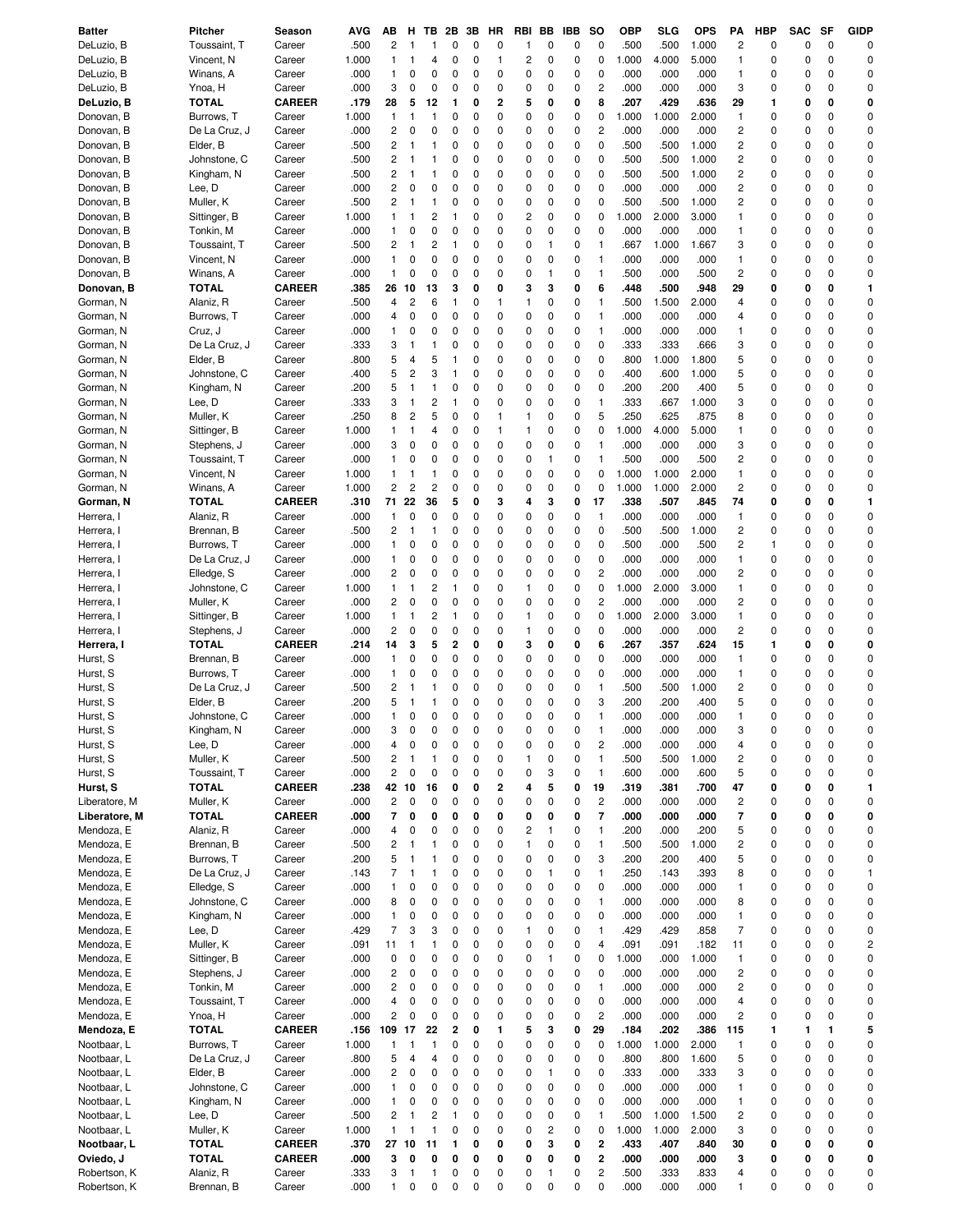| <b>Batter</b>            | Pitcher                      | Season                  | AVG          | АΒ                      | н                            | ΤВ             | 2Β             | 3В     | HR           | RBI          | BB                  | IBB         | <b>SO</b>               | <b>OBP</b>   | SLG          | <b>OPS</b>    | PA                      | <b>HBP</b>  | <b>SAC</b> | SF          | <b>GIDP</b>    |
|--------------------------|------------------------------|-------------------------|--------------|-------------------------|------------------------------|----------------|----------------|--------|--------------|--------------|---------------------|-------------|-------------------------|--------------|--------------|---------------|-------------------------|-------------|------------|-------------|----------------|
| DeLuzio, B               | Toussaint, T                 | Career                  | .500         | 2                       | 1                            | 1              | 0              | 0      | 0            | 1            | 0                   | 0           | 0                       | .500         | .500         | 1.000         | 2                       | 0           | 0          | $\mathbf 0$ | 0              |
| DeLuzio, B               | Vincent, N                   | Career                  | 1.000        | 1                       | 1                            | 4              | 0              | 0      | $\mathbf{1}$ | 2            | 0                   | 0           | 0                       | 1.000        | 4.000        | 5.000         | 1                       | 0           | 0          | 0           | 0              |
| DeLuzio, B               | Winans, A                    | Career                  | .000         | 1                       | 0                            | 0              | 0              | 0      | 0            | 0            | 0                   | 0           | 0                       | .000         | .000         | .000          | 1                       | 0           | 0          | $\mathbf 0$ | 0              |
| DeLuzio, B               | Ynoa, H                      | Career                  | .000         | 3                       | 0                            | 0              | 0              | 0      | 0            | 0            | 0                   | 0           | $\overline{c}$          | .000         | .000         | .000          | 3                       | 0           | 0          | 0           | 0              |
| DeLuzio, B               | TOTAL                        | <b>CAREER</b>           | .179         | 28                      | 5                            | 12             | 1              | 0      | 2            | 5            | 0                   | 0           | 8                       | .207         | .429         | .636          | 29                      | 1           | 0          | 0           | 0              |
| Donovan, B               | Burrows, T                   | Career                  | 1.000        | 1                       | 1                            | 1              | 0              | 0      | 0            | 0            | 0                   | 0           | 0                       | 1.000        | 1.000        | 2.000         | 1                       | 0           | 0          | 0           | $\mathbf 0$    |
| Donovan, B               | De La Cruz, J                | Career                  | .000         | 2                       | 0                            | 0              | 0              | 0      | 0            | 0            | 0                   | 0           | $\overline{c}$          | .000         | .000         | .000          | 2                       | 0           | 0          | 0           | 0              |
| Donovan, B               | Elder, B                     | Career                  | .500         | $\overline{c}$          | 1                            | 1              | 0              | 0      | 0            | 0            | 0                   | 0           | 0                       | .500         | .500         | 1.000         | 2                       | 0           | 0          | 0           | 0              |
| Donovan, B               | Johnstone, C                 | Career                  | .500         | 2                       | 1                            | 1              | 0              | 0      | 0            | 0            | 0                   | 0           | 0                       | .500         | .500         | 1.000         | 2                       | 0           | 0          | 0           | 0              |
| Donovan, B               | Kingham, N                   | Career                  | .500         | 2                       | 1                            | 1              | 0              | 0      | 0            | 0            | 0                   | 0           | 0                       | .500         | .500         | 1.000         | 2                       | 0           | 0          | 0           | 0              |
| Donovan, B               | Lee, D                       | Career                  | .000         | 2                       | 0                            | 0              | 0              | 0      | 0            | 0            | 0                   | 0           | 0                       | .000         | .000         | .000          | 2                       | 0           | 0          | 0           | $\mathbf 0$    |
| Donovan, B               | Muller, K                    | Career                  | .500         | 2                       | -1                           | 1              | 0              | 0      | 0            | 0            | 0                   | 0           | 0                       | .500         | .500         | 1.000         | $\overline{c}$          | 0           | 0          | 0           | 0              |
| Donovan, B               | Sittinger, B                 | Career                  | 1.000        | 1                       | 1                            | $\overline{c}$ | $\mathbf{1}$   | 0      | 0            | 2            | 0                   | 0           | 0                       | 1.000        | 2.000        | 3.000         | 1                       | 0           | 0          | 0           | 0              |
| Donovan, B               | Tonkin, M                    | Career                  | .000         | 1                       | 0                            | 0              | 0              | 0      | 0            | 0            | 0                   | 0           | 0                       | .000         | .000         | .000          | 1                       | 0           | 0          | 0           | $\mathbf 0$    |
| Donovan, B               | Toussaint, T                 | Career                  | .500         | $\overline{\mathbf{c}}$ | 1                            | 2              | $\mathbf{1}$   | 0      | 0            | 0            | 1                   | 0           | 1                       | .667         | 1.000        | 1.667         | 3                       | 0           | 0          | 0           | 0              |
| Donovan, B               | Vincent, N                   | Career                  | .000         | 1                       | 0                            | 0              | 0              | 0      | 0            | 0            | 0                   | 0           | 1                       | .000         | .000         | .000          | 1                       | 0           | 0          | 0           | 0              |
| Donovan, B               | Winans, A                    | Career                  | .000         | 1                       | 0                            | 0              | 0              | 0      | 0            | 0            | 1                   | 0           | 1                       | .500         | .000         | .500          | 2                       | 0           | 0          | 0           | 0              |
| Donovan, B               | TOTAL                        | <b>CAREER</b>           | .385         | 26                      | 10                           | 13             | 3              | 0      | 0            | 3            | 3                   | 0           | 6                       | .448         | .500         | .948          | 29                      | 0           | 0          | 0           | 1              |
| Gorman, N                | Alaniz, R                    | Career                  | .500         | 4                       | $\overline{c}$               | 6              | 1              | 0      | 1            | 1            | 0                   | 0           | 1                       | .500         | 1.500        | 2.000         | 4                       | 0           | 0          | 0           | 0              |
| Gorman, N                | Burrows, T                   | Career                  | .000         | 4                       | 0                            | 0              | 0              | 0      | 0            | 0            | 0                   | 0           | 1                       | .000         | .000         | .000          | 4                       | 0           | 0          | 0           | 0              |
| Gorman, N                | Cruz, J                      | Career                  | .000         | 1                       | 0                            | 0              | 0              | 0      | 0            | 0            | 0                   | 0           | 1                       | .000         | .000         | .000          | 1                       | 0           | 0          | 0           | 0              |
| Gorman, N                | De La Cruz, J                | Career                  | .333         | 3                       | 1                            | 1              | 0              | 0      | 0            | 0            | 0                   | 0           | 0                       | .333         | .333         | .666          | 3                       | 0           | 0          | 0           | $\mathbf 0$    |
| Gorman, N                | Elder, B                     | Career                  | .800         | 5                       | 4                            | 5              | 1              | 0      | 0            | 0            | 0                   | 0           | $\mathbf 0$             | .800         | 1.000        | 1.800         | 5                       | 0           | 0          | 0           | $\mathbf 0$    |
| Gorman, N                | Johnstone, C                 | Career                  | .400         | 5                       | 2                            | 3              | $\mathbf{1}$   | 0      | 0            | 0            | 0                   | 0           | 0                       | .400         | .600         | 1.000         | 5                       | 0           | 0          | 0           | 0              |
| Gorman, N                | Kingham, N                   | Career                  | .200         | 5                       | 1                            | 1              | 0              | 0      | 0            | 0            | 0                   | 0           | 0                       | .200         | .200         | .400          | 5                       | 0           | 0          | 0           | 0              |
| Gorman, N                | Lee, D                       | Career                  | .333         | 3                       | 1                            | 2              | $\mathbf{1}$   | 0      | 0            | 0            | 0                   | 0           | 1                       | .333         | .667         | 1.000         | 3                       | 0           | 0          | 0           | 0              |
| Gorman, N                | Muller, K                    | Career                  | .250         | 8                       | 2                            | 5              | 0              | 0      | $\mathbf{1}$ | $\mathbf{1}$ | 0                   | 0           | 5                       | .250         | .625         | .875          | 8                       | 0           | 0          | 0           | 0              |
| Gorman, N                | Sittinger, B                 | Career                  | 1.000        | 1                       | 1                            | 4              | 0              | 0      | $\mathbf{1}$ | 1            | $\mathsf{O}\xspace$ | 0           | 0                       | 1.000        | 4.000        | 5.000         | 1                       | 0           | 0          | 0           | $\mathbf 0$    |
| Gorman, N                | Stephens, J                  | Career                  | .000         | 3                       | 0                            | 0              | 0              | 0      | 0            | 0            | 0                   | 0           | $\mathbf{1}$            | .000         | .000         | .000          | 3                       | 0           | 0          | 0           | 0              |
| Gorman, N                | Toussaint, T                 | Career                  | .000         | 1                       | 0                            | 0              | 0              | 0      | 0            | 0            | 1                   | 0           | 1                       | .500         | .000         | .500          | 2                       | 0           | 0          | 0           | 0              |
| Gorman, N                | Vincent, N                   | Career                  | 1.000        | 1                       | 1                            | 1              | 0              | 0      | 0            | 0            | 0                   | 0           | 0                       | 1.000        | 1.000        | 2.000         | 1                       | 0           | 0          | 0           | $\mathbf 0$    |
| Gorman, N                | Winans, A                    | Career                  | 1.000        | $\overline{\mathbf{c}}$ | $\overline{c}$               | $\overline{c}$ | 0              | 0      | 0            | 0            | 0                   | 0           | 0                       | 1.000        | 1.000        | 2.000         | 2                       | 0           | 0          | 0           | 0              |
| Gorman, N                | TOTAL                        | <b>CAREER</b>           | .310         | 71                      | 22                           | 36             | 5              | 0      | 3            | 4            | 3                   | 0           | 17                      | .338         | .507         | .845          | 74                      | 0           | 0          | 0           | 1              |
| Herrera, I               | Alaniz, R                    | Career                  | .000         | 1                       | 0                            | 0              | 0              | 0      | 0            | 0            | 0                   | 0           | $\mathbf{1}$            | .000         | .000         | .000          | 1                       | 0           | 0          | 0           | 0              |
| Herrera, I               | Brennan, B                   | Career                  | .500         | $\overline{c}$          | 1                            | 1              | 0              | 0      | 0            | 0            | 0                   | 0           | 0                       | .500         | .500         | 1.000         | 2                       | 0           | 0          | 0           | 0              |
| Herrera, I               | Burrows, T                   | Career                  | .000         | 1                       | 0                            | 0              | 0              | 0      | 0            | 0            | 0                   | 0           | 0                       | .500         | .000         | .500          | 2                       | 1           | 0          | 0           | 0              |
| Herrera, I               | De La Cruz, J                | Career                  | .000         | 1                       | 0                            | 0              | 0              | 0      | 0            | 0            | 0                   | 0           | 0                       | .000         | .000         | .000          | 1                       | 0           | 0          | 0           | 0              |
| Herrera, I               | Elledge, S                   | Career                  | .000         | 2                       | 0                            | 0              | 0              | 0      | 0            | 0            | 0                   | 0           | $\overline{c}$          | .000         | .000         | .000          | 2                       | 0           | 0          | 0           | 0              |
| Herrera, I               | Johnstone, C                 | Career                  | 1.000        | 1                       | 1                            | 2              | $\mathbf{1}$   | 0      | 0            | 1            | 0                   | 0           | $\pmb{0}$               | 1.000        | 2.000        | 3.000         | 1                       | 0           | 0          | 0           | $\mathbf 0$    |
| Herrera, I               | Muller, K                    | Career                  | .000         | 2                       | 0                            | 0              | 0              | 0      | 0            | 0            | 0                   | 0           | $\overline{c}$          | .000         | .000         | .000          | 2                       | 0           | 0          | 0           | $\mathbf 0$    |
| Herrera, I               | Sittinger, B                 | Career                  | 1.000        | 1                       | 1                            | 2              | $\mathbf{1}$   | 0      | 0            | 1            | 0                   | 0           | 0                       | 1.000        | 2.000        | 3.000         | 1                       | 0           | 0          | 0           | 0              |
| Herrera, I               | Stephens, J                  | Career                  | .000         | 2                       | 0                            | 0              | 0              | 0      | 0            | 1            | 0                   | 0           | 0                       | .000         | .000         | .000          | $\overline{c}$          | 0           | 0          | 0           | 0              |
| Herrera, I               | TOTAL                        | <b>CAREER</b>           | .214         | 14                      | 3                            | 5              | $\overline{2}$ | 0      | 0            | 3            | 0                   | 0           | 6                       | .267         | .357         | .624          | 15                      | 1           | 0          | 0           | 0              |
| Hurst, S                 | Brennan, B                   | Career                  | .000         | 1                       | 0                            | 0              | 0              | 0      | 0            | 0            | 0                   | 0           | 0                       | .000         | .000         | .000          | 1                       | 0           | 0          | 0           | $\mathbf 0$    |
| Hurst, S                 | Burrows, T                   | Career                  | .000         | 1                       | 0                            | 0              | 0              | 0      | 0            | 0            | 0                   | 0           | 0                       | .000         | .000         | .000          | 1                       | 0           | 0          | 0           | $\mathbf 0$    |
| Hurst, S                 | De La Cruz, J                | Career                  | .500         | 2                       | -1                           | 1              | 0              | 0      | 0            | 0            | 0                   | 0           | 1                       | .500         | .500         | 1.000         | 2                       | 0           | 0          | 0           | $\mathbf 0$    |
| Hurst, S                 | Elder, B                     | Career                  | .200         | 5                       | $\mathbf{1}$                 | 1              | $\mathbf 0$    | 0      | $\mathbf 0$  | 0            | 0                   | 0           | 3                       | .200         | .200         | .400          | 5                       | $\mathbf 0$ | 0          | 0           | 0              |
| Hurst, S                 | Johnstone, C                 | Career                  | .000         | 1                       | 0                            | 0              | $\mathbf 0$    | 0      | 0            | $\mathbf 0$  | 0                   | $\mathbf 0$ | $\mathbf{1}$            | .000         | .000         | .000          | 1                       | $\mathbf 0$ | 0          | 0           | $\mathbf 0$    |
| Hurst, S                 | Kingham, N                   | Career                  | .000         | 3                       | 0                            | 0              | 0              | 0      | 0            | 0            | 0                   | 0           | 1                       | .000         | .000         | .000          | 3                       | 0           | 0          | 0           | 0              |
| Hurst, S                 | Lee, D                       | Career                  | .000         | 4                       | 0                            | 0              | 0              | 0      | 0            | 0            | 0                   | 0           | $\overline{c}$          | .000         | .000         | .000          | 4                       | 0           | 0          | 0           | 0              |
| Hurst, S                 | Muller, K                    | Career                  | .500         | $\overline{\mathbf{c}}$ | $\mathbf{1}$                 | 1              | 0              | 0      | 0            | 1            | 0                   | 0           | 1                       | .500         | .500         | 1.000         | 2                       | 0           | 0          | 0           | 0              |
| Hurst, S                 | Toussaint, T<br><b>TOTAL</b> | Career                  | .000         | $\overline{c}$          | 0                            | 0              | 0              | 0<br>0 | 0<br>2       | 0            | 3                   | 0           | 1                       | .600         | .000         | .600          | 5                       | 0           | 0          | 0<br>0      | 0<br>1         |
| Hurst, S                 |                              | <b>CAREER</b>           | .238         | 42                      | 10                           | 16<br>0        | 0              |        |              | 4            | 5                   | 0           | 19                      | .319         | .381         | .700          | 47                      | 0           | 0          |             |                |
| Liberatore, M            | Muller, K<br>TOTAL           | Career<br><b>CAREER</b> | .000         | $\mathbf 2$<br>7        | 0                            | 0              | 0              | 0<br>0 | 0<br>0       | 0            | 0                   | 0           | $\overline{c}$<br>7     | .000         | .000         | .000          | 2<br>7                  | 0<br>0      | 0          | 0<br>0      | 0<br>0         |
| Liberatore, M            |                              |                         | .000         |                         | 0<br>0                       | 0              | 0<br>0         | 0      | 0            | 0            | 0<br>1              | 0<br>0      | 1                       | .000         | .000         | .000          | 5                       | 0           | 0          | 0           | $\mathbf 0$    |
| Mendoza, E<br>Mendoza, E | Alaniz, R<br>Brennan, B      | Career                  | .000         | 4<br>2                  |                              | 1              | 0              |        | 0            | 2<br>1       |                     |             | 1                       | .200         | .000         | .200          | 2                       | 0           | 0<br>0     | 0           | $\mathbf 0$    |
| Mendoza, E               | Burrows, T                   | Career<br>Career        | .500<br>.200 | 5                       | $\mathbf{1}$<br>$\mathbf{1}$ | 1              | 0              | 0<br>0 | 0            | 0            | 0<br>0              | 0<br>0      | 3                       | .500<br>.200 | .500<br>.200 | 1.000<br>.400 | 5                       | 0           | 0          | 0           | 0              |
| Mendoza, E               | De La Cruz, J                | Career                  | .143         | 7                       | $\mathbf{1}$                 | 1              | 0              | 0      | 0            | 0            | 1                   | 0           | $\mathbf{1}$            | .250         | .143         | .393          | 8                       | 0           | 0          | 0           | 1              |
| Mendoza, E               | Elledge, S                   | Career                  | .000         | 1                       | 0                            | 0              | 0              | 0      | 0            | 0            | 0                   | 0           | $\mathbf 0$             | .000         | .000         | .000          | 1                       | 0           | 0          | 0           | 0              |
| Mendoza, E               | Johnstone, C                 | Career                  | .000         | 8                       | 0                            | 0              | 0              | 0      | 0            | 0            | 0                   | 0           | 1                       | .000         | .000         | .000          | 8                       | 0           | 0          | 0           | 0              |
| Mendoza, E               | Kingham, N                   | Career                  | .000         | 1                       | 0                            | 0              | 0              | 0      | 0            | 0            | 0                   | 0           | $\pmb{0}$               | .000         | .000         | .000          | 1                       | 0           | 0          | 0           | 0              |
| Mendoza, E               | Lee, D                       | Career                  | .429         | $\overline{7}$          | 3                            | 3              | 0              | 0      | 0            | 1            | 0                   | 0           | 1                       | .429         | .429         | .858          | 7                       | 0           | 0          | 0           | 0              |
| Mendoza, E               | Muller, K                    | Career                  | .091         | 11                      | $\mathbf{1}$                 | 1              | 0              | 0      | 0            | 0            | 0                   | 0           | 4                       | .091         | .091         | .182          | 11                      | 0           | 0          | 0           | $\overline{c}$ |
| Mendoza, E               | Sittinger, B                 | Career                  | .000         | 0                       | 0                            | 0              | 0              | 0      | 0            | 0            | 1                   | 0           | 0                       | 1.000        | .000         | 1.000         | 1                       | 0           | 0          | 0           | $\mathbf 0$    |
| Mendoza, E               | Stephens, J                  | Career                  | .000         | $\overline{\mathbf{c}}$ | 0                            | 0              | 0              | 0      | 0            | 0            | 0                   | 0           | 0                       | .000         | .000         | .000          | 2                       | 0           | 0          | 0           | 0              |
| Mendoza, E               | Tonkin, M                    | Career                  | .000         | $\overline{\mathbf{c}}$ | 0                            | 0              | 0              | 0      | 0            | 0            | 0                   | 0           | 1                       | .000         | .000         | .000          | 2                       | 0           | 0          | 0           | 0              |
| Mendoza, E               | Toussaint, T                 | Career                  | .000         | 4                       | 0                            | 0              | 0              | 0      | 0            | 0            | 0                   | 0           | 0                       | .000         | .000         | .000          | 4                       | 0           | 0          | 0           | 0              |
| Mendoza, E               | Ynoa, H                      | Career                  | .000         | 2                       | $\mathbf 0$                  | 0              | 0              | 0      | 0            | 0            | 0                   | 0           | $\overline{c}$          | .000         | .000         | .000          | $\overline{\mathbf{c}}$ | 0           | 0          | 0           | 0              |
| Mendoza, E               | <b>TOTAL</b>                 | <b>CAREER</b>           | .156         | 109                     | 17                           | 22             | 2              | 0      | 1            | 5            | 3                   | 0           | 29                      | .184         | .202         | .386          | 115                     | 1           | 1          | 1           | 5              |
| Nootbaar, L              | Burrows, T                   | Career                  | 1.000        | 1                       | 1                            | 1              | 0              | 0      | 0            | 0            | 0                   | 0           | 0                       | 1.000        | 1.000        | 2.000         | 1                       | 0           | 0          | 0           | $\mathbf 0$    |
| Nootbaar, L              | De La Cruz, J                | Career                  | .800         | 5                       | 4                            | 4              | 0              | 0      | 0            | 0            | 0                   | 0           | 0                       | .800         | .800         | 1.600         | 5                       | 0           | 0          | 0           | 0              |
| Nootbaar, L              | Elder, B                     | Career                  | .000         | 2                       | 0                            | 0              | 0              | 0      | 0            | 0            | 1                   | 0           | 0                       | .333         | .000         | .333          | 3                       | 0           | 0          | 0           | $\mathbf 0$    |
| Nootbaar, L              | Johnstone, C                 | Career                  | .000         | 1                       | 0                            | 0              | 0              | 0      | 0            | 0            | 0                   | 0           | $\pmb{0}$               | .000         | .000         | .000          | 1                       | 0           | 0          | 0           | $\mathbf 0$    |
| Nootbaar, L              | Kingham, N                   | Career                  | .000         | 1                       | 0                            | 0              | 0              | 0      | 0            | 0            | 0                   | 0           | $\pmb{0}$               | .000         | .000         | .000          | 1                       | 0           | 0          | 0           | 0              |
| Nootbaar, L              | Lee, D                       | Career                  | .500         | $\overline{\mathbf{c}}$ | 1                            | $\overline{c}$ | $\mathbf{1}$   | 0      | 0            | 0            | 0                   | 0           | 1                       | .500         | 1.000        | 1.500         | 2                       | 0           | 0          | 0           | 0              |
| Nootbaar, L              | Muller, K                    | Career                  | 1.000        | 1                       | $\mathbf{1}$                 | 1              | 0              | 0      | 0            | 0            | 2                   | 0           | 0                       | 1.000        | 1.000        | 2.000         | 3                       | 0           | 0          | 0           | 0              |
| Nootbaar, L              | TOTAL                        | <b>CAREER</b>           | .370         | 27                      | 10                           | 11             | 1              | 0      | 0            | 0            | 3                   | 0           | $\overline{\mathbf{c}}$ | .433         | .407         | .840          | 30                      | 0           | 0          | 0           | 0              |
| Oviedo, J                | TOTAL                        | <b>CAREER</b>           | .000         | 3                       | 0                            | 0              | 0              | 0      | 0            | 0            | 0                   | 0           | 2                       | .000         | .000         | .000          | 3                       | 0           | 0          | 0           | 0              |
| Robertson, K             | Alaniz, R                    | Career                  | .333         | 3                       | $\mathbf{1}$                 | 1              | 0              | 0      | 0            | 0            | 1                   | 0           | $\overline{c}$          | .500         | .333         | .833          | 4                       | 0           | 0          | 0           | 0              |
| Robertson, K             | Brennan, B                   | Career                  | .000         | 1                       | 0                            | 0              | 0              | 0      | 0            | 0            | 0                   | 0           | $\pmb{0}$               | .000         | .000         | .000          | 1                       | 0           | 0          | 0           | 0              |
|                          |                              |                         |              |                         |                              |                |                |        |              |              |                     |             |                         |              |              |               |                         |             |            |             |                |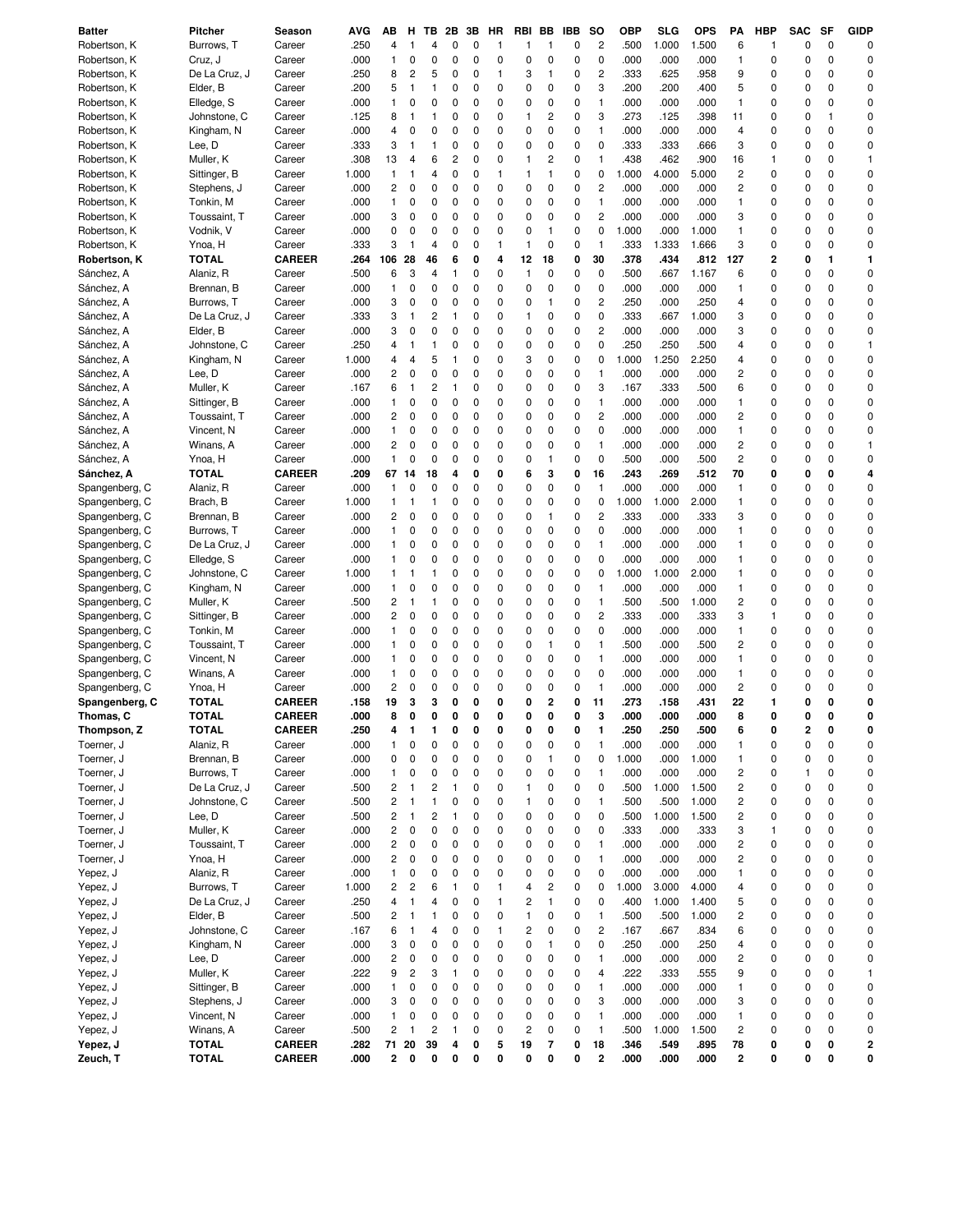| <b>Batter</b>  | Pitcher       | Season        | AVG   | ΑВ                      | н                       | ΤВ                      | 2Β                      | 3В | HR           | <b>RBI</b>              | BB                      | <b>IBB</b> | so             | <b>OBP</b> | SLG   | <b>OPS</b> | PA                      | <b>HBP</b> | <b>SAC</b>              | <b>SF</b>   | <b>GIDP</b>  |
|----------------|---------------|---------------|-------|-------------------------|-------------------------|-------------------------|-------------------------|----|--------------|-------------------------|-------------------------|------------|----------------|------------|-------|------------|-------------------------|------------|-------------------------|-------------|--------------|
| Robertson, K   | Burrows, T    | Career        | .250  | 4                       | 1                       | 4                       | 0                       | 0  | $\mathbf{1}$ | 1                       | 1                       | 0          | $\overline{c}$ | .500       | 1.000 | 1.500      | 6                       | 1          | 0                       | 0           | 0            |
| Robertson, K   | Cruz, J       | Career        | .000  | 1                       | 0                       | 0                       | $\mathbf 0$             | 0  | 0            | $\mathsf 0$             | 0                       | 0          | $\mathbf 0$    | .000       | .000  | .000       | $\mathbf{1}$            | 0          | 0                       | $\mathbf 0$ | 0            |
| Robertson, K   | De La Cruz, J | Career        | .250  | 8                       | $\overline{\mathbf{c}}$ | 5                       | 0                       | 0  | 1            | 3                       | 1                       | 0          | $\overline{c}$ | .333       | .625  | .958       | 9                       | 0          | 0                       | $\mathbf 0$ | 0            |
| Robertson, K   | Elder, B      | Career        | .200  | 5                       | $\mathbf{1}$            | $\mathbf{1}$            | 0                       | 0  | 0            | 0                       | 0                       | 0          | 3              | .200       | .200  | .400       | 5                       | 0          | 0                       | $\mathbf 0$ | 0            |
| Robertson, K   | Elledge, S    | Career        | .000  | 1                       | 0                       | 0                       | 0                       | 0  | 0            | 0                       | 0                       | 0          | $\mathbf{1}$   | .000       | .000  | .000       | $\mathbf{1}$            | 0          | 0                       | 0           | 0            |
| Robertson, K   | Johnstone, C  | Career        | .125  | 8                       | $\mathbf{1}$            | $\mathbf{1}$            | 0                       | 0  | 0            | 1                       | 2                       | 0          | 3              | .273       | .125  | .398       | 11                      | 0          | 0                       | 1           | 0            |
| Robertson, K   | Kingham, N    | Career        | .000  | 4                       | 0                       | 0                       | 0                       | 0  | 0            | 0                       | 0                       | 0          | $\mathbf{1}$   | .000       | .000  | .000       | 4                       | 0          | 0                       | $\mathbf 0$ | 0            |
|                |               |               | .333  |                         |                         | $\mathbf{1}$            |                         | 0  |              |                         | 0                       | 0          | 0              | .333       |       |            | 3                       | 0          | 0                       | 0           | 0            |
| Robertson, K   | Lee, D        | Career        |       | 3                       | $\mathbf{1}$            |                         | 0                       |    | 0            | 0                       |                         |            |                |            | .333  | .666       |                         |            |                         |             |              |
| Robertson, K   | Muller, K     | Career        | .308  | 13                      | 4                       | 6                       | $\overline{\mathbf{c}}$ | 0  | 0            | 1                       | $\overline{\mathbf{c}}$ | 0          | $\mathbf{1}$   | .438       | .462  | .900       | 16                      | 1          | 0                       | 0           | $\mathbf{1}$ |
| Robertson, K   | Sittinger, B  | Career        | 1.000 | 1                       | 1                       | $\overline{4}$          | 0                       | 0  | $\mathbf{1}$ | $\mathbf{1}$            | $\mathbf{1}$            | 0          | 0              | 1.000      | 4.000 | 5.000      | $\overline{c}$          | 0          | 0                       | 0           | 0            |
| Robertson, K   | Stephens, J   | Career        | .000  | 2                       | 0                       | 0                       | 0                       | 0  | 0            | 0                       | 0                       | 0          | $\overline{c}$ | .000       | .000  | .000       | $\overline{c}$          | 0          | 0                       | 0           | 0            |
| Robertson, K   | Tonkin, M     | Career        | .000  | 1                       | 0                       | 0                       | 0                       | 0  | 0            | 0                       | 0                       | 0          | $\mathbf{1}$   | .000       | .000  | .000       | $\mathbf{1}$            | 0          | 0                       | 0           | 0            |
| Robertson, K   | Toussaint, T  | Career        | .000  | 3                       | 0                       | 0                       | 0                       | 0  | 0            | 0                       | 0                       | 0          | $\overline{c}$ | .000       | .000  | .000       | 3                       | 0          | 0                       | 0           | 0            |
| Robertson, K   | Vodnik, V     | Career        | .000  | 0                       | 0                       | 0                       | 0                       | 0  | 0            | 0                       | 1                       | 0          | 0              | 1.000      | .000  | 1.000      | $\mathbf{1}$            | 0          | 0                       | 0           | 0            |
| Robertson, K   | Ynoa, H       | Career        | .333  | 3                       | $\mathbf{1}$            | 4                       | 0                       | 0  | 1            | 1                       | 0                       | 0          | $\mathbf{1}$   | .333       | 1.333 | 1.666      | 3                       | 0          | 0                       | $\Omega$    | 0            |
| Robertson, K   | <b>TOTAL</b>  | <b>CAREER</b> | .264  | 106                     | 28                      | 46                      | 6                       | 0  | 4            | 12                      | 18                      | 0          | 30             | .378       | .434  | .812       | 127                     | 2          | 0                       | 1           | 1            |
| Sánchez, A     | Alaniz, R     | Career        | .500  | 6                       | 3                       | 4                       | 1                       | 0  | 0            | $\mathbf{1}$            | 0                       | 0          | 0              | .500       | .667  | 1.167      | 6                       | 0          | $\mathbf 0$             | $\Omega$    | 0            |
| Sánchez, A     | Brennan, B    | Career        | .000  | 1                       | 0                       | 0                       | 0                       | 0  | 0            | 0                       | 0                       | 0          | $\mathbf 0$    | .000       | .000  | .000       | $\mathbf{1}$            | 0          | 0                       | $\mathbf 0$ | 0            |
| Sánchez, A     | Burrows, T    | Career        | .000  | 3                       | 0                       | 0                       | 0                       | 0  | 0            | 0                       | $\mathbf{1}$            | 0          | $\overline{c}$ | .250       | .000  | .250       | 4                       | 0          | 0                       | $\Omega$    | 0            |
| Sánchez, A     | De La Cruz, J | Career        | .333  | 3                       | 1                       | $\overline{c}$          | 1                       | 0  | 0            | 1                       | 0                       | 0          | 0              | .333       | .667  | 1.000      | 3                       | 0          | 0                       | $\mathbf 0$ | 0            |
| Sánchez, A     | Elder, B      | Career        | .000  | 3                       | 0                       | 0                       | 0                       | 0  | 0            | 0                       | 0                       | 0          | $\overline{c}$ | .000       | .000  | .000       | 3                       | 0          | 0                       | 0           | 0            |
| Sánchez, A     | Johnstone, C  | Career        | .250  | 4                       | $\mathbf{1}$            | $\mathbf{1}$            | 0                       | 0  | 0            | 0                       | 0                       | 0          | 0              | .250       | .250  | .500       | 4                       | 0          | 0                       | 0           | $\mathbf{1}$ |
| Sánchez, A     | Kingham, N    | Career        | 1.000 | 4                       | 4                       | 5                       | 1                       | 0  | 0            | 3                       | 0                       | 0          | 0              | 1.000      | 1.250 | 2.250      | 4                       | 0          | 0                       | 0           | 0            |
| Sánchez, A     | Lee, D        | Career        | .000  | 2                       | 0                       | 0                       | 0                       | 0  | 0            | 0                       | 0                       | 0          | $\mathbf{1}$   | .000       | .000  | .000       | $\overline{c}$          | 0          | 0                       | $\mathbf 0$ | 0            |
| Sánchez, A     | Muller, K     | Career        | .167  | 6                       | 1                       | $\overline{c}$          | 1                       | 0  | 0            | 0                       | 0                       | 0          | 3              | .167       | .333  | .500       | 6                       | 0          | 0                       | 0           | 0            |
| Sánchez, A     |               | Career        | .000  | 1                       | 0                       | 0                       | 0                       | 0  | 0            | 0                       | 0                       | 0          | $\mathbf{1}$   | .000       | .000  | .000       | $\mathbf{1}$            | 0          | 0                       | 0           | 0            |
|                | Sittinger, B  |               |       |                         |                         | 0                       | 0                       | 0  | 0            |                         | 0                       | 0          | $\overline{c}$ |            |       |            | $\overline{c}$          | 0          |                         | 0           | 0            |
| Sánchez, A     | Toussaint, T  | Career        | .000  | 2                       | 0                       |                         |                         |    |              | 0                       |                         |            |                | .000       | .000  | .000       |                         |            | 0                       |             |              |
| Sánchez, A     | Vincent, N    | Career        | .000  | 1                       | 0                       | 0                       | 0                       | 0  | 0            | 0                       | 0                       | 0          | $\mathbf 0$    | .000       | .000  | .000       | $\mathbf{1}$            | 0          | 0                       | $\Omega$    | 0            |
| Sánchez, A     | Winans, A     | Career        | .000  | 2                       | 0                       | 0                       | 0                       | 0  | 0            | 0                       | 0                       | 0          | $\mathbf{1}$   | .000       | .000  | .000       | $\overline{c}$          | 0          | 0                       | 0           | $\mathbf{1}$ |
| Sánchez, A     | Ynoa, H       | Career        | .000  | 1                       | 0                       | 0                       | 0                       | 0  | 0            | 0                       | $\mathbf{1}$            | 0          | 0              | .500       | .000  | .500       | $\overline{c}$          | 0          | 0                       | 0           | 0            |
| Sánchez, A     | <b>TOTAL</b>  | CAREER        | .209  | 67                      | 14                      | 18                      | 4                       | 0  | 0            | 6                       | 3                       | 0          | 16             | .243       | .269  | .512       | 70                      | 0          | 0                       | 0           | 4            |
| Spangenberg, C | Alaniz, R     | Career        | .000  | 1                       | 0                       | $\Omega$                | 0                       | 0  | 0            | 0                       | 0                       | 0          | $\mathbf{1}$   | .000       | .000  | .000       | $\mathbf{1}$            | 0          | 0                       | $\Omega$    | 0            |
| Spangenberg, C | Brach, B      | Career        | 1.000 | 1                       | 1                       | $\mathbf{1}$            | 0                       | 0  | 0            | 0                       | 0                       | 0          | 0              | 1.000      | 1.000 | 2.000      | $\mathbf{1}$            | 0          | 0                       | $\mathbf 0$ | 0            |
| Spangenberg, C | Brennan, B    | Career        | .000  | 2                       | 0                       | 0                       | 0                       | 0  | 0            | 0                       | $\mathbf{1}$            | 0          | $\overline{c}$ | .333       | .000  | .333       | 3                       | 0          | 0                       | $\Omega$    | 0            |
| Spangenberg, C | Burrows, T    | Career        | .000  | 1                       | 0                       | 0                       | 0                       | 0  | 0            | 0                       | 0                       | 0          | 0              | .000       | .000  | .000       | $\mathbf{1}$            | 0          | 0                       | $\Omega$    | 0            |
| Spangenberg, C | De La Cruz, J | Career        | .000  | 1                       | 0                       | $\mathbf 0$             | 0                       | 0  | 0            | 0                       | 0                       | 0          | $\mathbf{1}$   | .000       | .000  | .000       | $\mathbf{1}$            | 0          | 0                       | $\Omega$    | 0            |
| Spangenberg, C | Elledge, S    | Career        | .000  | 1                       | 0                       | 0                       | 0                       | 0  | 0            | 0                       | 0                       | 0          | 0              | .000       | .000  | .000       | $\mathbf{1}$            | 0          | 0                       | $\mathbf 0$ | 0            |
| Spangenberg, C | Johnstone, C  | Career        | 1.000 | 1                       | 1                       | $\mathbf{1}$            | 0                       | 0  | 0            | 0                       | 0                       | 0          | 0              | 1.000      | 1.000 | 2.000      | $\mathbf{1}$            | 0          | 0                       | 0           | 0            |
| Spangenberg, C | Kingham, N    | Career        | .000  | 1                       | 0                       | 0                       | 0                       | 0  | 0            | 0                       | 0                       | 0          | $\mathbf{1}$   | .000       | .000  | .000       | $\mathbf{1}$            | 0          | 0                       | 0           | 0            |
| Spangenberg, C | Muller, K     | Career        | .500  | 2                       | $\mathbf{1}$            | $\mathbf{1}$            | 0                       | 0  | 0            | 0                       | 0                       | 0          | $\mathbf{1}$   | .500       | .500  | 1.000      | $\overline{c}$          | 0          | 0                       | 0           | 0            |
| Spangenberg, C | Sittinger, B  | Career        | .000  | 2                       | 0                       | 0                       | 0                       | 0  | 0            | 0                       | 0                       | 0          | $\overline{c}$ | .333       | .000  | .333       | 3                       | 1          | 0                       | $\mathbf 0$ | 0            |
| Spangenberg, C | Tonkin, M     | Career        | .000  | 1                       | 0                       | 0                       | 0                       | 0  | 0            | 0                       | 0                       | 0          | $\mathbf 0$    | .000       | .000  | .000       | $\mathbf{1}$            | 0          | 0                       | 0           | 0            |
| Spangenberg, C | Toussaint, T  | Career        | .000  | 1                       | 0                       | 0                       | 0                       | 0  | 0            | 0                       | $\mathbf{1}$            | 0          | $\mathbf{1}$   | .500       | .000  | .500       | $\overline{\mathbf{c}}$ | 0          | 0                       | $\mathbf 0$ | 0            |
| Spangenberg, C | Vincent, N    | Career        | .000  | 1                       | 0                       | 0                       | 0                       | 0  | 0            | 0                       | 0                       | 0          | $\mathbf{1}$   | .000       | .000  | .000       | $\mathbf{1}$            | 0          | 0                       | $\mathbf 0$ | 0            |
| Spangenberg, C | Winans, A     | Career        | .000  | 1                       | 0                       | 0                       | 0                       | 0  | 0            | 0                       | 0                       | 0          | 0              | .000       | .000  | .000       | $\mathbf{1}$            | 0          | 0                       | 0           | 0            |
| Spangenberg, C | Ynoa, H       | Career        | .000  | $\overline{\mathbf{c}}$ | 0                       | 0                       | 0                       | 0  | 0            | 0                       | 0                       | 0          | $\mathbf{1}$   | .000       | .000  | .000       | $\overline{c}$          | 0          | 0                       | 0           | 0            |
|                | <b>TOTAL</b>  | <b>CAREER</b> | .158  | 19                      | 3                       | 3                       | 0                       | 0  | 0            | 0                       | 2                       | 0          | 11             | .273       | .158  | 431        | 22                      | 1          | 0                       | 0           | 0            |
| Spangenberg, C |               |               |       | 8                       | 0                       | O                       | 0                       | 0  | O            | 0                       | 0                       | 0          | 3              | .000       |       | .000       | 8                       | 0          | 0                       | ŋ           | 0            |
| Thomas, C      | <b>TOTAL</b>  | CAREER        | .000  |                         |                         |                         |                         |    |              |                         |                         |            |                |            | .000  |            |                         |            |                         |             |              |
| Thompson, Z    | <b>TOTAL</b>  | <b>CAREER</b> | .250  | 4                       | 1                       | 1                       | 0                       | 0  | 0            | 0                       | 0                       | 0          | 1              | .250       | .250  | .500       | 6                       | 0          | $\overline{\mathbf{2}}$ | 0           | 0            |
| Toerner. J     | Alaniz, R     | Career        | .000  | 1                       | 0                       | 0                       | 0                       | 0  | 0            | 0                       | 0                       | 0          | $\mathbf{1}$   | .000       | .000  | .000       | $\mathbf{1}$            | 0          | 0                       | 0           | 0            |
| Toerner, J     | Brennan, B    | Career        | .000  | 0                       | 0                       | 0                       | 0                       | 0  | 0            | 0                       | $\mathbf{1}$            | 0          | 0              | 1.000      | .000  | 1.000      | 1                       | 0          | 0                       | 0           | 0            |
| Toerner, J     | Burrows, T    | Career        | .000  | 1                       | 0                       | 0                       | 0                       | 0  | 0            | 0                       | 0                       | 0          | $\mathbf{1}$   | .000       | .000  | .000       | $\overline{c}$          | 0          | 1                       | 0           | 0            |
| Toerner, J     | De La Cruz, J | Career        | .500  | $\overline{\mathbf{c}}$ | $\mathbf{1}$            | $\overline{c}$          | 1                       | 0  | 0            | 1                       | 0                       | 0          | 0              | .500       | 1.000 | 1.500      | $\overline{\mathbf{c}}$ | 0          | 0                       | 0           | 0            |
| Toerner, J     | Johnstone, C  | Career        | .500  | $\overline{\mathbf{c}}$ | $\mathbf{1}$            | $\mathbf{1}$            | 0                       | 0  | 0            | 1                       | 0                       | 0          | $\mathbf{1}$   | .500       | .500  | 1.000      | $\overline{c}$          | 0          | 0                       | 0           | 0            |
| Toerner, J     | Lee, D        | Career        | .500  | $\overline{\mathbf{c}}$ | $\mathbf{1}$            | $\overline{c}$          | 1                       | 0  | 0            | 0                       | 0                       | 0          | 0              | .500       | 1.000 | 1.500      | $\overline{c}$          | 0          | 0                       | 0           | 0            |
| Toerner, J     | Muller, K     | Career        | .000  | 2                       | $\mathbf 0$             | $\mathbf 0$             | 0                       | 0  | 0            | 0                       | 0                       | 0          | $\pmb{0}$      | .333       | .000  | .333       | 3                       | 1          | 0                       | 0           | 0            |
| Toerner, J     | Toussaint, T  | Career        | .000  | $\overline{\mathbf{c}}$ | 0                       | 0                       | 0                       | 0  | 0            | 0                       | 0                       | 0          | $\mathbf{1}$   | .000       | .000  | .000       | $\overline{c}$          | 0          | 0                       | 0           | 0            |
| Toerner, J     | Ynoa, H       | Career        | .000  | $\overline{\mathbf{c}}$ | 0                       | 0                       | 0                       | 0  | 0            | 0                       | 0                       | 0          | $\mathbf{1}$   | .000       | .000  | .000       | $\overline{\mathbf{c}}$ | 0          | 0                       | 0           | 0            |
| Yepez, J       | Alaniz, R     | Career        | .000  | 1                       | 0                       | 0                       | 0                       | 0  | 0            | 0                       | 0                       | 0          | $\pmb{0}$      | .000       | .000  | .000       | 1                       | 0          | 0                       | 0           | 0            |
| Yepez, J       | Burrows, T    | Career        | 1.000 | $\overline{\mathbf{c}}$ | $\overline{\mathbf{c}}$ | 6                       | $\mathbf{1}$            | 0  | 1            | 4                       | $\overline{\mathbf{c}}$ | 0          | $\pmb{0}$      | 1.000      | 3.000 | 4.000      | 4                       | 0          | 0                       | 0           | 0            |
| Yepez, J       | De La Cruz, J | Career        | .250  | 4                       | 1                       | 4                       | 0                       | 0  | $\mathbf{1}$ | $\overline{\mathbf{c}}$ | $\mathbf{1}$            | 0          | 0              | .400       | 1.000 | 1.400      | 5                       | 0          | 0                       | 0           | 0            |
| Yepez, J       | Elder, B      | Career        | .500  | 2                       | $\mathbf{1}$            | $\mathbf{1}$            | 0                       | 0  | 0            | $\mathbf{1}$            | 0                       | 0          | $\mathbf{1}$   | .500       | .500  | 1.000      | $\overline{c}$          | 0          | 0                       | 0           | 0            |
| Yepez, J       | Johnstone, C  | Career        | .167  | 6                       | $\mathbf{1}$            | 4                       | 0                       | 0  | 1            | $\overline{\mathbf{c}}$ | 0                       | 0          | $\overline{c}$ | .167       | .667  | .834       | 6                       | 0          | 0                       | 0           | 0            |
| Yepez, J       | Kingham, N    | Career        | .000  | 3                       | 0                       | $\mathbf 0$             | 0                       | 0  | 0            | 0                       | 1                       | 0          | $\pmb{0}$      | .250       | .000  | .250       | 4                       | 0          | 0                       | 0           | 0            |
| Yepez, J       | Lee, D        | Career        | .000  | 2                       | 0                       | 0                       | 0                       | 0  | 0            | 0                       | 0                       | 0          | 1              | .000       | .000  | .000       | $\overline{c}$          | 0          | 0                       | 0           | 0            |
|                | Muller, K     |               |       | 9                       | $\overline{\mathbf{c}}$ | 3                       | 1                       | 0  | 0            | 0                       | 0                       |            | 4              | .222       | .333  |            | 9                       | 0          | 0                       | 0           | 1            |
| Yepez, J       |               | Career        | .222  |                         |                         |                         |                         |    |              |                         |                         | 0          |                |            |       | .555       |                         |            |                         |             |              |
| Yepez, J       | Sittinger, B  | Career        | .000  | 1                       | 0                       | 0                       | 0                       | 0  | 0            | 0                       | 0                       | 0          | 1              | .000       | .000  | .000       | 1                       | 0          | 0                       | 0           | 0            |
| Yepez, J       | Stephens, J   | Career        | .000  | 3                       | 0                       | 0                       | 0                       | 0  | 0            | 0                       | 0                       | 0          | 3              | .000       | .000  | .000       | 3                       | 0          | 0                       | 0           | 0            |
| Yepez, J       | Vincent, N    | Career        | .000  | 1                       | 0                       | 0                       | 0                       | 0  | 0            | 0                       | 0                       | 0          | $\mathbf{1}$   | .000       | .000  | .000       | $\mathbf{1}$            | 0          | 0                       | 0           | 0            |
| Yepez, J       | Winans, A     | Career        | .500  | $\overline{\mathbf{c}}$ | $\mathbf{1}$            | $\overline{\mathbf{c}}$ | 1                       | 0  | 0            | $\overline{\mathbf{c}}$ | 0                       | 0          | $\mathbf{1}$   | .500       | 1.000 | 1.500      | $\overline{\mathbf{c}}$ | 0          | 0                       | 0           | 0            |
| Yepez, J       | <b>TOTAL</b>  | <b>CAREER</b> | .282  | 71                      | 20                      | 39                      | 4                       | 0  | 5            | 19                      | 7                       | 0          | 18             | .346       | .549  | .895       | 78                      | 0          | 0                       | 0           | 2            |
| Zeuch, T       | <b>TOTAL</b>  | <b>CAREER</b> | .000  | $\mathbf{2}$            | 0                       | 0                       | 0                       | 0  | 0            | 0                       | 0                       | 0          | $\bf{2}$       | .000       | .000  | .000       | $\overline{\mathbf{2}}$ | 0          | 0                       | 0           | 0            |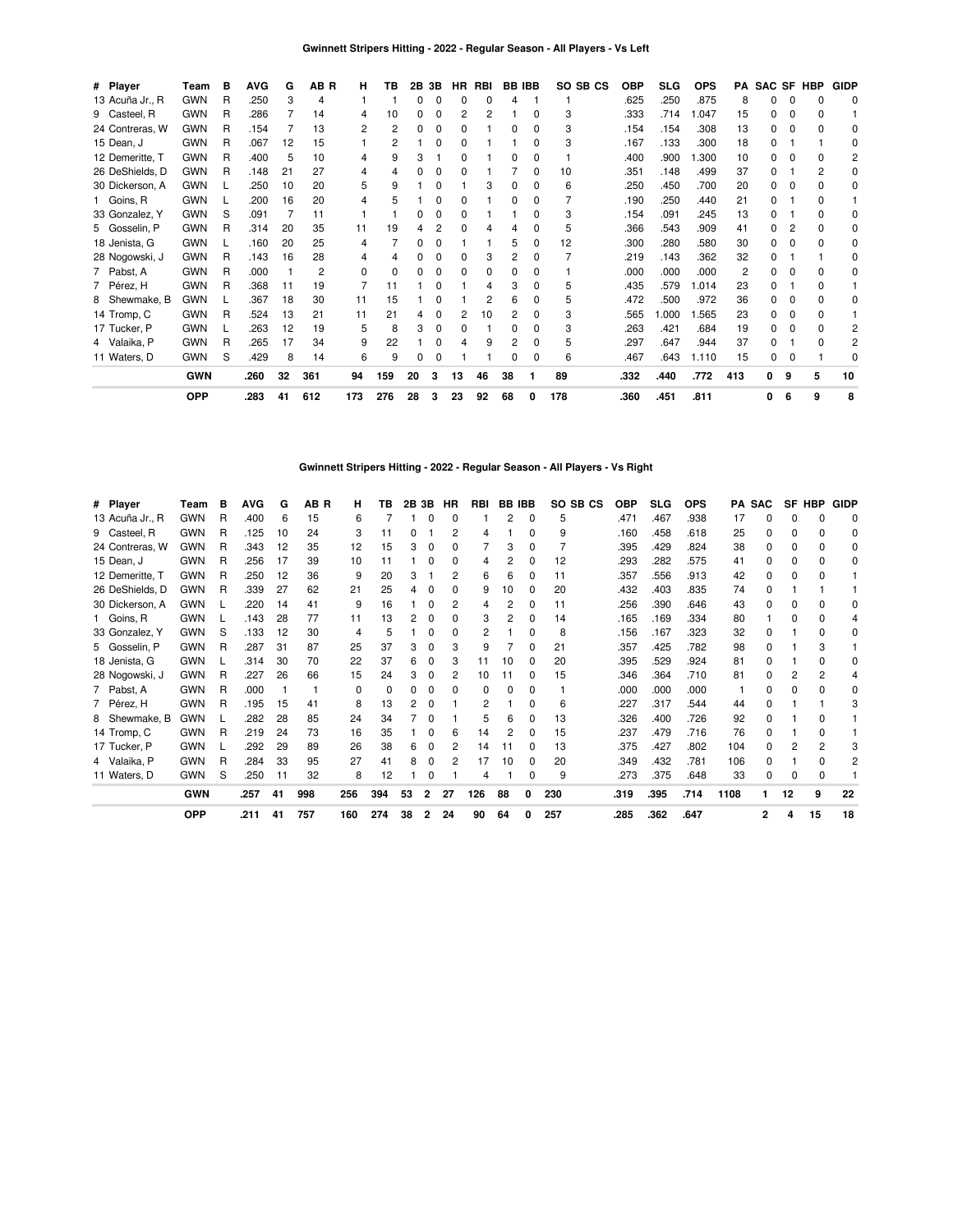| # Player        | Team       | в | <b>AVG</b> | G  | AB R | н   | тв           | 2Β | 3Β | HR. | RBI | <b>BB IBB</b> |              | SO SB CS | <b>OBP</b> | <b>SLG</b> | <b>OPS</b> | PA             |   |   | SAC SF HBP | <b>GIDP</b>  |
|-----------------|------------|---|------------|----|------|-----|--------------|----|----|-----|-----|---------------|--------------|----------|------------|------------|------------|----------------|---|---|------------|--------------|
| 13 Acuña Jr., R | <b>GWN</b> | R | .250       | 3  | 4    |     |              | 0  |    | 0   | O   |               |              |          | .625       | .250       | .875       | 8              | 0 | 0 |            | 0            |
| 9 Casteel, R    | <b>GWN</b> | R | .286       |    | 14   | 4   | 10           | 0  |    | 2   |     |               |              | 3        | .333       | .714       | .047       | 15             |   | O |            |              |
| 24 Contreras, W | <b>GWN</b> | R | .154       |    | 13   | 2   | 2            | 0  |    | 0   |     |               | 0            | 3        | .154       | .154       | .308       | 13             |   |   |            | O            |
| 15 Dean, J      | <b>GWN</b> | R | .067       | 12 | 15   |     | 2            |    | 0  | 0   |     |               | 0            | 3        | .167       | .133       | .300       | 18             |   |   |            | 0            |
| 12 Demeritte, T | <b>GWN</b> | R | .400       | 5  | 10   | 4   | 9            | 3  |    | 0   |     | 0             | 0            |          | .400       | .900       | 300. ا     | 10             |   |   |            |              |
| 26 DeShields, D | <b>GWN</b> | R | .148       | 21 | 27   | 4   |              | 0  |    |     |     |               | 0            | 10       | .351       | .148       | .499       | 37             |   |   |            | <sup>0</sup> |
| 30 Dickerson, A | <b>GWN</b> |   | .250       | 10 | 20   | 5   | 9            |    |    |     | З   | 0             | O            | 6        | .250       | .450       | .700       | 20             |   | O |            | 0            |
| 1 Goins, R      | <b>GWN</b> |   | .200       | 16 | 20   | 4   | 5            |    |    | 0   |     | 0             | 0            |          | .190       | .250       | .440       | 21             |   |   |            |              |
| 33 Gonzalez, Y  | <b>GWN</b> | S | .091       |    | 11   |     |              |    |    | 0   |     |               |              | 3        | .154       | .091       | .245       | 13             |   |   |            | <sup>0</sup> |
| 5 Gosselin, P   | <b>GWN</b> | R | .314       | 20 | 35   | 11  | 19           |    |    | O   |     |               |              | 5        | .366       | .543       | .909       | 41             |   |   |            | 0            |
| 18 Jenista, G   | <b>GWN</b> |   | .160       | 20 | 25   | 4   |              | n  |    |     |     | 5             | 0            | 12       | .300       | .280       | .580       | 30             |   |   |            | O            |
| 28 Nogowski, J  | <b>GWN</b> | R | .143       | 16 | 28   | 4   | Δ            |    |    | 0   | З   | 2             | $\Omega$     |          | .219       | .143       | .362       | 32             | 0 |   |            | 0            |
| 7 Pabst, A      | <b>GWN</b> | R | .000       |    | 2    | 0   | <sup>0</sup> |    |    | 0   | O   |               | O            |          | .000       | .000       | .000       | $\overline{c}$ |   |   |            | O            |
| 7 Pérez, H      | <b>GWN</b> | R | .368       | 11 | 19   | 7   | 11           |    |    |     |     | 3             | 0            | 5        | .435       | .579       | 1.014      | 23             |   |   |            |              |
| 8 Shewmake, B   | <b>GWN</b> |   | .367       | 18 | 30   | 11  | 15           |    |    |     | 2   | 6             | 0            | 5        | .472       | .500       | .972       | 36             | 0 | 0 |            | <sup>0</sup> |
| 14 Tromp, C     | <b>GWN</b> | R | .524       | 13 | 21   | 11  | 21           | 4  | 0  | 2   | 10  | 2             | <sup>0</sup> | 3        | .565       | .000       | 1.565      | 23             |   |   |            |              |
| 17 Tucker, P    | <b>GWN</b> |   | .263       | 12 | 19   | 5   | 8            | 3  | 0  | 0   |     | 0             | 0            | 3        | .263       | .421       | .684       | 19             |   |   |            |              |
| 4 Valaika, P    | <b>GWN</b> | R | .265       | 17 | 34   | 9   | 22           |    |    |     | 9   | 2             | 0            | 5        | .297       | .647       | .944       | 37             |   |   |            |              |
| 11 Waters, D    | <b>GWN</b> | S | .429       | 8  | 14   | 6   | 9            | 0  | 0  |     |     | 0             | <sup>0</sup> | 6        | .467       | .643       | 1.110      | 15             | 0 | 0 |            | <sup>0</sup> |
|                 | <b>GWN</b> |   | .260       | 32 | 361  | 94  | 159          | 20 | 3  | 13  | 46  | 38            |              | 89       | .332       | .440       | .772       | 413            | 0 | 9 | 5          | 10           |
|                 | <b>OPP</b> |   | .283       | 41 | 612  | 173 | 276          | 28 | 3  | 23  | 92  | 68            | 0            | 178      | .360       | .451       | .811       |                | 0 | 6 | 9          | 8            |

**Gwinnett Stripers Hitting - 2022 - Regular Season - All Players - Vs Right**

| # Player        | Team       | в | <b>AVG</b> | G  | AB R | н        | ΤВ  | 2B 3B |          | HR | <b>RBI</b> | <b>BB IBB</b> |          | SO SB CS | <b>OBP</b> | <b>SLG</b> | <b>OPS</b> |      | PA SAC   | SF           | <b>HBP</b> | <b>GIDP</b>  |
|-----------------|------------|---|------------|----|------|----------|-----|-------|----------|----|------------|---------------|----------|----------|------------|------------|------------|------|----------|--------------|------------|--------------|
| 13 Acuña Jr., R | <b>GWN</b> | R | .400       | 6  | 15   | 6        |     |       | 0        |    |            | 2             | 0        | 5        | .471       | .467       | .938       | 17   |          |              | n          | 0            |
| 9 Casteel, R    | <b>GWN</b> | R | .125       | 10 | 24   | 3        | 11  |       |          | 2  | 4          |               | $\Omega$ | 9        | .160       | .458       | .618       | 25   | 0        | 0            | 0          | 0            |
| 24 Contreras, W | <b>GWN</b> | R | .343       | 12 | 35   | 12       | 15  | 3     | 0        |    |            | 3             | $\Omega$ |          | .395       | .429       | .824       | 38   | 0        |              | ŋ          | 0            |
| 15 Dean, J      | <b>GWN</b> | R | .256       | 17 | 39   | 10       | 11  |       | 0        | O  | 4          |               | $\Omega$ | 12       | .293       | .282       | .575       | 41   | 0        | <sup>0</sup> | 0          | $\Omega$     |
| 12 Demeritte, T | <b>GWN</b> | R | .250       | 12 | 36   | 9        | 20  | 3     |          |    | 6          | 6             | $\Omega$ | 11       | .357       | .556       | .913       | 42   | 0        | n            | o          |              |
| 26 DeShields, D | <b>GWN</b> | R | .339       | 27 | 62   | 21       | 25  | 4     | 0        |    | 9          | 10            | $\Omega$ | 20       | .432       | .403       | .835       | 74   | 0        |              |            |              |
| 30 Dickerson, A | <b>GWN</b> |   | .220       | 14 | 41   | 9        | 16  |       | 0        | 2  | 4          | 2             | $\Omega$ | 11       | .256       | .390       | .646       | 43   | $\Omega$ |              |            | O            |
| 1 Goins, R      | <b>GWN</b> |   | .143       | 28 | 77   | 11       | 13  | 2     | 0        | O  | 3          | 2             | $\Omega$ | 14       | .165       | .169       | .334       | 80   |          | <sup>0</sup> | o          |              |
| 33 Gonzalez, Y  | <b>GWN</b> | S | .133       | 12 | 30   | 4        | 5   |       | 0        |    | 2          |               | $\Omega$ | 8        | .156       | .167       | .323       | 32   | 0        |              |            | <sup>0</sup> |
| 5 Gosselin, P   | <b>GWN</b> | R | .287       | 31 | 87   | 25       | 37  | 3     | 0        |    | 9          |               | $\Omega$ | 21       | .357       | .425       | .782       | 98   | 0        |              | 3          |              |
| 18 Jenista, G   | <b>GWN</b> |   | .314       | 30 | 70   | 22       | 37  | 6     | 0        | 3  | 11         | 10            | $\Omega$ | 20       | .395       | .529       | .924       | 81   | 0        |              | o          | <sup>0</sup> |
| 28 Nogowski, J  | <b>GWN</b> | R | .227       | 26 | 66   | 15       | 24  | 3     | 0        | 2  | 10         | 11            | n        | 15       | .346       | .364       | .710       | 81   | 0        |              | 2          |              |
| 7 Pabst, A      | <b>GWN</b> | R | .000       |    |      | $\Omega$ | O   | ŋ     | 0        |    | ŋ          | O             | $\Omega$ |          | .000       | .000       | .000       |      |          |              | ŋ          | <sup>0</sup> |
| 7 Pérez, H      | <b>GWN</b> | R | .195       | 15 | 41   | 8        | 13  | 2     | 0        |    | 2          |               | $\Omega$ | 6        | .227       | .317       | .544       | 44   | 0        |              |            |              |
| 8 Shewmake, B   | <b>GWN</b> |   | .282       | 28 | 85   | 24       | 34  |       | $\Omega$ |    | 5          | 6             | $\Omega$ | 13       | .326       | .400       | .726       | 92   | $\Omega$ |              | ŋ          |              |
| 14 Tromp, C     | <b>GWN</b> | R | .219       | 24 | 73   | 16       | 35  |       | 0        | 6  | 14         | 2             | $\Omega$ | 15       | .237       | .479       | .716       | 76   | $\Omega$ |              | ŋ          |              |
| 17 Tucker, P    | <b>GWN</b> |   | .292       | 29 | 89   | 26       | 38  | 6     | $\Omega$ | 2  | 14         |               | $\Omega$ | 13       | .375       | .427       | .802       | 104  | 0        |              |            | З            |
| 4 Valaika, P    | <b>GWN</b> | R | .284       | 33 | 95   | 27       | 41  | 8     | 0        |    | 17         | 10            | $\Omega$ | 20       | .349       | .432       | .781       | 106  | 0        |              | ŋ          |              |
| 11 Waters, D    | <b>GWN</b> | S | .250       | 11 | 32   | 8        | 12  |       | 0        |    | 4          |               | $\Omega$ | 9        | .273       | .375       | .648       | 33   | 0        | O            | 0          |              |
|                 | <b>GWN</b> |   | .257       | 41 | 998  | 256      | 394 | 53    | 2        | 27 | 126        | 88            | 0        | 230      | .319       | .395       | .714       | 1108 | 1        | 12           | 9          | 22           |
|                 | <b>OPP</b> |   | .211       | 41 | 757  | 160      | 274 | 38    | 2        | 24 | 90         | 64            | 0        | 257      | .285       | .362       | .647       |      | 2        | 4            | 15         | 18           |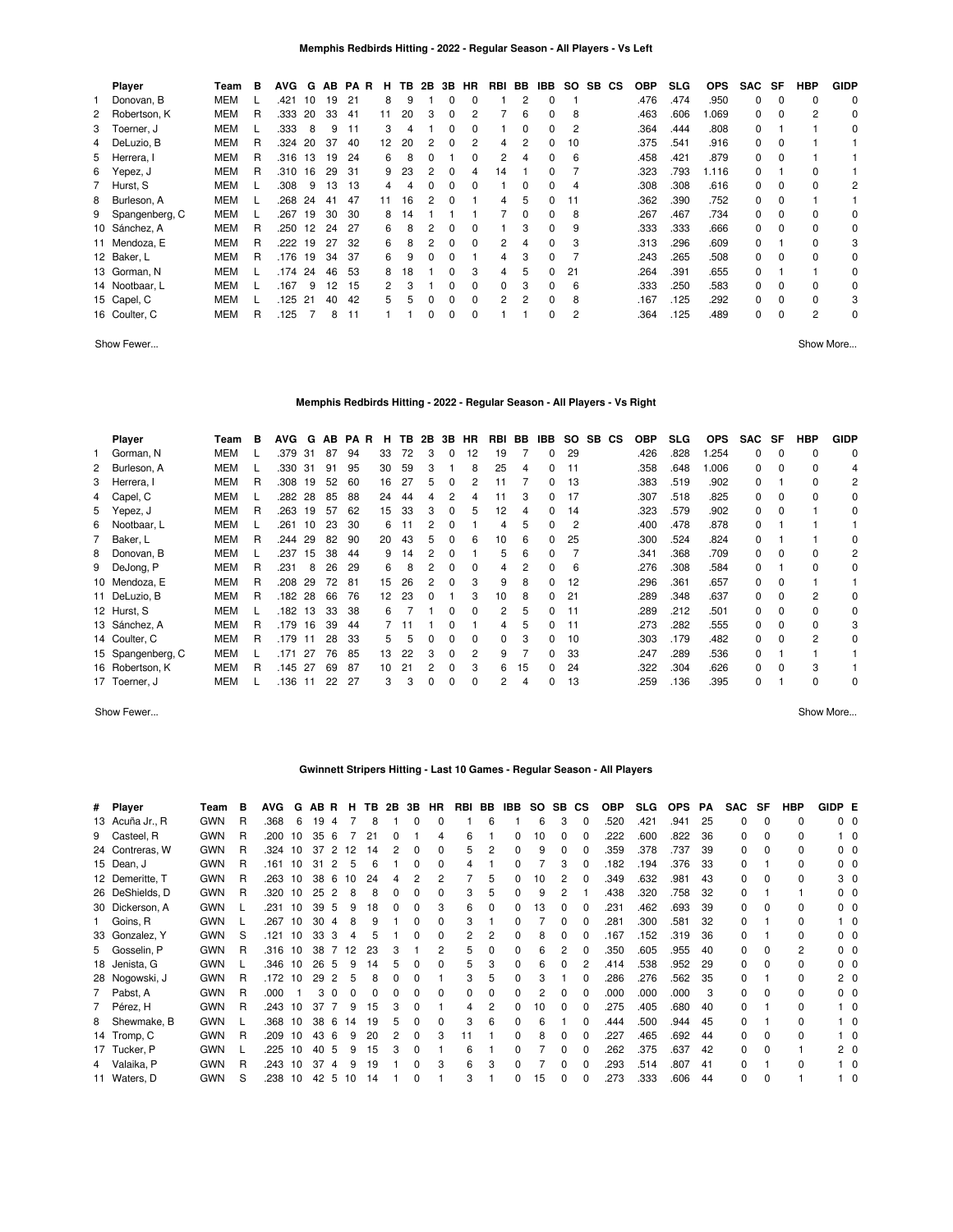| <b>Player</b>    | Team       | в | <b>AVG</b> | G  | AB | <b>PAR</b> | н. | TB. | 2B | 3B | HR | RBI | BB       | IBB.         | SO. | SB. | СS | <b>OBP</b> | <b>SLG</b> | <b>OPS</b> | <b>SAC</b>   | SF       | HBP         | <b>GIDP</b> |
|------------------|------------|---|------------|----|----|------------|----|-----|----|----|----|-----|----------|--------------|-----|-----|----|------------|------------|------------|--------------|----------|-------------|-------------|
| Donovan. B       | <b>MEM</b> |   | .421       | 10 | 19 | 21         | 8  | 9   |    | 0  | 0  |     | 2        | 0            |     |     |    | .476       | .474       | .950       | $\Omega$     | 0        | $\mathbf 0$ | 0           |
| 2 Robertson, K   | <b>MEM</b> | R | .333       | 20 | 33 | 41         | 11 | 20  | 3  | 0  | 2  |     | 6        | 0            | 8   |     |    | .463       | .606       | .069       | 0            | 0        | 2           | 0           |
| 3 Toerner, J     | <b>MEM</b> |   | .333       | 8  | 9  | 11         | 3  | 4   |    | ŋ  | 0  |     | 0        | 0            | 2   |     |    | .364       | .444       | .808       | $\Omega$     |          |             | 0           |
| 4 DeLuzio, B     | <b>MEM</b> | R | .324       | 20 | 37 | 40         | 12 | 20  |    | 0  | 2  | 4   | 2        | 0            | 10  |     |    | .375       | .541       | .916       | 0            | $\Omega$ |             |             |
| 5 Herrera, I     | <b>MEM</b> | R | .316       | 13 | 19 | 24         | 6  | 8   | 0  |    | 0  |     |          | <sup>0</sup> | 6   |     |    | .458       | .421       | .879       | $\Omega$     | 0        |             |             |
| 6 Yepez, J       | <b>MEM</b> | R | .310       | 16 | 29 | 31         | 9  | 23  | 2  | 0  | 4  | 14  |          | <sup>0</sup> |     |     |    | .323       | .793       | 1.116      | <sup>0</sup> |          | 0           |             |
| 7 Hurst, S       | <b>MEM</b> |   | .308       | 9  | 13 | 13         | 4  |     | 0  | 0  | 0  |     | 0        | 0            |     |     |    | .308       | .308       | .616       | $\Omega$     | $\Omega$ | 0           | 2           |
| 8 Burleson, A    | <b>MEM</b> |   | .268       | 24 | 41 | 47         | 11 | 16  | 2  | 0  |    | 4   | 5        | 0            | 11  |     |    | .362       | .390       | .752       | 0            | 0        |             |             |
| 9 Spangenberg, C | <b>MEM</b> |   | .267       | 19 | 30 | 30         | 8  | 14  |    |    |    |     | $\Omega$ | $\Omega$     | 8   |     |    | .267       | .467       | .734       | 0            | $\Omega$ | 0           | 0           |
| 10 Sánchez, A    | <b>MEM</b> | R | .250       | 12 | 24 | 27         | 6  | 8   | 2  | 0  | 0  |     | 3        | $\Omega$     | 9   |     |    | .333       | .333       | .666       | $\Omega$     | $\Omega$ | 0           | 0           |
| 11 Mendoza, E    | <b>MEM</b> | R | .222       | 19 | 27 | 32         | 6  | 8   | 2  | 0  | 0  | 2   | 4        | 0            | 3   |     |    | .313       | .296       | .609       | $\Omega$     |          | $\Omega$    | 3           |
| 12 Baker, L      | <b>MEM</b> | R | .176       | 19 | 34 | -37        | 6  | 9   | 0  | 0  |    | 4   | 3        | 0            |     |     |    | .243       | .265       | .508       | $\Omega$     | 0        | $\Omega$    | 0           |
| 13 Gorman, N     | <b>MEM</b> |   | .174 24    |    | 46 | 53         |    | 18  |    | 0  | 3  | 4   | 5        |              | 21  |     |    | .264       | .391       | .655       | 0            |          |             | 0           |
| 14 Nootbaar, L   | MEM        |   | .167       | 9  | 12 | 15         |    | 3   |    | 0  | 0  | 0   | 3        | <sup>0</sup> | 6   |     |    | .333       | .250       | .583       | 0            | 0        | 0           | 0           |
| 15 Capel, C      | MEM        |   | .125       | 21 | 40 | 42         | 5. | 5   | 0  | 0  | 0  | 2   | 2        | 0            | 8   |     |    | .167       | .125       | .292       | $\Omega$     | 0        | 0           | 3           |
| 16 Coulter, C    | MEM        | R | 125        |    | 8  | 11         |    |     | 0  | 0  | 0  |     |          | 0            | 2   |     |    | .364       | .125       | .489       | 0            | 0        | 2           | 0           |

Show Fewer... Show More...

### **Memphis Redbirds Hitting - 2022 - Regular Season - All Players - Vs Right**

| Player            | Team       | в | <b>AVG</b> | G   | AB | PA R | н  | TB. | 2B | 3B       | <b>HR</b>      | RBI | BB | IBB.         | SO. | SB. | <b>CS</b> | <b>OBP</b> | <b>SLG</b> | <b>OPS</b> | <b>SAC</b> | SF       | HBP      | <b>GIDP</b> |
|-------------------|------------|---|------------|-----|----|------|----|-----|----|----------|----------------|-----|----|--------------|-----|-----|-----------|------------|------------|------------|------------|----------|----------|-------------|
| 1 Gorman, N       | <b>MEM</b> |   | .379       | -31 | 87 | 94   | 33 | 72  | 3  | $\Omega$ | 12             | 19  |    | 0            | 29  |     |           | .426       | .828       | 1.254      | 0          | 0        | 0        | 0           |
| 2 Burleson, A     | <b>MEM</b> |   | .330 31    |     | 91 | 95   | 30 | 59  | 3  |          | 8              | 25  | 4  | 0            | 11  |     |           | .358       | .648       | 1.006      | 0          | 0        | $\Omega$ | 4           |
| 3 Herrera, I      | <b>MEM</b> | R | .308       | 19  | 52 | 60   | 16 | 27  | h  |          | 2              |     |    | 0            | 13  |     |           | .383       | .519       | .902       | 0          |          | $\Omega$ | 2           |
| 4 Capel, C        | <b>MEM</b> |   | .282 28    |     | 85 | 88   | 24 | 44  |    |          | 4              |     | 3  | 0            | 17  |     |           | .307       | .518       | .825       | 0          | $\Omega$ | $\Omega$ | 0           |
| 5 Yepez, J        | <b>MEM</b> | R | .263       | 19  | 57 | 62   | 15 | 33  |    | 0        | 5              | 12  | 4  | <sup>0</sup> | 14  |     |           | .323       | .579       | .902       | 0          | 0        |          | 0           |
| 6 Nootbaar, L     | <b>MEM</b> |   | .261       | 10  | 23 | 30   | 6  |     |    |          |                | 4   | 5  | 0            | 2   |     |           | .400       | .478       | .878       | 0          |          |          |             |
| 7 Baker, L        | <b>MEM</b> | R | .244       | 29  | 82 | 90   | 20 | 43  | 5  | 0        | 6              | 10  | 6  | 0            | 25  |     |           | .300       | .524       | .824       | 0          |          |          | 0           |
| 8 Donovan, B      | <b>MEM</b> |   | .237       | 15  | 38 | 44   | 9  | 14  |    | 0        |                | 5   | 6  | 0            |     |     |           | .341       | .368       | .709       | 0          | 0        | 0        | 2           |
| 9 DeJong, P       | <b>MEM</b> | R | .231       | 8   | 26 | 29   | 6  | 8   |    | 0        | 0              | 4   | 2  | 0            | 6   |     |           | .276       | .308       | .584       | 0          |          | $\Omega$ | 0           |
| 10 Mendoza, E     | <b>MEM</b> | R | .208       | 29  | 72 | 81   | 15 | 26  | 2  | 0        | 3              | 9   | 8  | $\Omega$     | 12  |     |           | .296       | .361       | .657       | 0          | $\Omega$ |          |             |
| 11 DeLuzio, B     | <b>MEM</b> | R | .182       | -28 | 66 | 76   | 12 | 23  | 0  |          | 3              | 10  | 8  | $\Omega$     | 21  |     |           | .289       | .348       | .637       | $\Omega$   | $\Omega$ | 2        | 0           |
| 12 Hurst, S       | <b>MEM</b> |   | .182       | 13  | 33 | 38   | 6  |     |    | 0        | <sup>0</sup>   | 2   | 5  | $\Omega$     | 11  |     |           | .289       | .212       | .501       | 0          | 0        | $\Omega$ | 0           |
| 13 Sánchez, A     | <b>MEM</b> | R | .179       | 16  | 39 | 44   |    |     |    | n        |                | 4   | 5  | $\Omega$     | -11 |     |           | .273       | .282       | .555       | $\Omega$   | 0        | $\Omega$ | 3           |
| 14 Coulter, C     | <b>MEM</b> | R | .179       | 11  | 28 | 33   | 5. |     |    | ŋ        | 0              | 0   | 3  | $\Omega$     | 10  |     |           | .303       | .179       | .482       | $\Omega$   | 0        | 2        | 0           |
| 15 Spangenberg, C | <b>MEM</b> |   | 171        | 27  | 76 | 85   | 13 | 22  |    | ŋ        | $\overline{c}$ | 9   |    | U            | 33  |     |           | .247       | .289       | .536       | $\Omega$   |          |          |             |
| 16 Robertson, K   | <b>MEM</b> | R | .145       | -27 | 69 | 87   | 10 | 21  |    |          | 3              | 6   | 15 | <sup>0</sup> | 24  |     |           | .322       | .304       | .626       | 0          | 0        | 3        |             |
| 17 Toerner, J     | <b>MEM</b> |   | .136       | -11 | 22 | 27   | 3  | 3   | 0  | 0        | 0              | 2   | 4  | 0            | 13  |     |           | .259       | .136       | .395       |            |          | 0        | 0           |

Show Fewer... Show More...

# **Gwinnett Stripers Hitting - Last 10 Games - Regular Season - All Players**

| # Player        | Team       | в | <b>AVG</b> | G  | AB. | <b>R</b> | н            | TВ | 2B           | 3В           | <b>HR</b> | RBI          | BB. | IBB          | SO. | SB. | <b>CS</b>    | <b>OBP</b> | <b>SLG</b> | <b>OPS</b> | PА | <b>SAC</b> | SF           | HBP | GIDP E         |                |
|-----------------|------------|---|------------|----|-----|----------|--------------|----|--------------|--------------|-----------|--------------|-----|--------------|-----|-----|--------------|------------|------------|------------|----|------------|--------------|-----|----------------|----------------|
| 13 Acuña Jr., R | <b>GWN</b> | R | .368       | 6  | 19  | 4        |              | 8  |              | 0            | 0         |              | 6   |              | 6   | 3   | $\Omega$     | .520       | .421       | .941       | 25 | 0          | $\Omega$     | 0   | 0 <sub>0</sub> |                |
| 9 Casteel, R    | <b>GWN</b> | R | .200       | 10 | 35  | 6        |              | 21 | 0            |              | 4         | 6            |     | 0            | 10  | 0   | 0            | .222       | .600       | .822       | 36 | $\Omega$   | 0            | 0   |                | 10             |
| 24 Contreras, W | <b>GWN</b> | R | .324       | 10 | 37  | 2        | 12           | 14 |              | 0            | 0         | 5.           | 2   | 0            |     | 0   | 0            | .359       | .378       | .737       | 39 | $\Omega$   | $\Omega$     | 0   | 0 0            |                |
| 15 Dean, J      | <b>GWN</b> | R | .161       | 10 | 31  | 2        | 5            |    |              |              | 0         | 4            |     | 0            |     |     |              | .182       | .194       | .376       | 33 | 0          |              | 0   | 0 0            |                |
| 12 Demeritte, T | <b>GWN</b> | R | .263       | 10 | 38  | 6        | 10           | 24 |              |              | 2         |              | 5   | 0            | 10  | 2   |              | .349       | .632       | .981       | 43 | 0          | $\Omega$     | 0   |                | 3 0            |
| 26 DeShields, D | <b>GWN</b> | R | .320       | 10 | 25  | 2        | 8            |    |              |              | 0         | 3            | 5   | 0            | 9   | 2   |              | .438       | .320       | 758        | 32 | 0          |              |     | $0\quad 0$     |                |
| 30 Dickerson, A | <b>GWN</b> |   | .231       | 10 | 39  | -5       | 9            | 18 | <sup>0</sup> | <sup>0</sup> | 3         | 6            | 0   | 0            | 13  | 0   | <sup>0</sup> | .231       | .462       | .693       | 39 | 0          | $\Omega$     | 0   | 0 0            |                |
| 1 Goins, R      | <b>GWN</b> |   | .267       | 10 | 30  | 4        | 8            | 9  |              | 0            | 0         | 3            |     | 0            |     | 0   | <sup>0</sup> | .281       | .300       | .581       | 32 | $\Omega$   |              | 0   |                |                |
| 33 Gonzalez, Y  | <b>GWN</b> | S | .121       | 10 | 33  | 3        |              | 5  |              |              | 0         |              | 2   | 0            | 8   | 0   | 0            | .167       | .152       | .319       | 36 | $\Omega$   |              | 0   | $0\quad 0$     |                |
| 5 Gosselin, P   | <b>GWN</b> | R | .316       | 10 | 38  |          | 12           | 23 |              |              | 2         | 5.           | 0   | 0            |     | 2   | <sup>0</sup> | .350       | .605       | .955       | 40 | $\Omega$   |              | 2   | 0 <sub>0</sub> |                |
| 18 Jenista, G   | <b>GWN</b> |   | .346       | 10 | 26  | 5        | 9            | 14 |              |              | 0         | 5.           | 3   | 0            | 6   | ŋ   |              | .414       | .538       | .952       | 29 | $\Omega$   | $\Omega$     | 0   | 0 <sub>0</sub> |                |
| 28 Nogowski, J  | <b>GWN</b> | R | .172       | 10 | 29  |          | 5            |    |              |              |           | 3            | 5   | 0            |     |     |              | .286       | .276       | 562        | 35 | $\Omega$   |              | O   |                | 2 <sub>0</sub> |
| 7 Pabst, A      | <b>GWN</b> | R | .000       |    | 3   | $\Omega$ | <sup>0</sup> |    |              |              | 0         | <sup>0</sup> | 0   | 0            |     | ŋ   |              | .000       | .000       | .000       | 3  | 0          | $\Omega$     | 0   | $0\quad 0$     |                |
| 7 Pérez, H      | <b>GWN</b> | R | .243       | 10 | 37  | 7        | 9            | 15 | 3            | 0            |           | 4            | 2   | 0            | 10  | 0   | <sup>0</sup> | .275       | .405       | .680       | 40 | $\Omega$   |              | 0   |                | 10             |
| 8 Shewmake, B   | <b>GWN</b> |   | .368       | 10 | 38  | -6       | 14           | 19 | 5            | 0            | 0         | 3            | 6   | 0            |     |     | 0            | .444       | .500       | .944       | 45 | 0          |              | 0   |                | 10             |
| 14 Tromp, C     | <b>GWN</b> | R | .209       | 10 | 43  | -6       | 9            | 20 |              | 0            | 3         | 11           |     | 0            |     | 0   | 0            | .227       | .465       | .692       | 44 | 0          | $\Omega$     | 0   |                |                |
| 17 Tucker, P    | <b>GWN</b> |   | .225       | 10 | 40  | 5        | 9            | 15 |              |              |           | 6            |     | <sup>0</sup> |     | ŋ   | <sup>0</sup> | .262       | .375       | .637       | 42 | 0          | <sup>0</sup> |     | 20             |                |
| 4 Valaika, P    | <b>GWN</b> | R | .243       | 10 | 37  |          | 9            | 19 |              |              | 3         | 6            | 3   | U            |     | ŋ   | <sup>0</sup> | .293       | .514       | .807       | 41 | U          |              | O   |                |                |
| 11 Waters, D    | <b>GWN</b> | S | .238       | 10 | 42  | -5       | 10           | 14 |              |              |           | 3            |     | U            | 15  | 0   |              | .273       | .333       | .606       | 44 | $\Omega$   | $\Omega$     |     |                |                |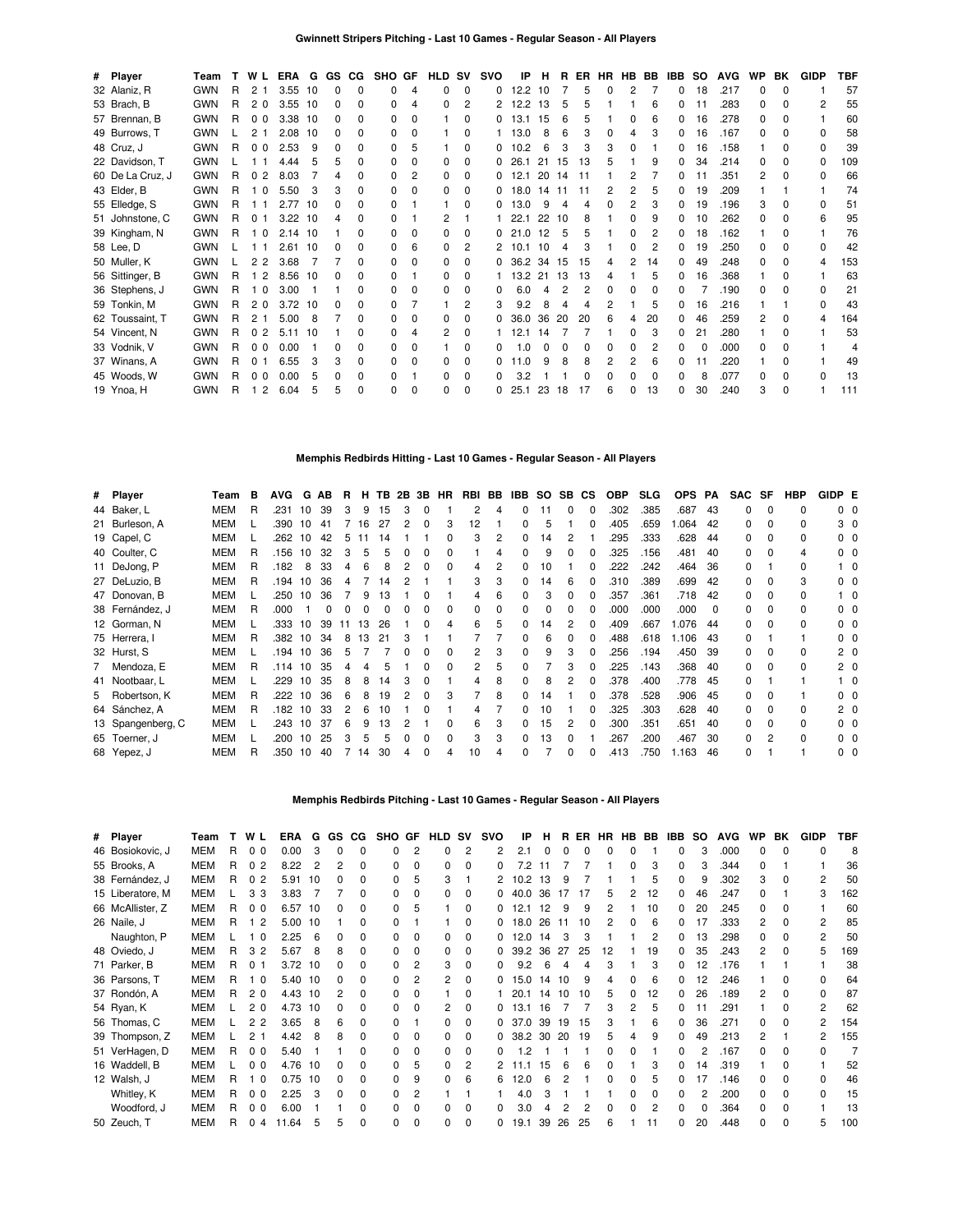| # Player         | Team       | T | WL             | ERA  | G  | <b>GS</b> | CG.          | SHO GF       |              | <b>HLD SV</b> |              | svo          | IP             | н   | B.  | EB. | HR. | <b>HB</b>    | BB. | IBB          | so | <b>AVG</b> | WP           | BK           | <b>GIDP</b>  | TBF |
|------------------|------------|---|----------------|------|----|-----------|--------------|--------------|--------------|---------------|--------------|--------------|----------------|-----|-----|-----|-----|--------------|-----|--------------|----|------------|--------------|--------------|--------------|-----|
| 32 Alaniz, R     | <b>GWN</b> | R | 2              | 3.55 | 10 | 0         | $\Omega$     | <sup>0</sup> | 4            | 0             | $\Omega$     | 0            | 12.2           | 10  |     | 5   | ŋ   | 2            |     | 0            | 18 | .217       | <sup>0</sup> | <sup>0</sup> |              | 57  |
| 53 Brach, B      | <b>GWN</b> | R | 20             | 3.55 | 10 | 0         | <sup>0</sup> |              | 4            | ŋ             |              | 2            | 12.2           | 13  | 5   | 5   |     |              |     |              |    | .283       |              |              |              | 55  |
| 57 Brennan, B    | <b>GWN</b> | R | 0 <sub>0</sub> | 3.38 | 10 | 0         | <sup>0</sup> | 0            | 0            |               | O            | 0            | 13.1           | 15  | 6   |     |     |              |     | 0            | 16 | .278       |              |              |              | 60  |
| 49 Burrows, T    | <b>GWN</b> |   | 2<br>-1        | 2.08 | 10 | 0         | <sup>0</sup> |              | 0            |               | O            |              | 13.0           | 8   | 6   | 3   | 0   |              |     | 0            | 16 | .167       |              |              | <sup>0</sup> | 58  |
| 48 Cruz, J       | <b>GWN</b> | R | 0 <sub>0</sub> | 2.53 | 9  | 0         | <sup>0</sup> | <sup>0</sup> | 5            |               | $\Omega$     | 0            | 10.2           | 6   | 3   | 3   | 3   |              |     | 0            | 16 | .158       |              | ŋ            | 0            | 39  |
| 22 Davidson, T   | <b>GWN</b> |   |                | 4.44 |    | 5         | <sup>0</sup> |              | 0            | 0             |              | 0            | 26.1           | 21  | -15 | 13  | 5   |              | q   | 0            | 34 | .214       |              |              | <sup>0</sup> | 109 |
| 60 De La Cruz, J | <b>GWN</b> | R | 2<br>$\Omega$  | 8.03 |    |           | C            | <sup>0</sup> | 2            | <sup>0</sup>  | O            | 0            | 12.1           | 20  | -14 | -11 |     |              |     | 0            | 11 | .351       | 2            | O            | <sup>0</sup> | 66  |
| 43 Elder, B      | <b>GWN</b> | R | - 0            | 5.50 | 3  | 3         |              |              | 0            | 0             | O            | <sup>0</sup> | 18.0           | 14  | 11  | 11  | 2   |              | 5   | 0            | 19 | .209       |              |              |              | 74  |
| 55 Elledge, S    | <b>GWN</b> | R | - 1            | 2.77 | 10 | n         | <sup>0</sup> | <sup>0</sup> |              |               | O            | 0            | 13.0           | 9   |     | 4   | ŋ   | 2            |     | 0            | 19 | .196       | з            | O            | <sup>0</sup> | 51  |
| 51 Johnstone, C  | <b>GWN</b> | R | 0 <sub>1</sub> | 3.22 | 10 | 4         | <sup>0</sup> |              |              |               |              |              | 22.1           | 22  | -10 | 8   |     | <sup>0</sup> | 9   | 0            | 10 | 262        | U            | O            | 6            | 95  |
| 39 Kingham, N    | <b>GWN</b> | R | $\Omega$       | 2.14 | 10 |           |              | <sup>0</sup> | 0            | 0             |              | <sup>0</sup> | $\Omega$<br>21 | 12  | 5   |     |     |              |     | 0            | 18 | .162       |              |              |              | 76  |
| 58 Lee, D        | <b>GWN</b> |   |                | 2.61 | 10 | n         | <sup>0</sup> | <sup>0</sup> | 6            | 0             | 2            |              | 10.1           | 10  | Δ   |     |     |              |     | 0            | 19 | .250       | 0            | O            | <sup>0</sup> | 42  |
| 50 Muller, K     | <b>GWN</b> |   | 2 <sub>2</sub> | 3.68 |    |           | ŋ            | 0            | <sup>0</sup> | 0             | n            | <sup>0</sup> | 36.2           | 34  | 15  | 15  | 4   |              | 14  | 0            | 49 | .248       |              | O            | 4            | 153 |
| 56 Sittinger, B  | <b>GWN</b> | R | 2              | 8.56 | 10 |           | <sup>0</sup> | <sup>0</sup> |              | 0             | O            |              | 13.2           | 21  | -13 | 13  |     |              | 5   | <sup>0</sup> | 16 | 368        |              | <sup>0</sup> |              | 63  |
| 36 Stephens, J   | <b>GWN</b> | R | - 0            | 3.00 |    |           |              |              |              | 0             | O            |              | 6.0            |     |     | 2   |     |              |     |              |    | .190       |              |              | <sup>0</sup> | 21  |
| 59 Tonkin, M     | <b>GWN</b> | R | 20             | 3.72 | 10 |           | <sup>0</sup> | 0            |              |               | 2            |              | 9.2            |     |     |     | 2   |              |     | 0            | 16 | .216       |              |              | 0            | 43  |
| 62 Toussaint, T  | <b>GWN</b> | R | 2              | 5.00 | 8  |           | <sup>0</sup> |              | 0            | O             | O            | 0            | 36.0           | 36  | 20  | 20  | 6   |              | 20  | 0            | 46 | .259       | 2            | O            | 4            | 164 |
| 54 Vincent, N    | <b>GWN</b> | R | 2<br>$\Omega$  | 5.11 | 10 |           | ŋ            | O.           |              | 2             | <sup>0</sup> |              | 12.1           | 14  |     |     |     | O            | 3   | 0            | 21 | 280        |              | O            |              | 53  |
| 33 Vodnik, V     | <b>GWN</b> | R | 0 <sub>0</sub> | 0.00 |    |           | <sup>0</sup> | <sup>0</sup> | 0            |               |              |              |                |     |     |     |     |              |     |              |    | .000       |              | O            |              |     |
| 37 Winans, A     | <b>GWN</b> | R | <sup>0</sup>   | 6.55 | З  | 3         | <sup>0</sup> | 0            | 0            | 0             | O            | <sup>0</sup> | 1.0            |     | 8   | 8   | 2   | 2            |     | 0            |    | .220       |              |              |              | 49  |
| 45 Woods, W      | <b>GWN</b> | R | 0 <sub>0</sub> | 0.00 | 5  | 0         | <sup>0</sup> |              |              | 0             | O            |              | 3.2            |     |     | O   | ŋ   |              |     | 0            | я  | .077       |              | <sup>0</sup> | <sup>0</sup> | 13  |
| 19 Ynoa, H       | <b>GWN</b> | R | 1 <sub>2</sub> | 6.04 | 5  | 5         | $\Omega$     | <sup>0</sup> | 0            | 0             | <sup>0</sup> | 0            | 25.1           | -23 | -18 | 17  | 6   |              | 13  | 0            | 30 | .240       | з            | <sup>0</sup> |              | 111 |

# **Memphis Redbirds Hitting - Last 10 Games - Regular Season - All Players**

| # Player          | Team       | в | <b>AVG</b> | G  | AB           | B.             | н.   |    |          | <b>TB 2B 3B</b> | <b>HR</b> | RBI          | BB | IBB      | SO. | SB CS        |              | <b>OBP</b> | <b>SLG</b> | <b>OPS</b> | PA       | <b>SAC</b> | SF       | HBP          | GIDP E |                |
|-------------------|------------|---|------------|----|--------------|----------------|------|----|----------|-----------------|-----------|--------------|----|----------|-----|--------------|--------------|------------|------------|------------|----------|------------|----------|--------------|--------|----------------|
| 44 Baker, L       | MEM        | R | .231       | 10 | 39           | 3              | 9    | 15 | 3        | 0               |           | 2            | 4  | $\Omega$ | 11  | 0            | $\Omega$     | .302       | .385       | .687       | 43       | 0          | 0        | $\Omega$     |        | 0 <sub>0</sub> |
| 21 Burleson, A    | <b>MEM</b> |   | .390       | 10 | 41           |                | 16   | 27 | 2        | $\Omega$        | 3         | 12           |    | 0        | 5   |              | $\Omega$     | .405       | .659       | 1.064      | 42       | 0          | O        | <sup>0</sup> |        | 3 0            |
| 19 Capel, C       | <b>MEM</b> |   | .262       | 10 | 42           | 5              | 11   | 14 |          |                 |           | 3            | 2  | $\Omega$ | 14  |              |              | .295       | .333       | .628       | 44       | 0          | O        | 0            |        | $0\quad 0$     |
| 40 Coulter, C     | <b>MEM</b> | R | .156       | 10 | 32           | 3              | 5    | 5  | 0        | <sup>0</sup>    |           |              |    | 0        | 9   | <sup>0</sup> | $\Omega$     | .325       | .156       | .481       | 40       | 0          | O        | 4            |        | $0\quad 0$     |
| 11 DeJong, P      | <b>MEM</b> | R | .182       | 8  | 33           | 4              | 6    | 8  | 2        | $\Omega$        |           | 4            | 2  | 0        | 10  |              | $\Omega$     | .222       | .242       | .464       | 36       | 0          |          | 0            |        | $1\quad$ 0     |
| 27 DeLuzio, B     | <b>MEM</b> | R | .194       | 10 | 36           | 4              |      | 14 |          |                 |           | 3            | 3  | 0        | 14  | 6            | $\Omega$     | .310       | .389       | .699       | 42       | 0          | 0        | 3            |        | $0\quad 0$     |
| 47 Donovan, B     | <b>MEM</b> |   | .250       | 10 | 36           |                | 9    | 13 |          |                 |           | 4            | 6  | 0        | 3   | <sup>0</sup> | $\Omega$     | .357       | .361       | .718       | 42       | 0          | 0        | 0            |        | $1\quad$ 0     |
| 38 Fernández, J   | <b>MEM</b> | R | .000       |    | <sup>0</sup> | O.             |      |    |          |                 |           | <sup>0</sup> | 0  | 0        | 0   |              |              | .000       | .000       | .000       | $\Omega$ | 0          | 0        | 0            |        | $0\quad 0$     |
| 12 Gorman, N      | MEM        |   | .333 10    |    | 39           | 11             | 13   | 26 |          | $\Omega$        | 4         | 6            | 5  | 0        | 14  |              | $\Omega$     | .409       | .667       | 1.076      | 44       | 0          | $\Omega$ | 0            |        | $0\quad 0$     |
| 75 Herrera, I     | MEM        | R | .382 10    |    | 34           | 8              | 13   | 21 | 3        |                 |           |              |    | 0        | 6   |              |              | .488       | .618       | 1.106      | 43       | 0          |          |              |        | $0\quad 0$     |
| 32 Hurst, S       | <b>MEM</b> |   | .194       | 10 | 36           | 5              |      |    | $\Omega$ | <sup>0</sup>    | $\Omega$  | 2            | 3  | $\Omega$ | 9   | з            |              | 256        | .194       | .450       | 39       | 0          | 0        | 0            |        | 2 <sub>0</sub> |
| 7 Mendoza, E      | MEM        | R | .114 10    |    | 35           | 4              | 4    | 5  |          |                 |           | 2            | 5  | 0        |     | з            | $\Omega$     | 225        | .143       | .368       | 40       | 0          | $\Omega$ | 0            |        | 2 <sub>0</sub> |
| 41 Nootbaar, L    | <b>MEM</b> |   | .229 10    |    | 35           | 8              | 8    | 14 | 3        | $\Omega$        |           | 4            | 8  | 0        | 8   |              | $\Omega$     | .378       | .400       | .778       | 45       | 0          |          |              |        | $1\quad$ 0     |
| 5 Robertson, K    | MEM        | R | .222       | 10 | 36           | 6              | 8    | 19 | 2        | $\Omega$        |           |              | 8  | $\Omega$ | 14  |              | $\Omega$     | .378       | .528       | .906       | 45       | 0          | 0        |              |        | $0\quad 0$     |
| 64 Sánchez, A     | MEM        | R | .182       | 10 | 33           | $\overline{2}$ | 6    | 10 |          | $\Omega$        |           | 4            |    | 0        | 10  |              | <sup>0</sup> | .325       | .303       | .628       | 40       | 0          | 0        | 0            |        | 2 <sub>0</sub> |
| 13 Spangenberg, C | <b>MEM</b> |   | .243       | 10 | 37           | 6              | 9    | 13 |          |                 | $\Omega$  | 6            | 3  | 0        | 15  |              | $\Omega$     | .300       | .351       | .651       | 40       | 0          | 0        | 0            |        | $0\quad 0$     |
| 65 Toerner, J     | <b>MEM</b> |   | .200       | 10 | 25           | 3              | 5    | 5  |          | $\Omega$        |           | 3            | 3  | 0        | 13  |              |              | 267        | .200       | .467       | 30       | 0          | 2        | 0            |        | $0\quad 0$     |
| 68 Yepez, J       | MEM        | R | .350 10    |    | 40           |                | 7 14 | 30 |          | $\Omega$        |           | 10           | 4  | 0        |     | <sup>0</sup> | $\Omega$     | .413       | .750       | 1.163      | 46       | 0          |          |              |        | $0\quad 0$     |

### **Memphis Redbirds Pitching - Last 10 Games - Regular Season - All Players**

| # Player         | Team       |   | W L                        | ERA   | G  | GS.          | CG.          | SHO GF       |              | <b>HLD SV</b> |                | svo | ΙP            | н  | B. | ER. | <b>HR</b> | HB. | BB | IBB | SO. | <b>AVG</b> | <b>WP</b>    | BK       | <b>GIDP</b>    | <b>TBF</b> |
|------------------|------------|---|----------------------------|-------|----|--------------|--------------|--------------|--------------|---------------|----------------|-----|---------------|----|----|-----|-----------|-----|----|-----|-----|------------|--------------|----------|----------------|------------|
| 46 Bosiokovic, J | MEM        | R | 0 <sub>0</sub>             | 0.00  | 3  | O            |              | <sup>0</sup> |              | O             |                |     | 2.1           |    |    | 0   | n         |     |    |     | З   | .000       | <sup>0</sup> | $\Omega$ |                | 8          |
| 55 Brooks, A     | <b>MEM</b> | R | $\overline{c}$<br>$\Omega$ | 8.22  |    | 2            |              |              | 0            | 0             | O              |     |               |    |    |     |           |     |    |     |     | 344        |              |          |                | 36         |
| 38 Fernández, J  | <b>MEM</b> | R | $\overline{c}$<br>$\Omega$ | 5.91  | 10 |              |              | <sup>0</sup> | 5            | 3             |                |     | 10.2          |    |    |     |           |     |    |     | g   | 302        | 3            | $\Omega$ | 2              | 50         |
| 15 Liberatore, M | <b>MEM</b> |   | 3<br>3                     | 3.83  |    |              |              | <sup>0</sup> | 0            | 0             | $\Omega$       |     | 0.40.0        | 36 |    |     | 5         |     | 12 | 0   | 46  | .247       |              |          | 3              | 162        |
| 66 McAllister, Z | <b>MEM</b> | R | 0 <sub>0</sub>             | 6.57  | 10 | O            |              | <sup>0</sup> | 5            |               | $\Omega$       |     | 12.1          | 12 | 9  | 9   | 2         |     | 10 | 0   | 20  | 245.       |              | 0        |                | 60         |
| 26 Naile, J      | <b>MEM</b> | R | $\overline{c}$             | 5.00  | 10 |              |              |              |              |               | O              | 0   | 18.0          | 26 |    | 10  |           |     |    |     |     | .333       | 2            |          | 2              | 85         |
| Naughton, P      | <b>MEM</b> |   | -0                         | 2.25  | 6  |              |              | <sup>n</sup> | O            | <sup>0</sup>  | $\Omega$       | 0   | 12.0          | 14 | З  |     |           |     |    |     | 13  | .298       | <sup>0</sup> | O        | 2              | 50         |
| 48 Oviedo, J     | <b>MEM</b> | R | 2<br>3                     | 5.67  | 8  | 8            |              | <sup>0</sup> | 0            | 0             | $\Omega$       | 0   | 39.2          | 36 | 27 | 25  | 12        |     | 19 | 0   | 35  | 243        | 2            | $\Omega$ | 5              | 169        |
| 71 Parker, B     | <b>MEM</b> | R | $\Omega$                   | 3.72  | 10 | 0            | ŋ            | <sup>0</sup> | 2            | 3             | 0              | 0   | 9.2           | 6  | Δ  | Δ   | 3         |     | 3  | 0   | 12  | .176       |              |          |                | 38         |
| 36 Parsons, T    | <b>MEM</b> | R | -0                         | 5.40  | 10 | 0            | <sup>0</sup> | <sup>0</sup> | 2            | 2             | $\Omega$       |     | 15.0          | 14 | 10 | g   |           |     |    | 0   | 12  | .246       |              | O        | 0              | 64         |
| 37 Rondón, A     | <b>MEM</b> | R | 2 <sub>0</sub>             | 4.43  | 10 | 2            |              | <sup>n</sup> | <sup>0</sup> |               | $\Omega$       |     | 20.1          | 14 | 10 | 10  | 5         |     | 12 | 0   | 26  | .189       | 2            | O        | $\Omega$       | 87         |
| 54 Ryan, K       | <b>MEM</b> |   | 2 <sub>0</sub>             | 4.73  | 10 |              |              | <sup>0</sup> | $\Omega$     | 2             | $\Omega$       |     | 13.1          | 16 |    |     | 3         |     |    | ŋ   |     | 291        |              | O        | $\overline{2}$ | 62         |
| 56 Thomas, C     | <b>MEM</b> |   | 2<br>$\overline{c}$        | 3.65  | 8  | 6            | ŋ            | <sup>0</sup> |              | <sup>0</sup>  | $\Omega$       | 0   | 37.0          | 39 | 19 | 15  | 3         |     | 6  | 0   | 36  | 271        | 0            | 0        | 2              | 154        |
| 39 Thompson, Z   | <b>MEM</b> |   | 2 <sub>1</sub>             | 4.42  | 8  | 8            |              | <sup>0</sup> | 0            | <sup>0</sup>  | $\Omega$       |     | 38.2          | 30 | 20 | 19  | 5         |     | 9  | 0   | 49  | .213       | 2            |          | 2              | 155        |
| 51 VerHagen, D   | <b>MEM</b> | R | 0 <sub>0</sub>             | 5.40  |    |              |              | <sup>n</sup> | $\Omega$     | <sup>0</sup>  | <sup>0</sup>   | 0   | $\mathcal{P}$ |    |    |     | 0         | O   |    |     |     | .167       | U            | O        | <sup>0</sup>   |            |
| 16 Waddell, B    | <b>MEM</b> |   | 0 <sub>0</sub>             | 4.76  | 10 |              |              | <sup>0</sup> | 5            | <sup>0</sup>  | $\overline{c}$ |     | 11 1          | 15 |    | ĥ   | ŋ         |     |    | n   | 14  | .319       |              | O        |                | 52         |
| 12 Walsh, J      | <b>MEM</b> | R | - 0                        | 0.75  | 10 | <sup>0</sup> | U            | <sup>0</sup> | 9            | <sup>0</sup>  | 6              | 6   | 12.0          |    |    |     | n         |     |    | 0   |     | .146       | U            | O        | 0              | 46         |
| Whitley, K       | <b>MEM</b> | R | 0 <sub>0</sub>             | 2.25  | 3  | 0            | O            | <sup>0</sup> | 2            |               |                |     | 4.0           |    |    |     |           |     |    | 0   |     | 200        | 0            | $\Omega$ | 0              | 15         |
| Woodford, J      | <b>MEM</b> | R | 0                          | 6.00  |    |              |              |              | $\Omega$     | <sup>0</sup>  | O              |     |               |    |    | 2   |           |     |    |     |     | 364        |              |          |                | 13         |
| 50 Zeuch, T      | <b>MEM</b> | R | 0 <sub>4</sub>             | 11.64 | 5  | 5            | O            | <sup>0</sup> | O            | <sup>0</sup>  | $\Omega$       |     | 19.1          | 39 | 26 | 25  | 6         |     | 11 |     | 20  | .448       |              | $\Omega$ | 5              | 100        |